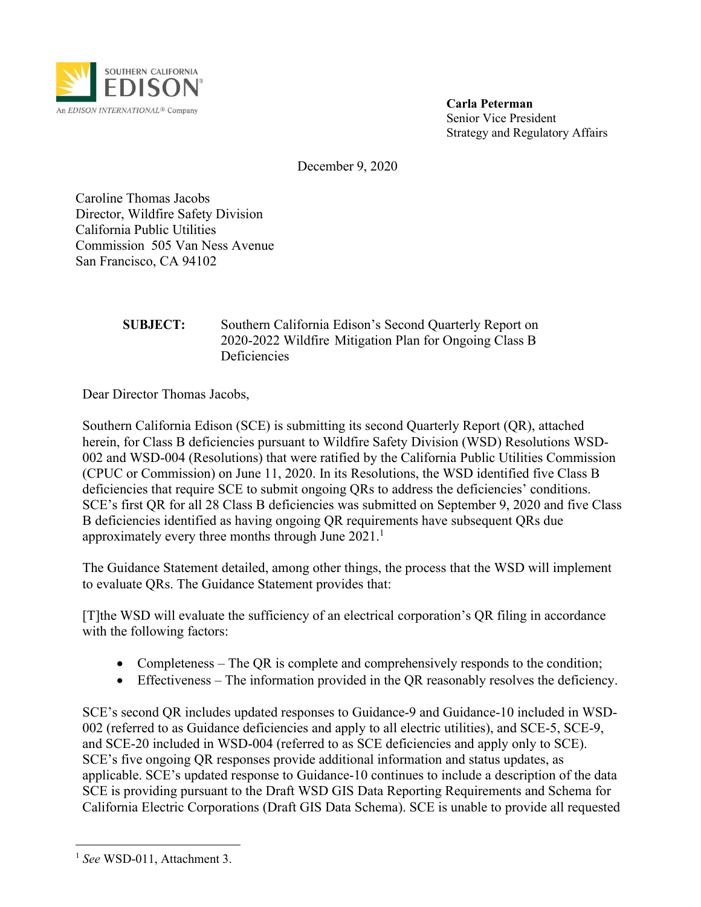

**Carla Peterman** Senior Vice President Strategy and Regulatory Affairs

December 9, 2020

Caroline Thomas Jacobs Director, Wildfire Safety Division California Public Utilities Commission 505 Van Ness Avenue San Francisco, CA 94102

#### **SUBJECT:** Southern California Edison's Second Quarterly Report on 2020-2022 Wildfire Mitigation Plan for Ongoing Class B **Deficiencies**

Dear Director Thomas Jacobs,

Southern California Edison (SCE) is submitting its second Quarterly Report (QR), attached herein, for Class B deficiencies pursuant to Wildfire Safety Division (WSD) Resolutions WSD-002 and WSD-004 (Resolutions) that were ratified by the California Public Utilities Commission (CPUC or Commission) on June 11, 2020. In its Resolutions, the WSD identified five Class B deficiencies that require SCE to submit ongoing QRs to address the deficiencies' conditions. SCE's first QR for all 28 Class B deficiencies was submitted on September 9, 2020 and five Class B deficiencies identified as having ongoing QR requirements have subsequent QRs due approximately every three months through June 2021.<sup>1</sup>

The Guidance Statement detailed, among other things, the process that the WSD will implement to evaluate QRs. The Guidance Statement provides that:

[T]the WSD will evaluate the sufficiency of an electrical corporation's QR filing in accordance with the following factors:

- Completeness The QR is complete and comprehensively responds to the condition;
- Effectiveness The information provided in the QR reasonably resolves the deficiency.

SCE's second QR includes updated responses to Guidance-9 and Guidance-10 included in WSD-002 (referred to as Guidance deficiencies and apply to all electric utilities), and SCE-5, SCE-9, and SCE-20 included in WSD-004 (referred to as SCE deficiencies and apply only to SCE). SCE's five ongoing QR responses provide additional information and status updates, as applicable. SCE's updated response to Guidance-10 continues to include a description of the data SCE is providing pursuant to the Draft WSD GIS Data Reporting Requirements and Schema for California Electric Corporations (Draft GIS Data Schema). SCE is unable to provide all requested

<sup>&</sup>lt;sup>1</sup> See WSD-011, Attachment 3.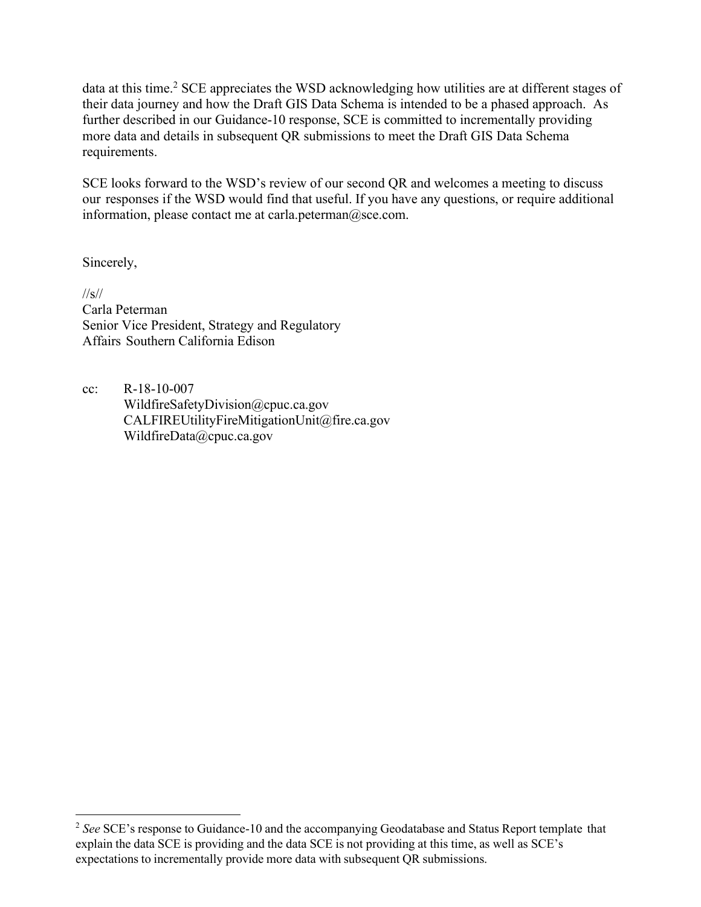data at this time.<sup>2</sup> SCE appreciates the WSD acknowledging how utilities are at different stages of their data journey and how the Draft GIS Data Schema is intended to be a phased approach. As further described in our Guidance-10 response, SCE is committed to incrementally providing more data and details in subsequent QR submissions to meet the Draft GIS Data Schema requirements.

SCE looks forward to the WSD's review of our second QR and welcomes a meeting to discuss our responses if the WSD would find that useful. If you have any questions, or require additional information, please contact me [at carla.peterman@sce.com.](mailto:carla.peterman@sce.com)

Sincerely,

//s// Carla Peterman Senior Vice President, Strategy and Regulatory Affairs Southern California Edison

cc: R-18-10-007 [WildfireSafetyDivision@cpuc.ca.gov](mailto:WildfireSafetyDivision@cpuc.ca.gov) [CALFIREUtilityFireMiti](mailto:CALFIREUtilityFireMitigationUnit@fire.ca.gov)[gationUnit@fire.ca.gov](mailto:gationUnit@fire.ca.gov) WildfireData@cpuc.ca.gov

<sup>&</sup>lt;sup>2</sup> See SCE's response to Guidance-10 and the accompanying Geodatabase and Status Report template that explain the data SCE is providing and the data SCE is not providing at this time, as well as SCE's expectations to incrementally provide more data with subsequent QR submissions.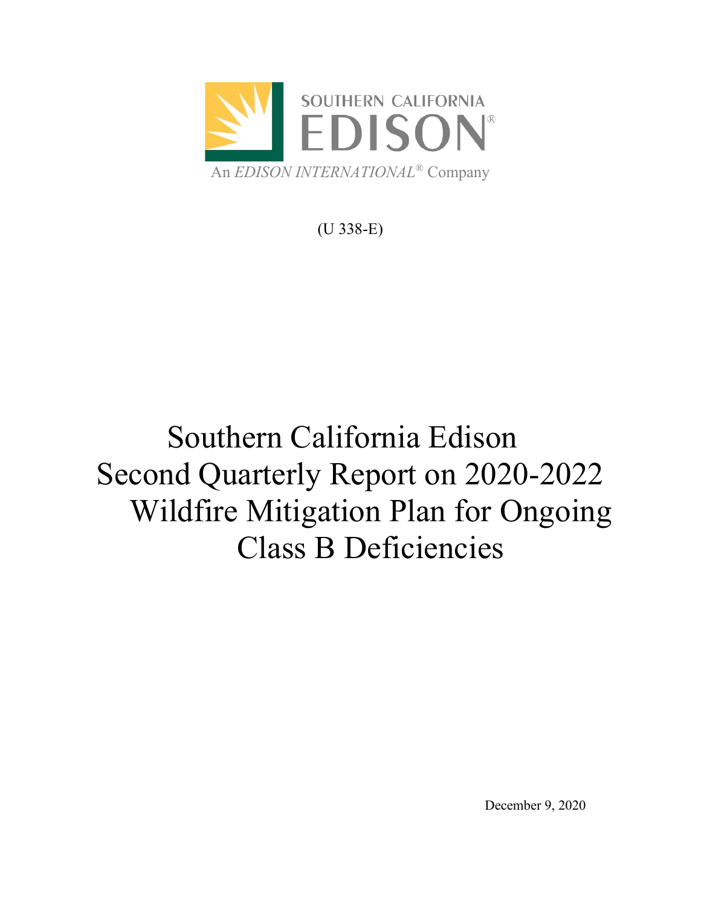

(U 338-E)

# Southern California Edison Second Quarterly Report on 2020-2022 Wildfire Mitigation Plan for Ongoing Class B Deficiencies

December 9, 2020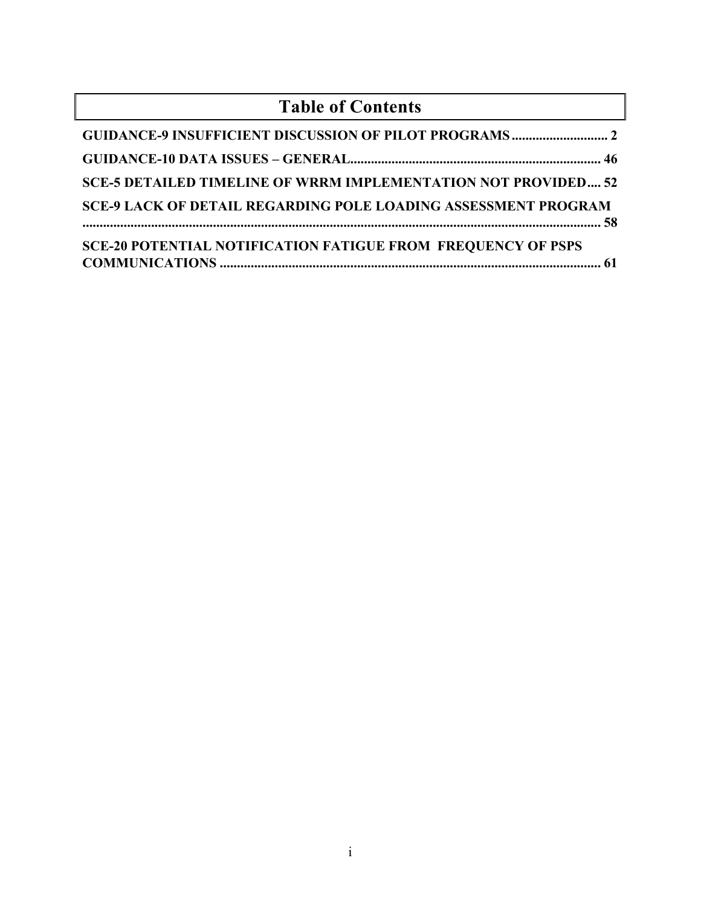| <b>Table of Contents</b>                                              |
|-----------------------------------------------------------------------|
|                                                                       |
|                                                                       |
| <b>SCE-5 DETAILED TIMELINE OF WRRM IMPLEMENTATION NOT PROVIDED 52</b> |
| <b>SCE-9 LACK OF DETAIL REGARDING POLE LOADING ASSESSMENT PROGRAM</b> |
| <b>SCE-20 POTENTIAL NOTIFICATION FATIGUE FROM FREQUENCY OF PSPS</b>   |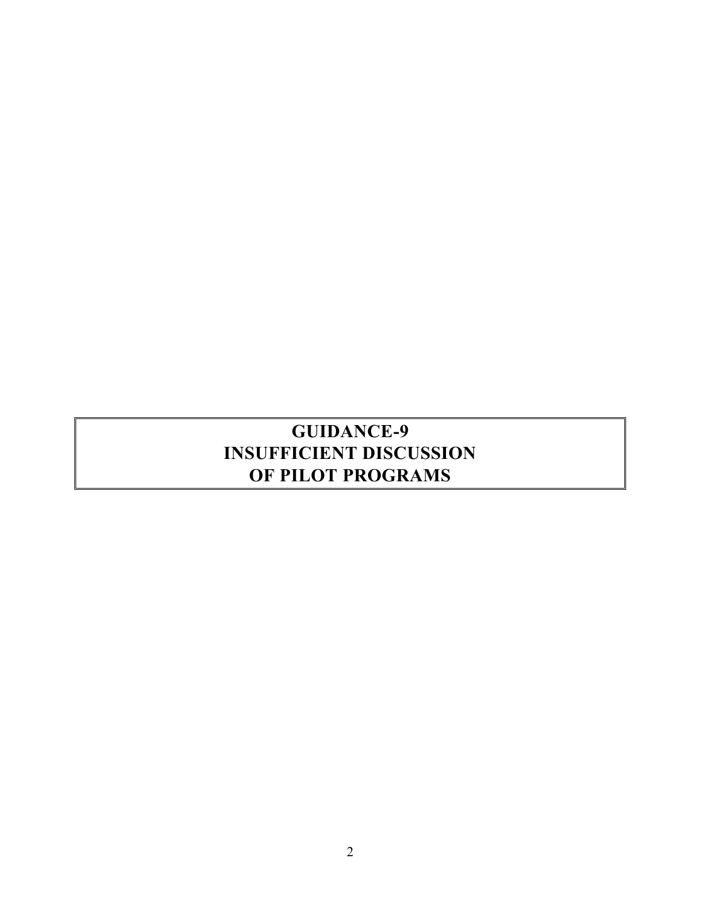# <span id="page-4-0"></span>**GUIDANCE-9 INSUFFICIENT DISCUSSION OF PILOT PROGRAMS**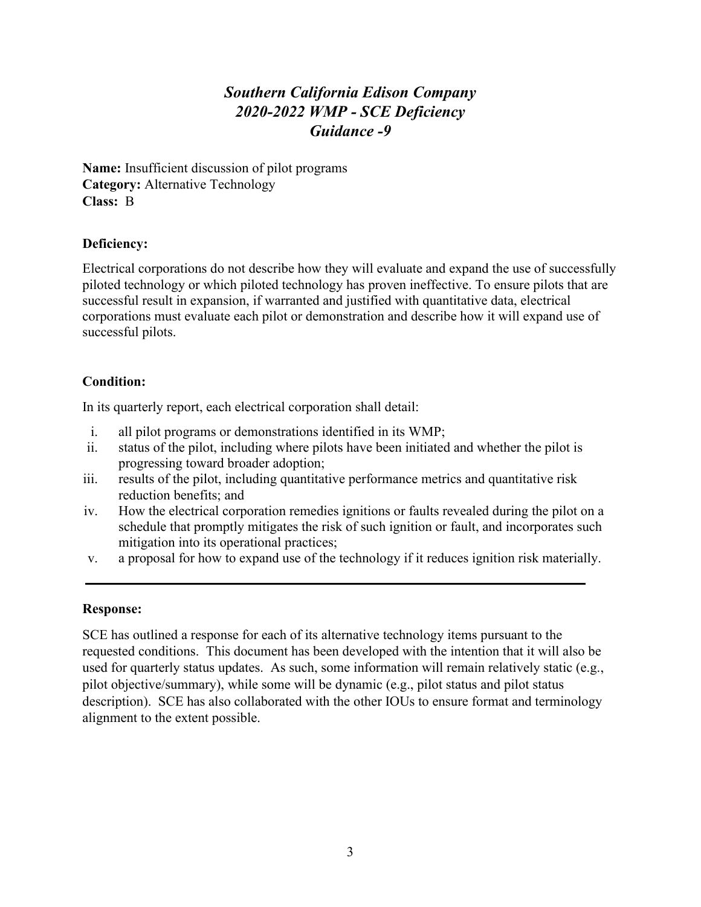# *Southern California Edison Company 2020-2022 WMP - SCE Deficiency Guidance -9*

**Name:** Insufficient discussion of pilot programs **Category:** Alternative Technology **Class:** B

#### **Deficiency:**

Electrical corporations do not describe how they will evaluate and expand the use of successfully piloted technology or which piloted technology has proven ineffective. To ensure pilots that are successful result in expansion, if warranted and justified with quantitative data, electrical corporations must evaluate each pilot or demonstration and describe how it will expand use of successful pilots.

#### **Condition:**

In its quarterly report, each electrical corporation shall detail:

- i. all pilot programs or demonstrations identified in its WMP;
- ii. status of the pilot, including where pilots have been initiated and whether the pilot is progressing toward broader adoption;
- iii. results of the pilot, including quantitative performance metrics and quantitative risk reduction benefits; and
- iv. How the electrical corporation remedies ignitions or faults revealed during the pilot on a schedule that promptly mitigates the risk of such ignition or fault, and incorporates such mitigation into its operational practices;
- v. a proposal for how to expand use of the technology if it reduces ignition risk materially.

#### **Response:**

SCE has outlined a response for each of its alternative technology items pursuant to the requested conditions. This document has been developed with the intention that it will also be used for quarterly status updates. As such, some information will remain relatively static (e.g., pilot objective/summary), while some will be dynamic (e.g., pilot status and pilot status description). SCE has also collaborated with the other IOUs to ensure format and terminology alignment to the extent possible.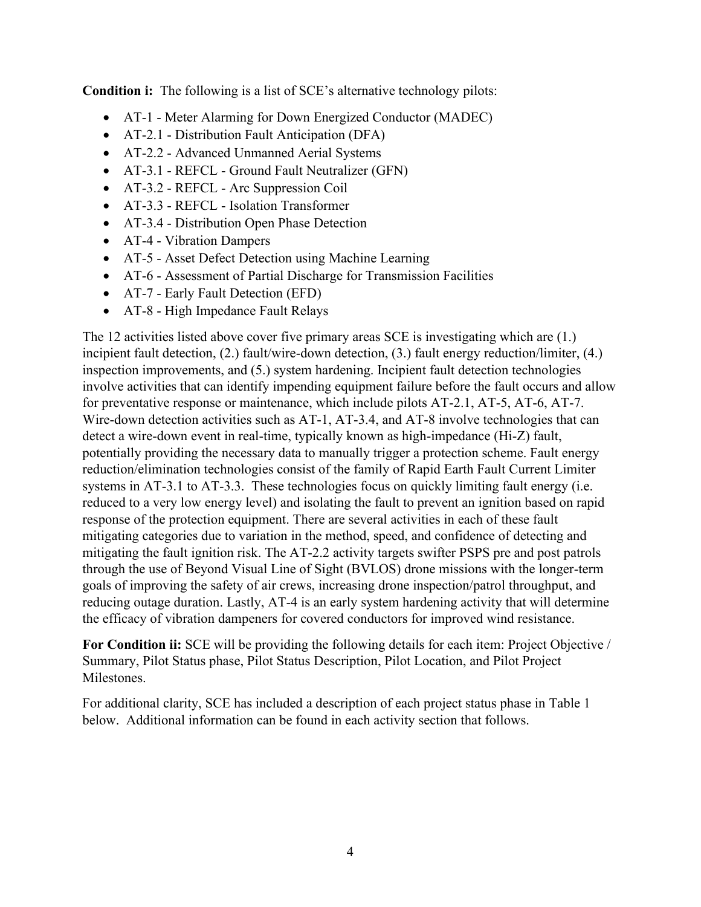**Condition i:** The following is a list of SCE's alternative technology pilots:

- AT-1 Meter Alarming for Down Energized Conductor (MADEC)
- AT-2.1 Distribution Fault Anticipation (DFA)
- AT-2.2 Advanced Unmanned Aerial Systems
- AT-3.1 REFCL Ground Fault Neutralizer (GFN)
- AT-3.2 REFCL Arc Suppression Coil
- AT-3.3 REFCL Isolation Transformer
- AT-3.4 Distribution Open Phase Detection
- AT-4 Vibration Dampers
- AT-5 Asset Defect Detection using Machine Learning
- AT-6 Assessment of Partial Discharge for Transmission Facilities
- AT-7 Early Fault Detection (EFD)
- AT-8 High Impedance Fault Relays

The 12 activities listed above cover five primary areas SCE is investigating which are (1.) incipient fault detection, (2.) fault/wire-down detection, (3.) fault energy reduction/limiter, (4.) inspection improvements, and (5.) system hardening. Incipient fault detection technologies involve activities that can identify impending equipment failure before the fault occurs and allow for preventative response or maintenance, which include pilots AT-2.1, AT-5, AT-6, AT-7. Wire-down detection activities such as AT-1, AT-3.4, and AT-8 involve technologies that can detect a wire-down event in real-time, typically known as high-impedance (Hi-Z) fault, potentially providing the necessary data to manually trigger a protection scheme. Fault energy reduction/elimination technologies consist of the family of Rapid Earth Fault Current Limiter systems in AT-3.1 to AT-3.3. These technologies focus on quickly limiting fault energy (i.e. reduced to a very low energy level) and isolating the fault to prevent an ignition based on rapid response of the protection equipment. There are several activities in each of these fault mitigating categories due to variation in the method, speed, and confidence of detecting and mitigating the fault ignition risk. The AT-2.2 activity targets swifter PSPS pre and post patrols through the use of Beyond Visual Line of Sight (BVLOS) drone missions with the longer-term goals of improving the safety of air crews, increasing drone inspection/patrol throughput, and reducing outage duration. Lastly, AT-4 is an early system hardening activity that will determine the efficacy of vibration dampeners for covered conductors for improved wind resistance.

**For Condition ii:** SCE will be providing the following details for each item: Project Objective / Summary, Pilot Status phase, Pilot Status Description, Pilot Location, and Pilot Project Milestones.

For additional clarity, SCE has included a description of each project status phase in [Table 1](#page-7-0) below. Additional information can be found in each activity section that follows.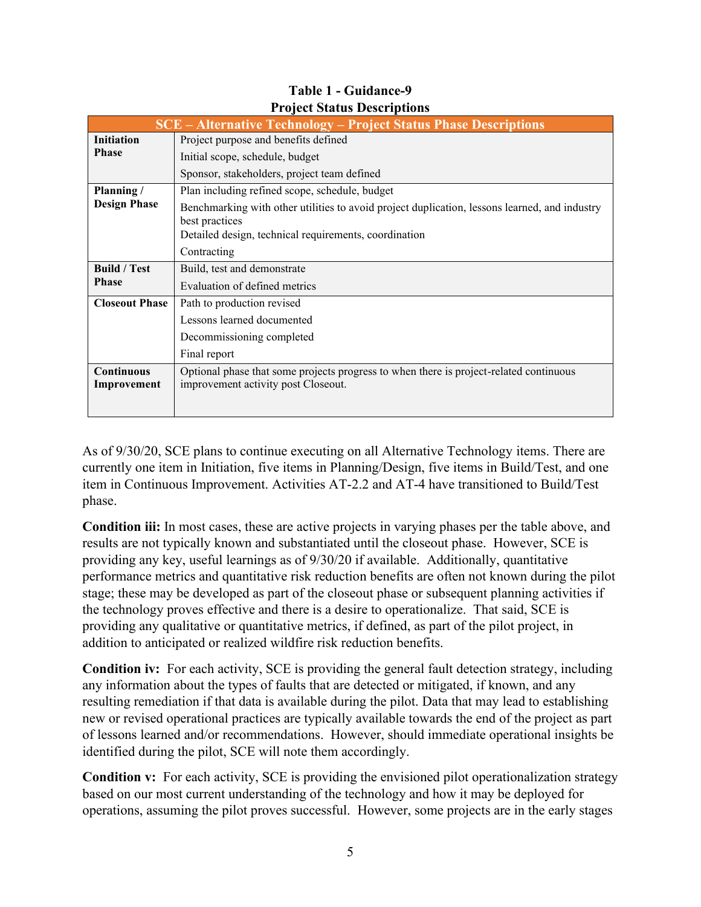<span id="page-7-0"></span>

|                                  | <b>SCE</b> – Alternative Technology – Project Status Phase Descriptions                                                       |  |
|----------------------------------|-------------------------------------------------------------------------------------------------------------------------------|--|
| <b>Initiation</b>                | Project purpose and benefits defined                                                                                          |  |
| <b>Phase</b>                     | Initial scope, schedule, budget                                                                                               |  |
|                                  | Sponsor, stakeholders, project team defined                                                                                   |  |
| Planning /                       | Plan including refined scope, schedule, budget                                                                                |  |
| <b>Design Phase</b>              | Benchmarking with other utilities to avoid project duplication, lessons learned, and industry<br>best practices               |  |
|                                  | Detailed design, technical requirements, coordination                                                                         |  |
|                                  | Contracting                                                                                                                   |  |
| <b>Build</b> / Test              | Build, test and demonstrate                                                                                                   |  |
| <b>Phase</b>                     | Evaluation of defined metrics                                                                                                 |  |
| <b>Closeout Phase</b>            | Path to production revised                                                                                                    |  |
|                                  | Lessons learned documented                                                                                                    |  |
|                                  | Decommissioning completed                                                                                                     |  |
|                                  | Final report                                                                                                                  |  |
| <b>Continuous</b><br>Improvement | Optional phase that some projects progress to when there is project-related continuous<br>improvement activity post Closeout. |  |

# **Table 1 - Guidance-9 Project Status Descriptions**

As of 9/30/20, SCE plans to continue executing on all Alternative Technology items. There are currently one item in Initiation, five items in Planning/Design, five items in Build/Test, and one item in Continuous Improvement. Activities AT-2.2 and AT-4 have transitioned to Build/Test phase.

**Condition iii:** In most cases, these are active projects in varying phases per the table above, and results are not typically known and substantiated until the closeout phase. However, SCE is providing any key, useful learnings as of 9/30/20 if available. Additionally, quantitative performance metrics and quantitative risk reduction benefits are often not known during the pilot stage; these may be developed as part of the closeout phase or subsequent planning activities if the technology proves effective and there is a desire to operationalize. That said, SCE is providing any qualitative or quantitative metrics, if defined, as part of the pilot project, in addition to anticipated or realized wildfire risk reduction benefits.

**Condition iv:** For each activity, SCE is providing the general fault detection strategy, including any information about the types of faults that are detected or mitigated, if known, and any resulting remediation if that data is available during the pilot. Data that may lead to establishing new or revised operational practices are typically available towards the end of the project as part of lessons learned and/or recommendations. However, should immediate operational insights be identified during the pilot, SCE will note them accordingly.

**Condition v:** For each activity, SCE is providing the envisioned pilot operationalization strategy based on our most current understanding of the technology and how it may be deployed for operations, assuming the pilot proves successful. However, some projects are in the early stages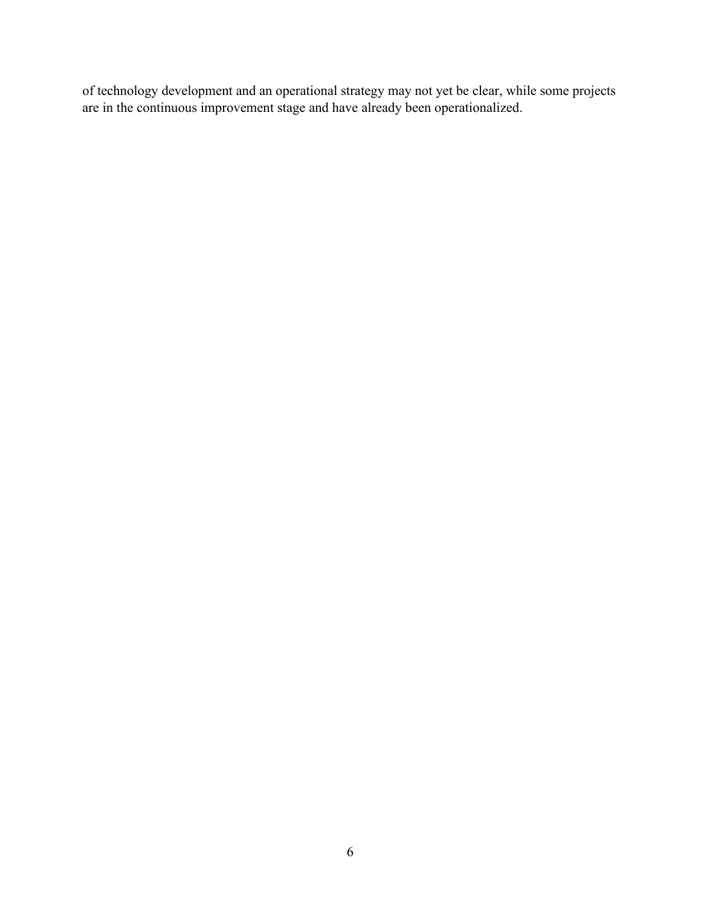of technology development and an operational strategy may not yet be clear, while some projects are in the continuous improvement stage and have already been operationalized.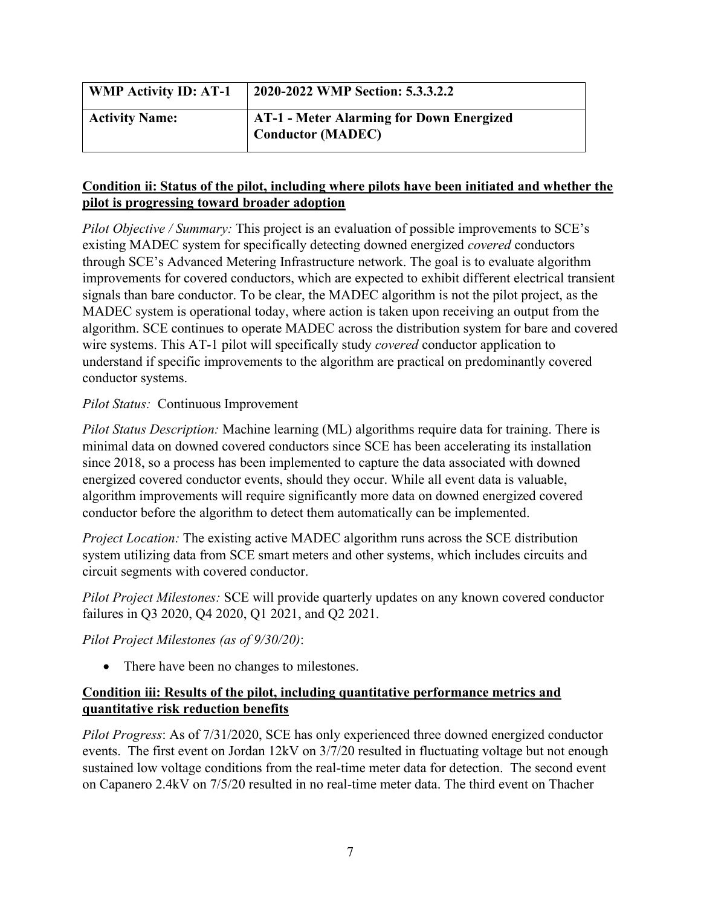| <b>WMP Activity ID: AT-1</b> | 2020-2022 WMP Section: 5.3.3.2.2                                            |
|------------------------------|-----------------------------------------------------------------------------|
| <b>Activity Name:</b>        | <b>AT-1 - Meter Alarming for Down Energized</b><br><b>Conductor (MADEC)</b> |

*Pilot Objective / Summary:* This project is an evaluation of possible improvements to SCE's existing MADEC system for specifically detecting downed energized *covered* conductors through SCE's Advanced Metering Infrastructure network. The goal is to evaluate algorithm improvements for covered conductors, which are expected to exhibit different electrical transient signals than bare conductor. To be clear, the MADEC algorithm is not the pilot project, as the MADEC system is operational today, where action is taken upon receiving an output from the algorithm. SCE continues to operate MADEC across the distribution system for bare and covered wire systems. This AT-1 pilot will specifically study *covered* conductor application to understand if specific improvements to the algorithm are practical on predominantly covered conductor systems.

#### *Pilot Status:* Continuous Improvement

*Pilot Status Description:* Machine learning (ML) algorithms require data for training. There is minimal data on downed covered conductors since SCE has been accelerating its installation since 2018, so a process has been implemented to capture the data associated with downed energized covered conductor events, should they occur. While all event data is valuable, algorithm improvements will require significantly more data on downed energized covered conductor before the algorithm to detect them automatically can be implemented.

*Project Location:* The existing active MADEC algorithm runs across the SCE distribution system utilizing data from SCE smart meters and other systems, which includes circuits and circuit segments with covered conductor.

*Pilot Project Milestones:* SCE will provide quarterly updates on any known covered conductor failures in Q3 2020, Q4 2020, Q1 2021, and Q2 2021.

#### *Pilot Project Milestones (as of 9/30/20)*:

• There have been no changes to milestones.

# **Condition iii: Results of the pilot, including quantitative performance metrics and quantitative risk reduction benefits**

*Pilot Progress*: As of 7/31/2020, SCE has only experienced three downed energized conductor events. The first event on Jordan 12kV on 3/7/20 resulted in fluctuating voltage but not enough sustained low voltage conditions from the real-time meter data for detection. The second event on Capanero 2.4kV on 7/5/20 resulted in no real-time meter data. The third event on Thacher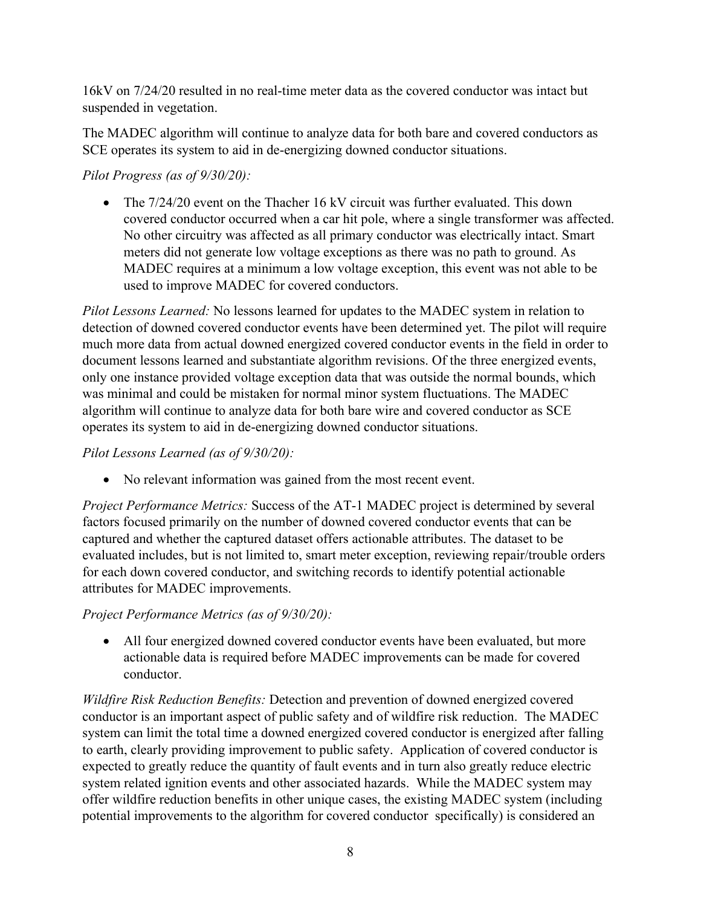16kV on 7/24/20 resulted in no real-time meter data as the covered conductor was intact but suspended in vegetation.

The MADEC algorithm will continue to analyze data for both bare and covered conductors as SCE operates its system to aid in de-energizing downed conductor situations.

# *Pilot Progress (as of 9/30/20):*

• The  $7/24/20$  event on the Thacher 16 kV circuit was further evaluated. This down covered conductor occurred when a car hit pole, where a single transformer was affected. No other circuitry was affected as all primary conductor was electrically intact. Smart meters did not generate low voltage exceptions as there was no path to ground. As MADEC requires at a minimum a low voltage exception, this event was not able to be used to improve MADEC for covered conductors.

*Pilot Lessons Learned:* No lessons learned for updates to the MADEC system in relation to detection of downed covered conductor events have been determined yet. The pilot will require much more data from actual downed energized covered conductor events in the field in order to document lessons learned and substantiate algorithm revisions. Of the three energized events, only one instance provided voltage exception data that was outside the normal bounds, which was minimal and could be mistaken for normal minor system fluctuations. The MADEC algorithm will continue to analyze data for both bare wire and covered conductor as SCE operates its system to aid in de-energizing downed conductor situations.

#### *Pilot Lessons Learned (as of 9/30/20):*

• No relevant information was gained from the most recent event.

*Project Performance Metrics:* Success of the AT-1 MADEC project is determined by several factors focused primarily on the number of downed covered conductor events that can be captured and whether the captured dataset offers actionable attributes. The dataset to be evaluated includes, but is not limited to, smart meter exception, reviewing repair/trouble orders for each down covered conductor, and switching records to identify potential actionable attributes for MADEC improvements.

#### *Project Performance Metrics (as of 9/30/20):*

• All four energized downed covered conductor events have been evaluated, but more actionable data is required before MADEC improvements can be made for covered conductor.

*Wildfire Risk Reduction Benefits:* Detection and prevention of downed energized covered conductor is an important aspect of public safety and of wildfire risk reduction. The MADEC system can limit the total time a downed energized covered conductor is energized after falling to earth, clearly providing improvement to public safety. Application of covered conductor is expected to greatly reduce the quantity of fault events and in turn also greatly reduce electric system related ignition events and other associated hazards. While the MADEC system may offer wildfire reduction benefits in other unique cases, the existing MADEC system (including potential improvements to the algorithm for covered conductor specifically) is considered an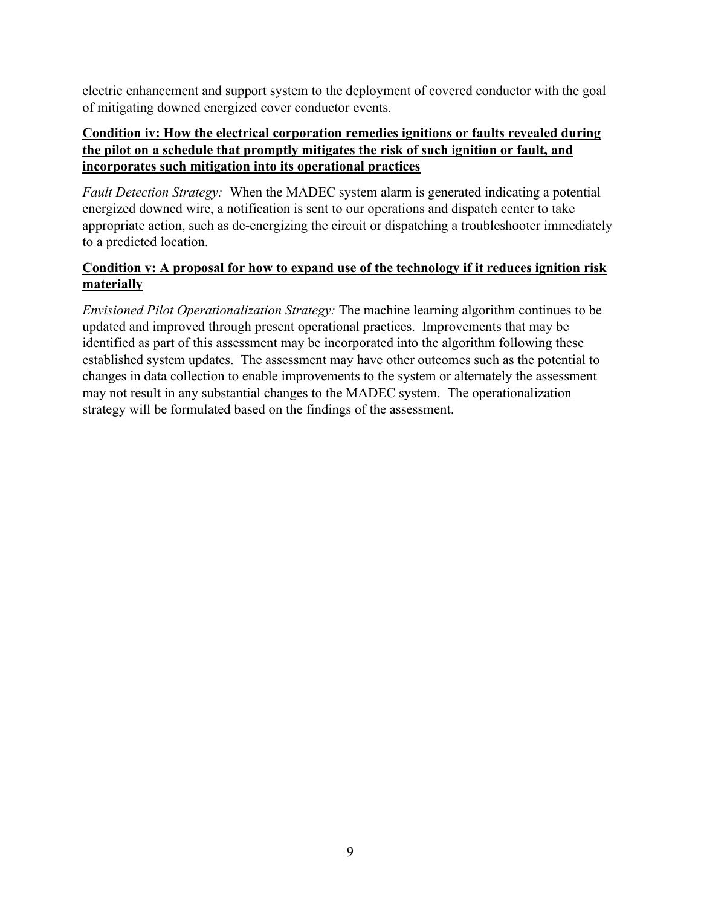electric enhancement and support system to the deployment of covered conductor with the goal of mitigating downed energized cover conductor events.

# **Condition iv: How the electrical corporation remedies ignitions or faults revealed during the pilot on a schedule that promptly mitigates the risk of such ignition or fault, and incorporates such mitigation into its operational practices**

*Fault Detection Strategy:* When the MADEC system alarm is generated indicating a potential energized downed wire, a notification is sent to our operations and dispatch center to take appropriate action, such as de-energizing the circuit or dispatching a troubleshooter immediately to a predicted location.

# **Condition v: A proposal for how to expand use of the technology if it reduces ignition risk materially**

*Envisioned Pilot Operationalization Strategy:* The machine learning algorithm continues to be updated and improved through present operational practices. Improvements that may be identified as part of this assessment may be incorporated into the algorithm following these established system updates. The assessment may have other outcomes such as the potential to changes in data collection to enable improvements to the system or alternately the assessment may not result in any substantial changes to the MADEC system. The operationalization strategy will be formulated based on the findings of the assessment.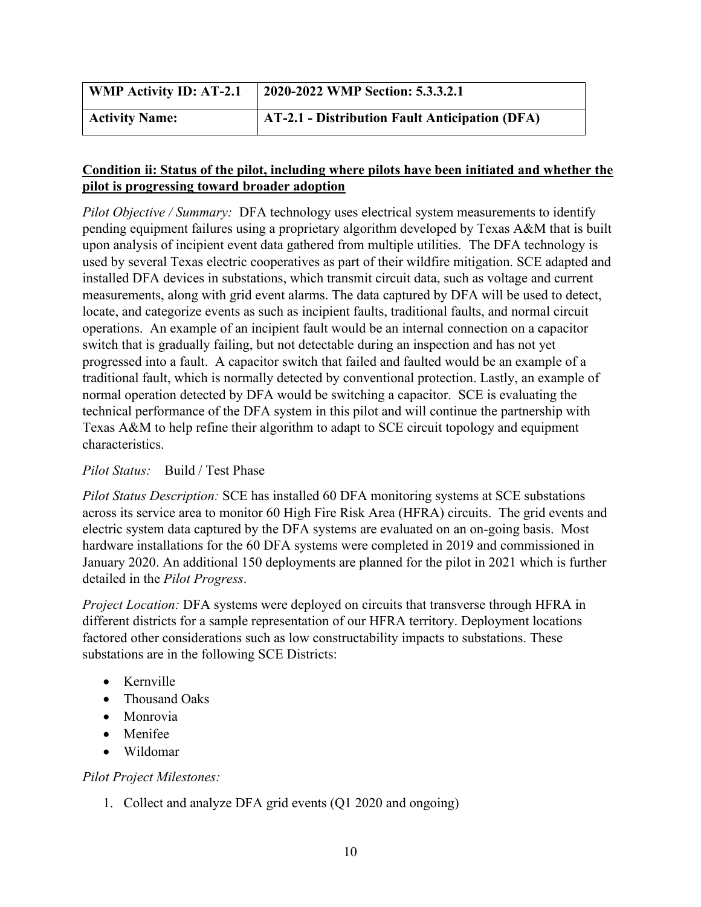| <b>WMP Activity ID: AT-2.1</b> | 2020-2022 WMP Section: 5.3.3.2.1               |
|--------------------------------|------------------------------------------------|
| <b>Activity Name:</b>          | AT-2.1 - Distribution Fault Anticipation (DFA) |

*Pilot Objective / Summary:* DFA technology uses electrical system measurements to identify pending equipment failures using a proprietary algorithm developed by Texas A&M that is built upon analysis of incipient event data gathered from multiple utilities. The DFA technology is used by several Texas electric cooperatives as part of their wildfire mitigation. SCE adapted and installed DFA devices in substations, which transmit circuit data, such as voltage and current measurements, along with grid event alarms. The data captured by DFA will be used to detect, locate, and categorize events as such as incipient faults, traditional faults, and normal circuit operations. An example of an incipient fault would be an internal connection on a capacitor switch that is gradually failing, but not detectable during an inspection and has not yet progressed into a fault. A capacitor switch that failed and faulted would be an example of a traditional fault, which is normally detected by conventional protection. Lastly, an example of normal operation detected by DFA would be switching a capacitor. SCE is evaluating the technical performance of the DFA system in this pilot and will continue the partnership with Texas A&M to help refine their algorithm to adapt to SCE circuit topology and equipment characteristics.

#### *Pilot Status:* Build / Test Phase

*Pilot Status Description:* SCE has installed 60 DFA monitoring systems at SCE substations across its service area to monitor 60 High Fire Risk Area (HFRA) circuits. The grid events and electric system data captured by the DFA systems are evaluated on an on-going basis. Most hardware installations for the 60 DFA systems were completed in 2019 and commissioned in January 2020. An additional 150 deployments are planned for the pilot in 2021 which is further detailed in the *Pilot Progress*.

*Project Location:* DFA systems were deployed on circuits that transverse through HFRA in different districts for a sample representation of our HFRA territory. Deployment locations factored other considerations such as low constructability impacts to substations. These substations are in the following SCE Districts:

- Kernville
- Thousand Oaks
- Monrovia
- Menifee
- Wildomar

#### *Pilot Project Milestones:*

1. Collect and analyze DFA grid events (Q1 2020 and ongoing)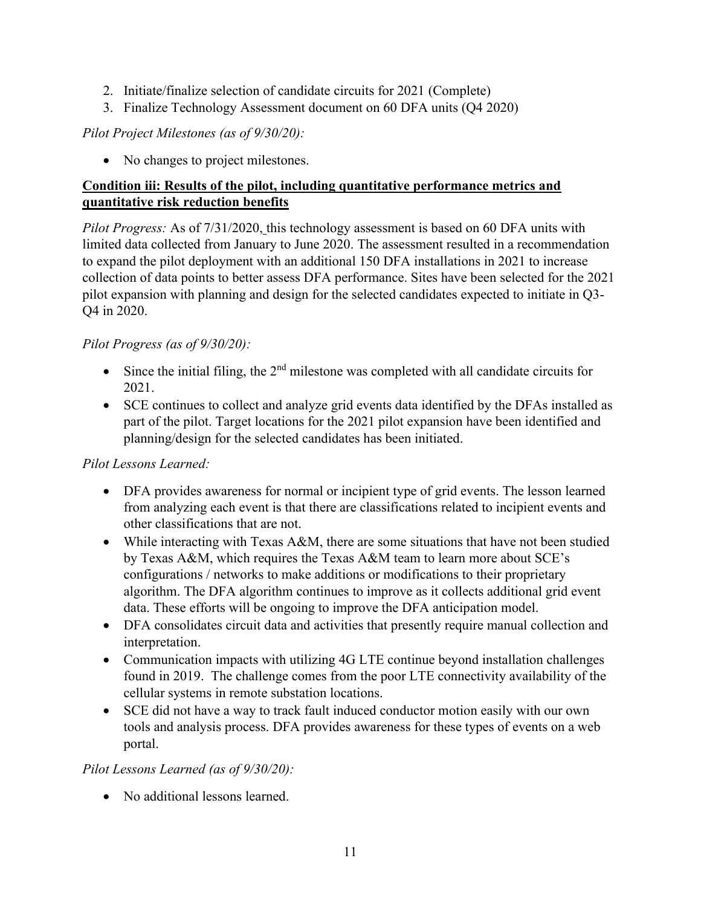- 2. Initiate/finalize selection of candidate circuits for 2021 (Complete)
- 3. Finalize Technology Assessment document on 60 DFA units (Q4 2020)

# *Pilot Project Milestones (as of 9/30/20):*

• No changes to project milestones.

#### **Condition iii: Results of the pilot, including quantitative performance metrics and quantitative risk reduction benefits**

*Pilot Progress:* As of 7/31/2020, this technology assessment is based on 60 DFA units with limited data collected from January to June 2020. The assessment resulted in a recommendation to expand the pilot deployment with an additional 150 DFA installations in 2021 to increase collection of data points to better assess DFA performance. Sites have been selected for the 2021 pilot expansion with planning and design for the selected candidates expected to initiate in Q3- Q4 in 2020.

#### *Pilot Progress (as of 9/30/20):*

- Since the initial filing, the  $2<sup>nd</sup>$  milestone was completed with all candidate circuits for 2021.
- SCE continues to collect and analyze grid events data identified by the DFAs installed as part of the pilot. Target locations for the 2021 pilot expansion have been identified and planning/design for the selected candidates has been initiated.

#### *Pilot Lessons Learned:*

- DFA provides awareness for normal or incipient type of grid events. The lesson learned from analyzing each event is that there are classifications related to incipient events and other classifications that are not.
- While interacting with Texas A&M, there are some situations that have not been studied by Texas A&M, which requires the Texas A&M team to learn more about SCE's configurations / networks to make additions or modifications to their proprietary algorithm. The DFA algorithm continues to improve as it collects additional grid event data. These efforts will be ongoing to improve the DFA anticipation model.
- DFA consolidates circuit data and activities that presently require manual collection and interpretation.
- Communication impacts with utilizing 4G LTE continue beyond installation challenges found in 2019. The challenge comes from the poor LTE connectivity availability of the cellular systems in remote substation locations.
- SCE did not have a way to track fault induced conductor motion easily with our own tools and analysis process. DFA provides awareness for these types of events on a web portal.

# *Pilot Lessons Learned (as of 9/30/20):*

• No additional lessons learned.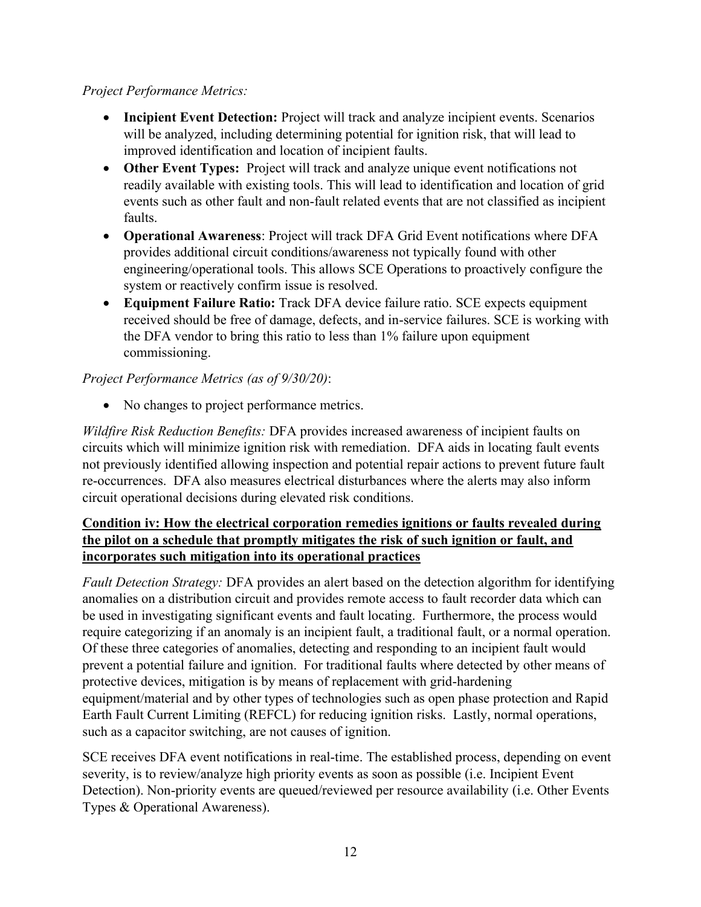#### *Project Performance Metrics:*

- **Incipient Event Detection:** Project will track and analyze incipient events. Scenarios will be analyzed, including determining potential for ignition risk, that will lead to improved identification and location of incipient faults.
- **Other Event Types:** Project will track and analyze unique event notifications not readily available with existing tools. This will lead to identification and location of grid events such as other fault and non-fault related events that are not classified as incipient faults.
- **Operational Awareness**: Project will track DFA Grid Event notifications where DFA provides additional circuit conditions/awareness not typically found with other engineering/operational tools. This allows SCE Operations to proactively configure the system or reactively confirm issue is resolved.
- **Equipment Failure Ratio:** Track DFA device failure ratio. SCE expects equipment received should be free of damage, defects, and in-service failures. SCE is working with the DFA vendor to bring this ratio to less than 1% failure upon equipment commissioning.

# *Project Performance Metrics (as of 9/30/20)*:

• No changes to project performance metrics.

*Wildfire Risk Reduction Benefits:* DFA provides increased awareness of incipient faults on circuits which will minimize ignition risk with remediation. DFA aids in locating fault events not previously identified allowing inspection and potential repair actions to prevent future fault re-occurrences. DFA also measures electrical disturbances where the alerts may also inform circuit operational decisions during elevated risk conditions.

# **Condition iv: How the electrical corporation remedies ignitions or faults revealed during the pilot on a schedule that promptly mitigates the risk of such ignition or fault, and incorporates such mitigation into its operational practices**

*Fault Detection Strategy:* DFA provides an alert based on the detection algorithm for identifying anomalies on a distribution circuit and provides remote access to fault recorder data which can be used in investigating significant events and fault locating. Furthermore, the process would require categorizing if an anomaly is an incipient fault, a traditional fault, or a normal operation. Of these three categories of anomalies, detecting and responding to an incipient fault would prevent a potential failure and ignition. For traditional faults where detected by other means of protective devices, mitigation is by means of replacement with grid-hardening equipment/material and by other types of technologies such as open phase protection and Rapid Earth Fault Current Limiting (REFCL) for reducing ignition risks. Lastly, normal operations, such as a capacitor switching, are not causes of ignition.

SCE receives DFA event notifications in real-time. The established process, depending on event severity, is to review/analyze high priority events as soon as possible (i.e. Incipient Event Detection). Non-priority events are queued/reviewed per resource availability (i.e. Other Events Types & Operational Awareness).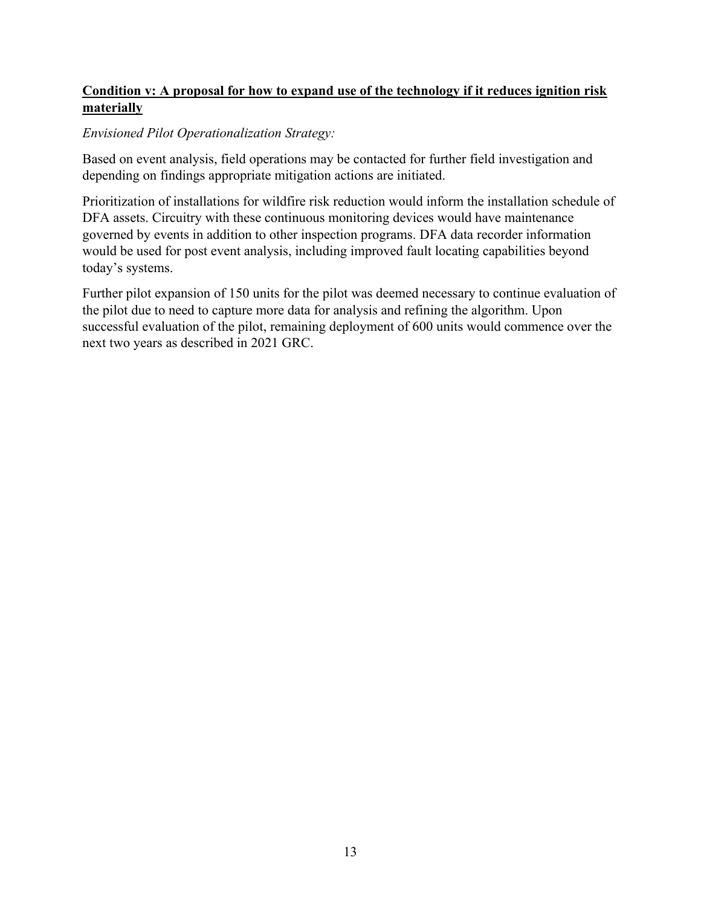# **Condition v: A proposal for how to expand use of the technology if it reduces ignition risk materially**

#### *Envisioned Pilot Operationalization Strategy:*

Based on event analysis, field operations may be contacted for further field investigation and depending on findings appropriate mitigation actions are initiated.

Prioritization of installations for wildfire risk reduction would inform the installation schedule of DFA assets. Circuitry with these continuous monitoring devices would have maintenance governed by events in addition to other inspection programs. DFA data recorder information would be used for post event analysis, including improved fault locating capabilities beyond today's systems.

Further pilot expansion of 150 units for the pilot was deemed necessary to continue evaluation of the pilot due to need to capture more data for analysis and refining the algorithm. Upon successful evaluation of the pilot, remaining deployment of 600 units would commence over the next two years as described in 2021 GRC.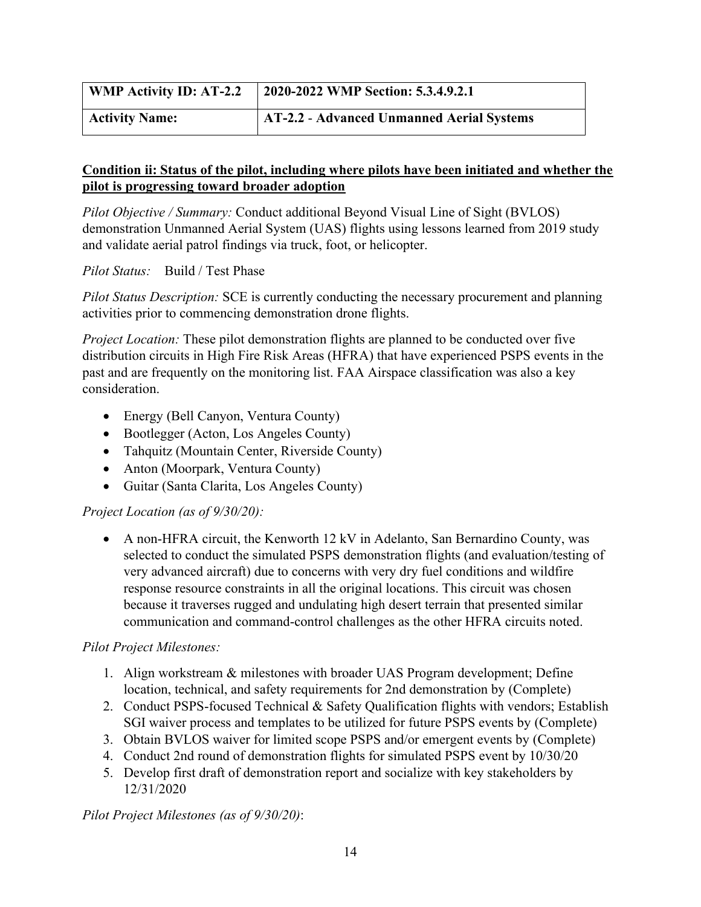| <b>WMP Activity ID: AT-2.2</b> | 2020-2022 WMP Section: 5.3.4.9.2.1        |
|--------------------------------|-------------------------------------------|
| <b>Activity Name:</b>          | AT-2.2 - Advanced Unmanned Aerial Systems |

*Pilot Objective / Summary:* Conduct additional Beyond Visual Line of Sight (BVLOS) demonstration Unmanned Aerial System (UAS) flights using lessons learned from 2019 study and validate aerial patrol findings via truck, foot, or helicopter.

*Pilot Status:* Build / Test Phase

*Pilot Status Description:* SCE is currently conducting the necessary procurement and planning activities prior to commencing demonstration drone flights.

*Project Location:* These pilot demonstration flights are planned to be conducted over five distribution circuits in High Fire Risk Areas (HFRA) that have experienced PSPS events in the past and are frequently on the monitoring list. FAA Airspace classification was also a key consideration.

- Energy (Bell Canyon, Ventura County)
- Bootlegger (Acton, Los Angeles County)
- Tahquitz (Mountain Center, Riverside County)
- Anton (Moorpark, Ventura County)
- Guitar (Santa Clarita, Los Angeles County)

#### *Project Location (as of 9/30/20):*

• A non-HFRA circuit, the Kenworth 12 kV in Adelanto, San Bernardino County, was selected to conduct the simulated PSPS demonstration flights (and evaluation/testing of very advanced aircraft) due to concerns with very dry fuel conditions and wildfire response resource constraints in all the original locations. This circuit was chosen because it traverses rugged and undulating high desert terrain that presented similar communication and command-control challenges as the other HFRA circuits noted.

#### *Pilot Project Milestones:*

- 1. Align workstream & milestones with broader UAS Program development; Define location, technical, and safety requirements for 2nd demonstration by (Complete)
- 2. Conduct PSPS-focused Technical & Safety Qualification flights with vendors; Establish SGI waiver process and templates to be utilized for future PSPS events by (Complete)
- 3. Obtain BVLOS waiver for limited scope PSPS and/or emergent events by (Complete)
- 4. Conduct 2nd round of demonstration flights for simulated PSPS event by 10/30/20
- 5. Develop first draft of demonstration report and socialize with key stakeholders by 12/31/2020

*Pilot Project Milestones (as of 9/30/20)*: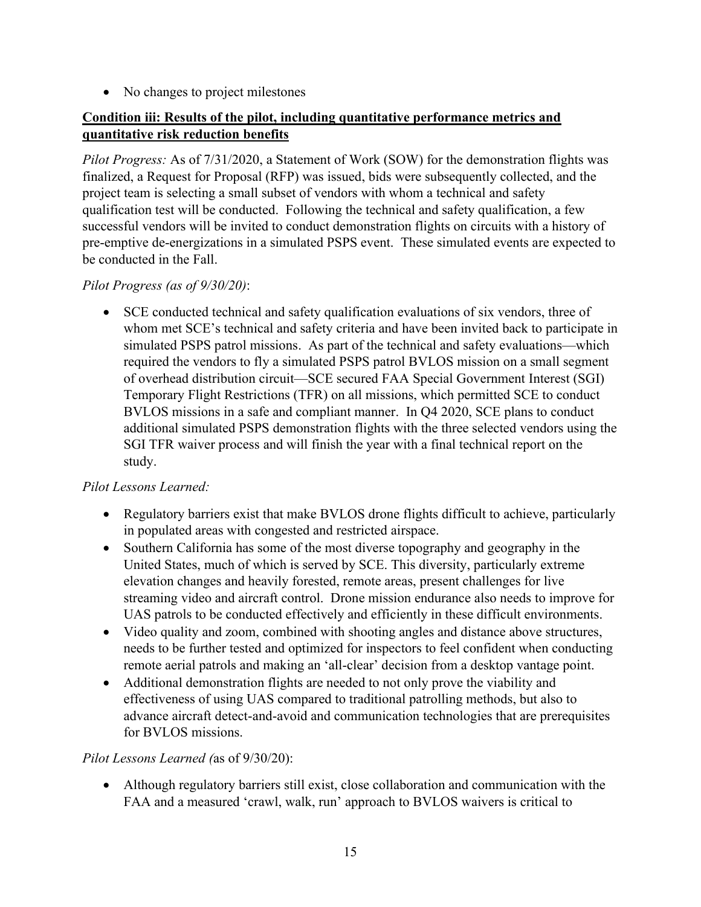• No changes to project milestones

#### **Condition iii: Results of the pilot, including quantitative performance metrics and quantitative risk reduction benefits**

*Pilot Progress:* As of 7/31/2020, a Statement of Work (SOW) for the demonstration flights was finalized, a Request for Proposal (RFP) was issued, bids were subsequently collected, and the project team is selecting a small subset of vendors with whom a technical and safety qualification test will be conducted. Following the technical and safety qualification, a few successful vendors will be invited to conduct demonstration flights on circuits with a history of pre-emptive de-energizations in a simulated PSPS event. These simulated events are expected to be conducted in the Fall.

#### *Pilot Progress (as of 9/30/20)*:

• SCE conducted technical and safety qualification evaluations of six vendors, three of whom met SCE's technical and safety criteria and have been invited back to participate in simulated PSPS patrol missions. As part of the technical and safety evaluations—which required the vendors to fly a simulated PSPS patrol BVLOS mission on a small segment of overhead distribution circuit—SCE secured FAA Special Government Interest (SGI) Temporary Flight Restrictions (TFR) on all missions, which permitted SCE to conduct BVLOS missions in a safe and compliant manner. In Q4 2020, SCE plans to conduct additional simulated PSPS demonstration flights with the three selected vendors using the SGI TFR waiver process and will finish the year with a final technical report on the study.

#### *Pilot Lessons Learned:*

- Regulatory barriers exist that make BVLOS drone flights difficult to achieve, particularly in populated areas with congested and restricted airspace.
- Southern California has some of the most diverse topography and geography in the United States, much of which is served by SCE. This diversity, particularly extreme elevation changes and heavily forested, remote areas, present challenges for live streaming video and aircraft control. Drone mission endurance also needs to improve for UAS patrols to be conducted effectively and efficiently in these difficult environments.
- Video quality and zoom, combined with shooting angles and distance above structures, needs to be further tested and optimized for inspectors to feel confident when conducting remote aerial patrols and making an 'all-clear' decision from a desktop vantage point.
- Additional demonstration flights are needed to not only prove the viability and effectiveness of using UAS compared to traditional patrolling methods, but also to advance aircraft detect-and-avoid and communication technologies that are prerequisites for BVLOS missions.

#### *Pilot Lessons Learned (*as of 9/30/20):

• Although regulatory barriers still exist, close collaboration and communication with the FAA and a measured 'crawl, walk, run' approach to BVLOS waivers is critical to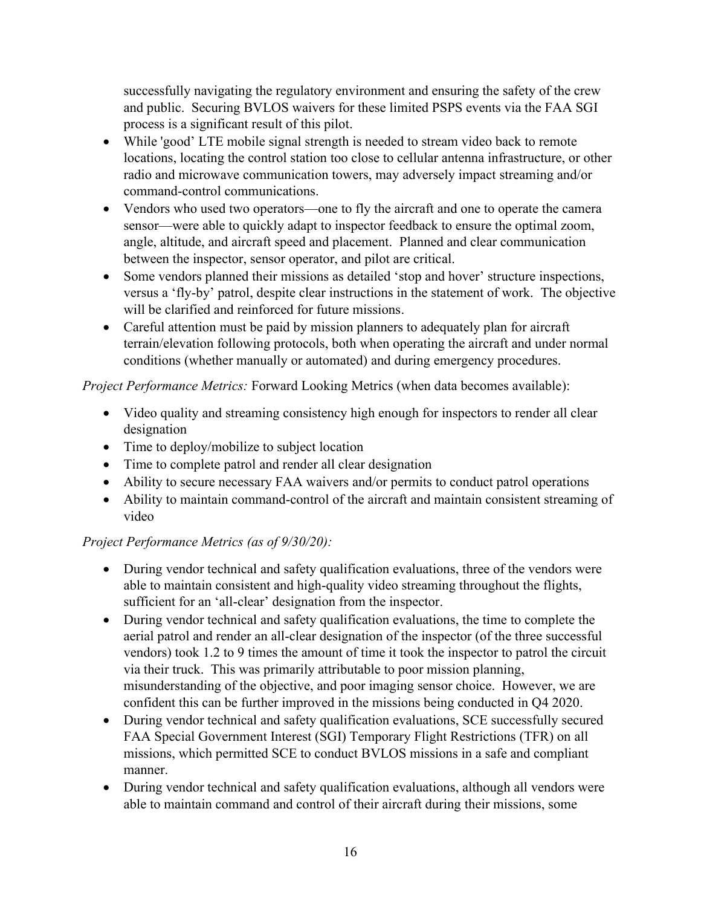successfully navigating the regulatory environment and ensuring the safety of the crew and public. Securing BVLOS waivers for these limited PSPS events via the FAA SGI process is a significant result of this pilot.

- While 'good' LTE mobile signal strength is needed to stream video back to remote locations, locating the control station too close to cellular antenna infrastructure, or other radio and microwave communication towers, may adversely impact streaming and/or command-control communications.
- Vendors who used two operators—one to fly the aircraft and one to operate the camera sensor—were able to quickly adapt to inspector feedback to ensure the optimal zoom, angle, altitude, and aircraft speed and placement. Planned and clear communication between the inspector, sensor operator, and pilot are critical.
- Some vendors planned their missions as detailed 'stop and hover' structure inspections, versus a 'fly-by' patrol, despite clear instructions in the statement of work. The objective will be clarified and reinforced for future missions.
- Careful attention must be paid by mission planners to adequately plan for aircraft terrain/elevation following protocols, both when operating the aircraft and under normal conditions (whether manually or automated) and during emergency procedures.

*Project Performance Metrics:* Forward Looking Metrics (when data becomes available):

- Video quality and streaming consistency high enough for inspectors to render all clear designation
- Time to deploy/mobilize to subject location
- Time to complete patrol and render all clear designation
- Ability to secure necessary FAA waivers and/or permits to conduct patrol operations
- Ability to maintain command-control of the aircraft and maintain consistent streaming of video

# *Project Performance Metrics (as of 9/30/20):*

- During vendor technical and safety qualification evaluations, three of the vendors were able to maintain consistent and high-quality video streaming throughout the flights, sufficient for an 'all-clear' designation from the inspector.
- During vendor technical and safety qualification evaluations, the time to complete the aerial patrol and render an all-clear designation of the inspector (of the three successful vendors) took 1.2 to 9 times the amount of time it took the inspector to patrol the circuit via their truck. This was primarily attributable to poor mission planning, misunderstanding of the objective, and poor imaging sensor choice. However, we are confident this can be further improved in the missions being conducted in Q4 2020.
- During vendor technical and safety qualification evaluations, SCE successfully secured FAA Special Government Interest (SGI) Temporary Flight Restrictions (TFR) on all missions, which permitted SCE to conduct BVLOS missions in a safe and compliant manner.
- During vendor technical and safety qualification evaluations, although all vendors were able to maintain command and control of their aircraft during their missions, some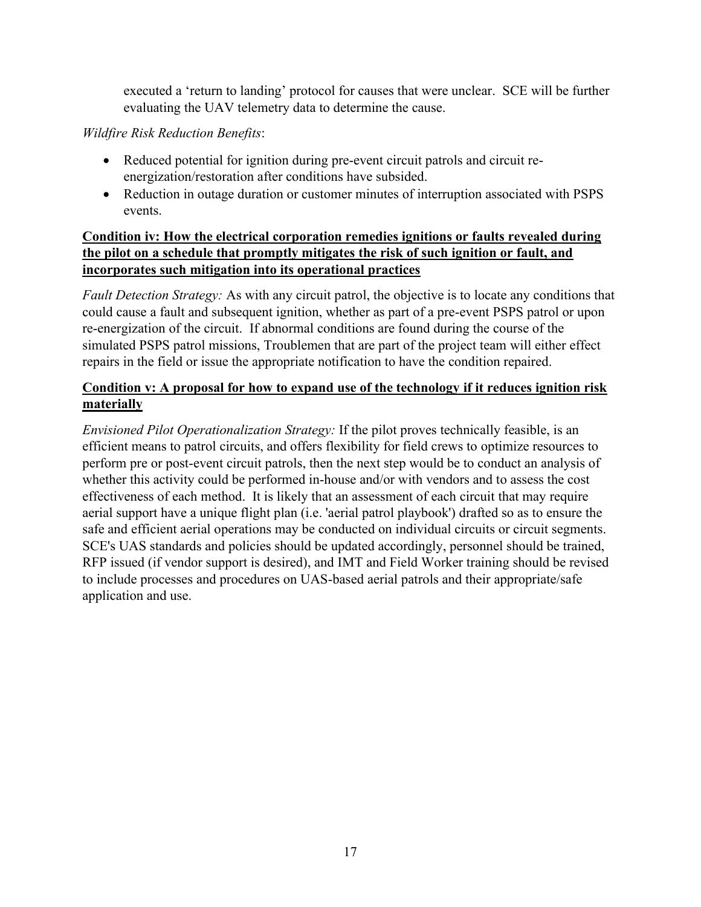executed a 'return to landing' protocol for causes that were unclear. SCE will be further evaluating the UAV telemetry data to determine the cause.

# *Wildfire Risk Reduction Benefits*:

- Reduced potential for ignition during pre-event circuit patrols and circuit reenergization/restoration after conditions have subsided.
- Reduction in outage duration or customer minutes of interruption associated with PSPS events.

#### **Condition iv: How the electrical corporation remedies ignitions or faults revealed during the pilot on a schedule that promptly mitigates the risk of such ignition or fault, and incorporates such mitigation into its operational practices**

*Fault Detection Strategy:* As with any circuit patrol, the objective is to locate any conditions that could cause a fault and subsequent ignition, whether as part of a pre-event PSPS patrol or upon re-energization of the circuit. If abnormal conditions are found during the course of the simulated PSPS patrol missions, Troublemen that are part of the project team will either effect repairs in the field or issue the appropriate notification to have the condition repaired.

# **Condition v: A proposal for how to expand use of the technology if it reduces ignition risk materially**

*Envisioned Pilot Operationalization Strategy:* If the pilot proves technically feasible, is an efficient means to patrol circuits, and offers flexibility for field crews to optimize resources to perform pre or post-event circuit patrols, then the next step would be to conduct an analysis of whether this activity could be performed in-house and/or with vendors and to assess the cost effectiveness of each method. It is likely that an assessment of each circuit that may require aerial support have a unique flight plan (i.e. 'aerial patrol playbook') drafted so as to ensure the safe and efficient aerial operations may be conducted on individual circuits or circuit segments. SCE's UAS standards and policies should be updated accordingly, personnel should be trained, RFP issued (if vendor support is desired), and IMT and Field Worker training should be revised to include processes and procedures on UAS-based aerial patrols and their appropriate/safe application and use.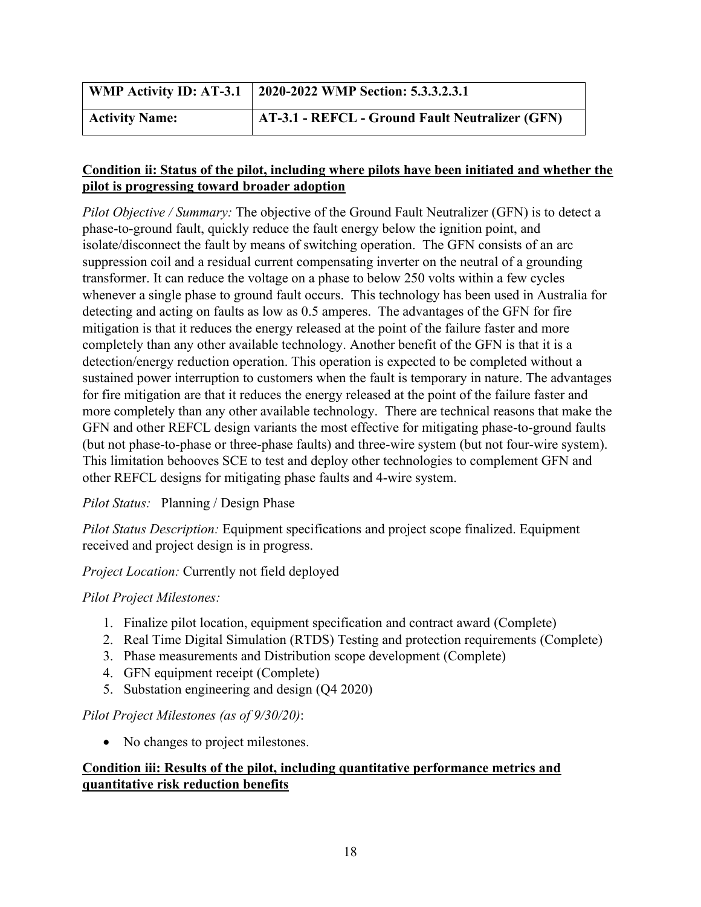|                       | WMP Activity ID: AT-3.1   2020-2022 WMP Section: 5.3.3.2.3.1 |
|-----------------------|--------------------------------------------------------------|
| <b>Activity Name:</b> | <b>AT-3.1 - REFCL - Ground Fault Neutralizer (GFN)</b>       |

*Pilot Objective / Summary:* The objective of the Ground Fault Neutralizer (GFN) is to detect a phase-to-ground fault, quickly reduce the fault energy below the ignition point, and isolate/disconnect the fault by means of switching operation. The GFN consists of an arc suppression coil and a residual current compensating inverter on the neutral of a grounding transformer. It can reduce the voltage on a phase to below 250 volts within a few cycles whenever a single phase to ground fault occurs. This technology has been used in Australia for detecting and acting on faults as low as 0.5 amperes. The advantages of the GFN for fire mitigation is that it reduces the energy released at the point of the failure faster and more completely than any other available technology. Another benefit of the GFN is that it is a detection/energy reduction operation. This operation is expected to be completed without a sustained power interruption to customers when the fault is temporary in nature. The advantages for fire mitigation are that it reduces the energy released at the point of the failure faster and more completely than any other available technology. There are technical reasons that make the GFN and other REFCL design variants the most effective for mitigating phase-to-ground faults (but not phase-to-phase or three-phase faults) and three-wire system (but not four-wire system). This limitation behooves SCE to test and deploy other technologies to complement GFN and other REFCL designs for mitigating phase faults and 4-wire system.

#### *Pilot Status:* Planning / Design Phase

*Pilot Status Description:* Equipment specifications and project scope finalized. Equipment received and project design is in progress.

*Project Location:* Currently not field deployed

#### *Pilot Project Milestones:*

- 1. Finalize pilot location, equipment specification and contract award (Complete)
- 2. Real Time Digital Simulation (RTDS) Testing and protection requirements (Complete)
- 3. Phase measurements and Distribution scope development (Complete)
- 4. GFN equipment receipt (Complete)
- 5. Substation engineering and design (Q4 2020)

#### *Pilot Project Milestones (as of 9/30/20)*:

• No changes to project milestones.

#### **Condition iii: Results of the pilot, including quantitative performance metrics and quantitative risk reduction benefits**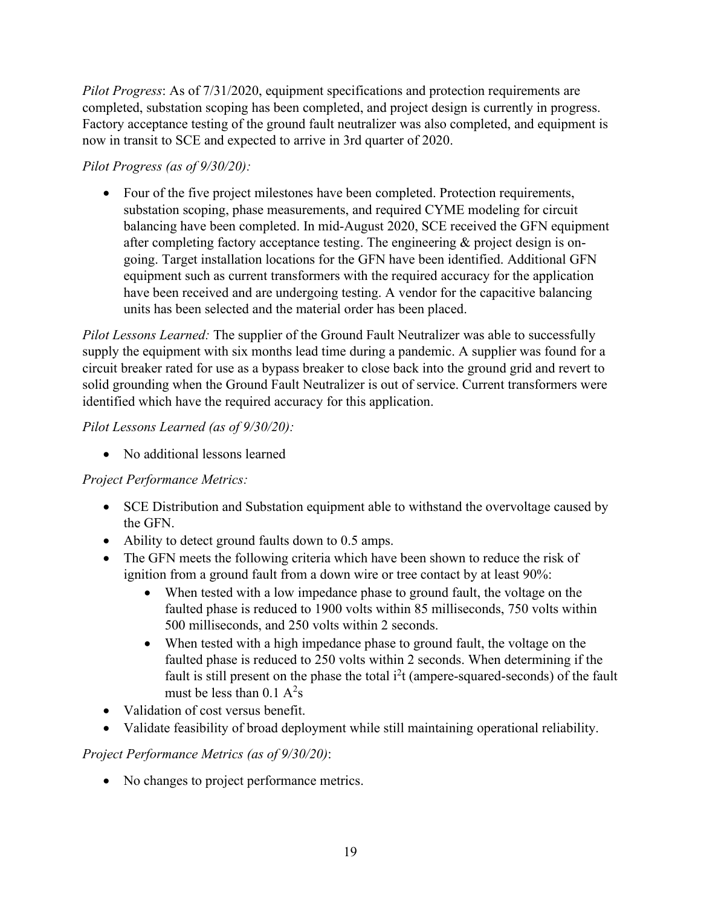*Pilot Progress*: As of 7/31/2020, equipment specifications and protection requirements are completed, substation scoping has been completed, and project design is currently in progress. Factory acceptance testing of the ground fault neutralizer was also completed, and equipment is now in transit to SCE and expected to arrive in 3rd quarter of 2020.

# *Pilot Progress (as of 9/30/20):*

• Four of the five project milestones have been completed. Protection requirements, substation scoping, phase measurements, and required CYME modeling for circuit balancing have been completed. In mid-August 2020, SCE received the GFN equipment after completing factory acceptance testing. The engineering & project design is ongoing. Target installation locations for the GFN have been identified. Additional GFN equipment such as current transformers with the required accuracy for the application have been received and are undergoing testing. A vendor for the capacitive balancing units has been selected and the material order has been placed.

*Pilot Lessons Learned:* The supplier of the Ground Fault Neutralizer was able to successfully supply the equipment with six months lead time during a pandemic. A supplier was found for a circuit breaker rated for use as a bypass breaker to close back into the ground grid and revert to solid grounding when the Ground Fault Neutralizer is out of service. Current transformers were identified which have the required accuracy for this application.

# *Pilot Lessons Learned (as of 9/30/20):*

• No additional lessons learned

# *Project Performance Metrics:*

- SCE Distribution and Substation equipment able to withstand the overvoltage caused by the GFN.
- Ability to detect ground faults down to 0.5 amps.
- The GFN meets the following criteria which have been shown to reduce the risk of ignition from a ground fault from a down wire or tree contact by at least 90%:
	- When tested with a low impedance phase to ground fault, the voltage on the faulted phase is reduced to 1900 volts within 85 milliseconds, 750 volts within 500 milliseconds, and 250 volts within 2 seconds.
	- When tested with a high impedance phase to ground fault, the voltage on the faulted phase is reduced to 250 volts within 2 seconds. When determining if the fault is still present on the phase the total  $i^2t$  (ampere-squared-seconds) of the fault must be less than  $0.1 \text{ A}^2$ s
- Validation of cost versus benefit.
- Validate feasibility of broad deployment while still maintaining operational reliability.

# *Project Performance Metrics (as of 9/30/20)*:

• No changes to project performance metrics.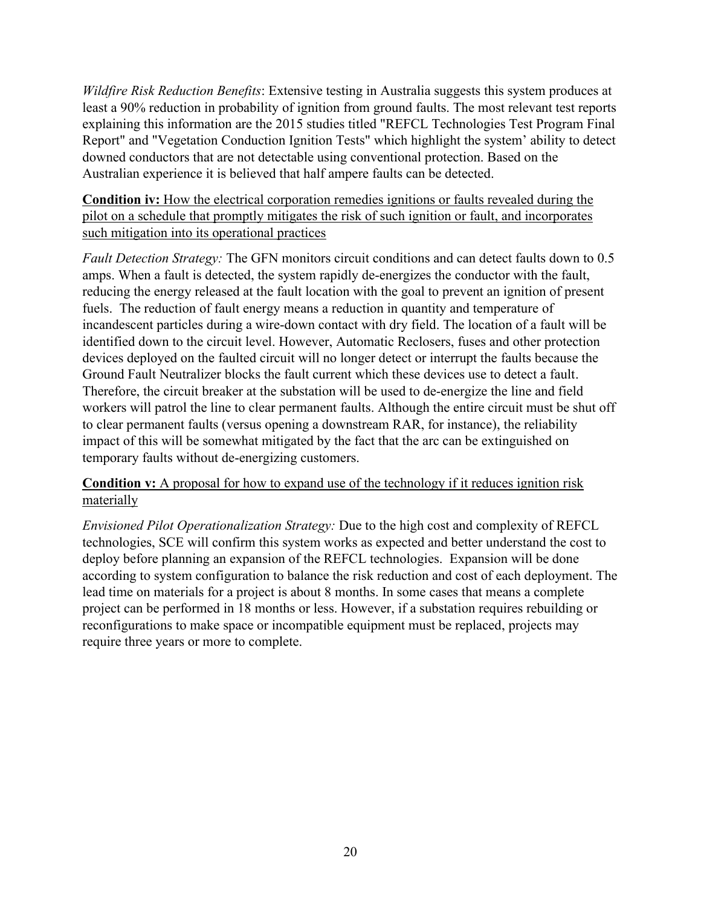*Wildfire Risk Reduction Benefits*: Extensive testing in Australia suggests this system produces at least a 90% reduction in probability of ignition from ground faults. The most relevant test reports explaining this information are the 2015 studies titled "REFCL Technologies Test Program Final Report" and "Vegetation Conduction Ignition Tests" which highlight the system' ability to detect downed conductors that are not detectable using conventional protection. Based on the Australian experience it is believed that half ampere faults can be detected.

**Condition iv:** How the electrical corporation remedies ignitions or faults revealed during the pilot on a schedule that promptly mitigates the risk of such ignition or fault, and incorporates such mitigation into its operational practices

*Fault Detection Strategy:* The GFN monitors circuit conditions and can detect faults down to 0.5 amps. When a fault is detected, the system rapidly de-energizes the conductor with the fault, reducing the energy released at the fault location with the goal to prevent an ignition of present fuels. The reduction of fault energy means a reduction in quantity and temperature of incandescent particles during a wire-down contact with dry field. The location of a fault will be identified down to the circuit level. However, Automatic Reclosers, fuses and other protection devices deployed on the faulted circuit will no longer detect or interrupt the faults because the Ground Fault Neutralizer blocks the fault current which these devices use to detect a fault. Therefore, the circuit breaker at the substation will be used to de-energize the line and field workers will patrol the line to clear permanent faults. Although the entire circuit must be shut off to clear permanent faults (versus opening a downstream RAR, for instance), the reliability impact of this will be somewhat mitigated by the fact that the arc can be extinguished on temporary faults without de-energizing customers.

**Condition v:** A proposal for how to expand use of the technology if it reduces ignition risk materially

*Envisioned Pilot Operationalization Strategy:* Due to the high cost and complexity of REFCL technologies, SCE will confirm this system works as expected and better understand the cost to deploy before planning an expansion of the REFCL technologies. Expansion will be done according to system configuration to balance the risk reduction and cost of each deployment. The lead time on materials for a project is about 8 months. In some cases that means a complete project can be performed in 18 months or less. However, if a substation requires rebuilding or reconfigurations to make space or incompatible equipment must be replaced, projects may require three years or more to complete.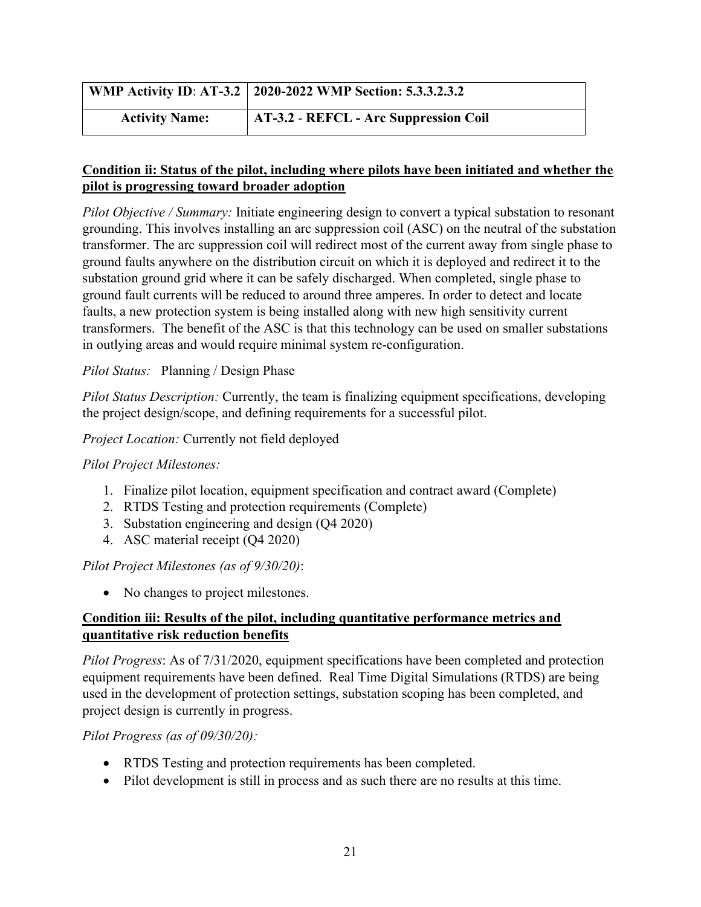|                       | WMP Activity ID: AT-3.2   2020-2022 WMP Section: 5.3.3.2.3.2 |
|-----------------------|--------------------------------------------------------------|
| <b>Activity Name:</b> | AT-3.2 - REFCL - Arc Suppression Coil                        |

*Pilot Objective / Summary:* Initiate engineering design to convert a typical substation to resonant grounding. This involves installing an arc suppression coil (ASC) on the neutral of the substation transformer. The arc suppression coil will redirect most of the current away from single phase to ground faults anywhere on the distribution circuit on which it is deployed and redirect it to the substation ground grid where it can be safely discharged. When completed, single phase to ground fault currents will be reduced to around three amperes. In order to detect and locate faults, a new protection system is being installed along with new high sensitivity current transformers. The benefit of the ASC is that this technology can be used on smaller substations in outlying areas and would require minimal system re-configuration.

#### *Pilot Status:* Planning / Design Phase

*Pilot Status Description:* Currently, the team is finalizing equipment specifications, developing the project design/scope, and defining requirements for a successful pilot.

#### *Project Location:* Currently not field deployed

#### *Pilot Project Milestones:*

- 1. Finalize pilot location, equipment specification and contract award (Complete)
- 2. RTDS Testing and protection requirements (Complete)
- 3. Substation engineering and design (Q4 2020)
- 4. ASC material receipt (Q4 2020)

#### *Pilot Project Milestones (as of 9/30/20)*:

• No changes to project milestones.

#### **Condition iii: Results of the pilot, including quantitative performance metrics and quantitative risk reduction benefits**

*Pilot Progress*: As of 7/31/2020, equipment specifications have been completed and protection equipment requirements have been defined. Real Time Digital Simulations (RTDS) are being used in the development of protection settings, substation scoping has been completed, and project design is currently in progress.

#### *Pilot Progress (as of 09/30/20):*

- RTDS Testing and protection requirements has been completed.
- Pilot development is still in process and as such there are no results at this time.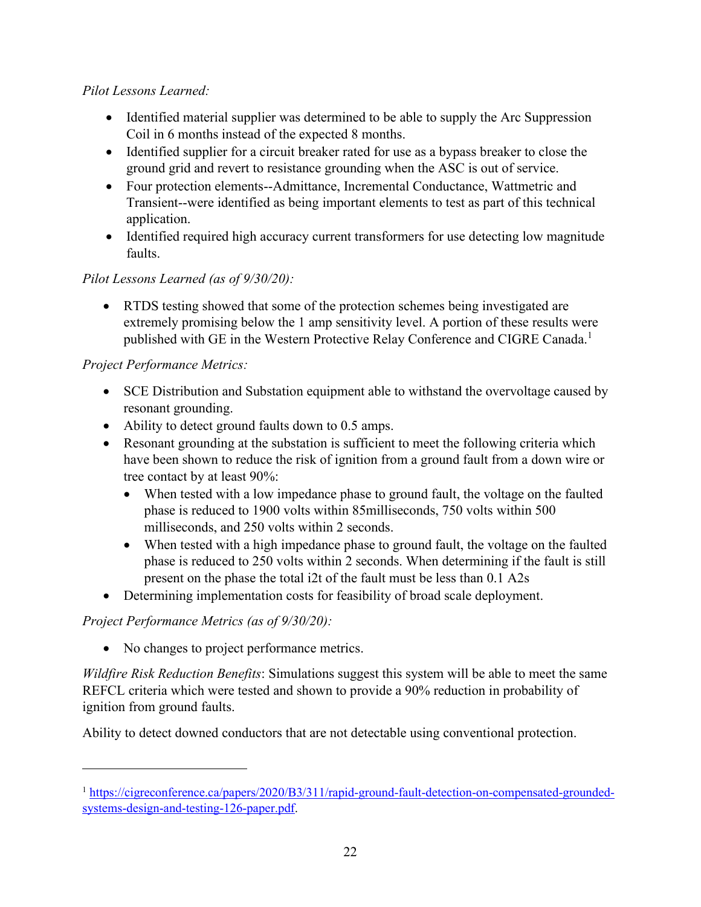# *Pilot Lessons Learned:*

- Identified material supplier was determined to be able to supply the Arc Suppression Coil in 6 months instead of the expected 8 months.
- Identified supplier for a circuit breaker rated for use as a bypass breaker to close the ground grid and revert to resistance grounding when the ASC is out of service.
- Four protection elements--Admittance, Incremental Conductance, Wattmetric and Transient--were identified as being important elements to test as part of this technical application.
- Identified required high accuracy current transformers for use detecting low magnitude faults.

# *Pilot Lessons Learned (as of 9/30/20):*

• RTDS testing showed that some of the protection schemes being investigated are extremely promising below the 1 amp sensitivity level. A portion of these results were published with GE in the Western Protective Relay Conference and CIGRE Canada.<sup>1</sup>

#### *Project Performance Metrics:*

- SCE Distribution and Substation equipment able to withstand the overvoltage caused by resonant grounding.
- Ability to detect ground faults down to 0.5 amps.
- Resonant grounding at the substation is sufficient to meet the following criteria which have been shown to reduce the risk of ignition from a ground fault from a down wire or tree contact by at least 90%:
	- When tested with a low impedance phase to ground fault, the voltage on the faulted phase is reduced to 1900 volts within 85milliseconds, 750 volts within 500 milliseconds, and 250 volts within 2 seconds.
	- When tested with a high impedance phase to ground fault, the voltage on the faulted phase is reduced to 250 volts within 2 seconds. When determining if the fault is still present on the phase the total i2t of the fault must be less than 0.1 A2s
- Determining implementation costs for feasibility of broad scale deployment.

# *Project Performance Metrics (as of 9/30/20):*

• No changes to project performance metrics.

*Wildfire Risk Reduction Benefits*: Simulations suggest this system will be able to meet the same REFCL criteria which were tested and shown to provide a 90% reduction in probability of ignition from ground faults.

Ability to detect downed conductors that are not detectable using conventional protection.

<sup>&</sup>lt;sup>1</sup> [https://cigreconference.ca/papers/2020/B3/311/rapid-ground-fault-detection-on-compensated-grounded](https://cigreconference.ca/papers/2020/B3/311/rapid-ground-fault-detection-on-compensated-grounded-systems-design-and-testing-126-paper.pdf)[systems-design-and-testing-126-paper.pdf.](https://cigreconference.ca/papers/2020/B3/311/rapid-ground-fault-detection-on-compensated-grounded-systems-design-and-testing-126-paper.pdf)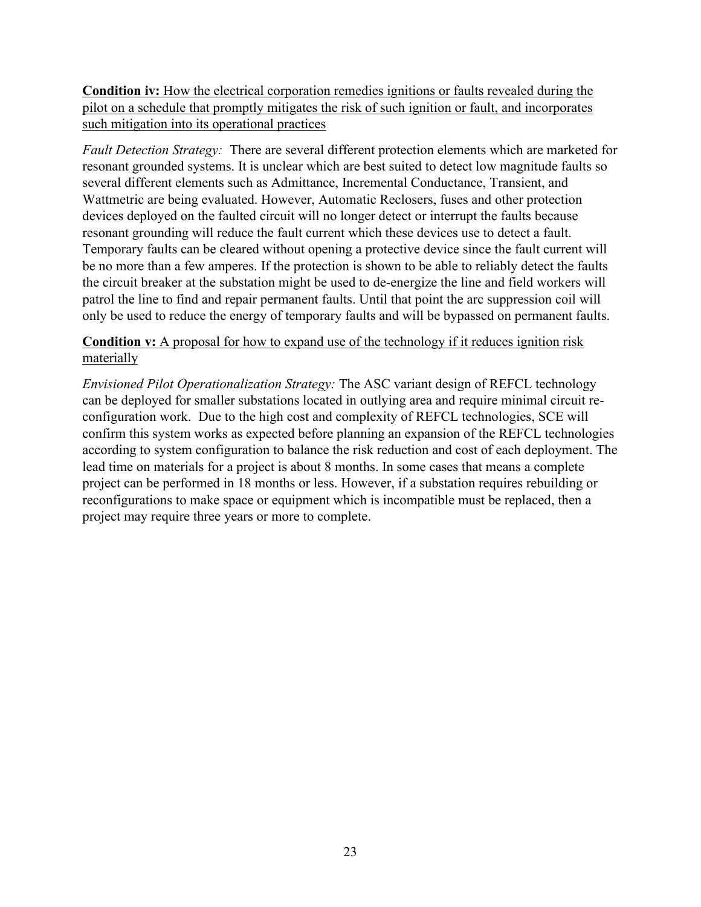**Condition iv:** How the electrical corporation remedies ignitions or faults revealed during the pilot on a schedule that promptly mitigates the risk of such ignition or fault, and incorporates such mitigation into its operational practices

*Fault Detection Strategy:* There are several different protection elements which are marketed for resonant grounded systems. It is unclear which are best suited to detect low magnitude faults so several different elements such as Admittance, Incremental Conductance, Transient, and Wattmetric are being evaluated. However, Automatic Reclosers, fuses and other protection devices deployed on the faulted circuit will no longer detect or interrupt the faults because resonant grounding will reduce the fault current which these devices use to detect a fault. Temporary faults can be cleared without opening a protective device since the fault current will be no more than a few amperes. If the protection is shown to be able to reliably detect the faults the circuit breaker at the substation might be used to de-energize the line and field workers will patrol the line to find and repair permanent faults. Until that point the arc suppression coil will only be used to reduce the energy of temporary faults and will be bypassed on permanent faults.

#### **Condition v:** A proposal for how to expand use of the technology if it reduces ignition risk materially

*Envisioned Pilot Operationalization Strategy:* The ASC variant design of REFCL technology can be deployed for smaller substations located in outlying area and require minimal circuit reconfiguration work. Due to the high cost and complexity of REFCL technologies, SCE will confirm this system works as expected before planning an expansion of the REFCL technologies according to system configuration to balance the risk reduction and cost of each deployment. The lead time on materials for a project is about 8 months. In some cases that means a complete project can be performed in 18 months or less. However, if a substation requires rebuilding or reconfigurations to make space or equipment which is incompatible must be replaced, then a project may require three years or more to complete.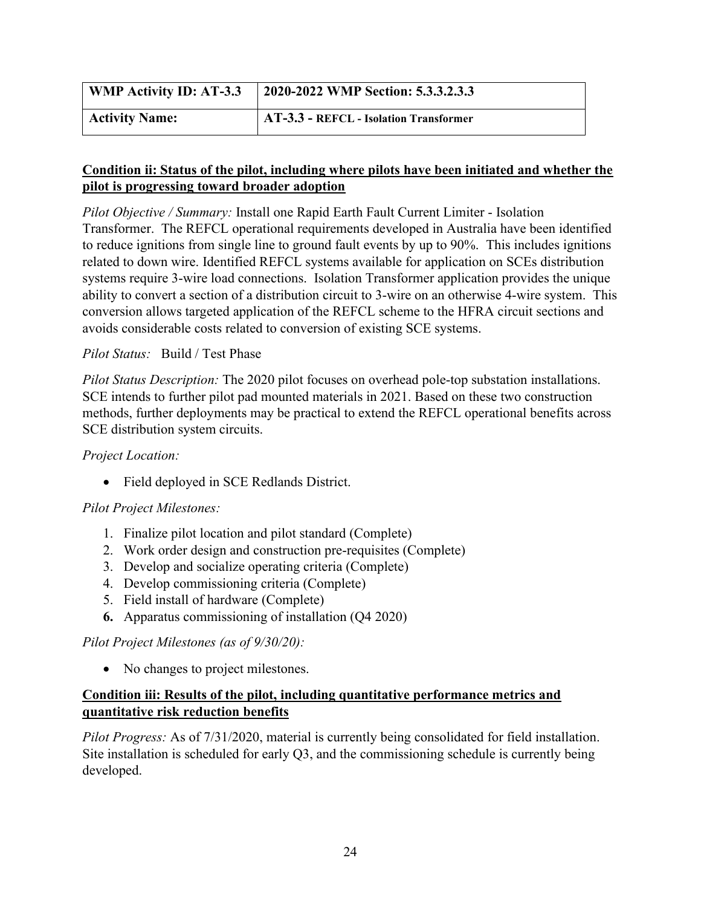| <b>WMP Activity ID: AT-3.3</b> | 2020-2022 WMP Section: 5.3.3.2.3.3     |
|--------------------------------|----------------------------------------|
| <b>Activity Name:</b>          | AT-3.3 - REFCL - Isolation Transformer |

*Pilot Objective / Summary:* Install one Rapid Earth Fault Current Limiter - Isolation Transformer. The REFCL operational requirements developed in Australia have been identified to reduce ignitions from single line to ground fault events by up to 90%. This includes ignitions related to down wire. Identified REFCL systems available for application on SCEs distribution systems require 3-wire load connections. Isolation Transformer application provides the unique ability to convert a section of a distribution circuit to 3-wire on an otherwise 4-wire system. This conversion allows targeted application of the REFCL scheme to the HFRA circuit sections and avoids considerable costs related to conversion of existing SCE systems.

#### *Pilot Status:* Build / Test Phase

*Pilot Status Description:* The 2020 pilot focuses on overhead pole-top substation installations. SCE intends to further pilot pad mounted materials in 2021. Based on these two construction methods, further deployments may be practical to extend the REFCL operational benefits across SCE distribution system circuits.

#### *Project Location:*

• Field deployed in SCE Redlands District.

# *Pilot Project Milestones:*

- 1. Finalize pilot location and pilot standard (Complete)
- 2. Work order design and construction pre-requisites (Complete)
- 3. Develop and socialize operating criteria (Complete)
- 4. Develop commissioning criteria (Complete)
- 5. Field install of hardware (Complete)
- **6.** Apparatus commissioning of installation (Q4 2020)

#### *Pilot Project Milestones (as of 9/30/20):*

• No changes to project milestones.

# **Condition iii: Results of the pilot, including quantitative performance metrics and quantitative risk reduction benefits**

*Pilot Progress:* As of 7/31/2020, material is currently being consolidated for field installation. Site installation is scheduled for early Q3, and the commissioning schedule is currently being developed.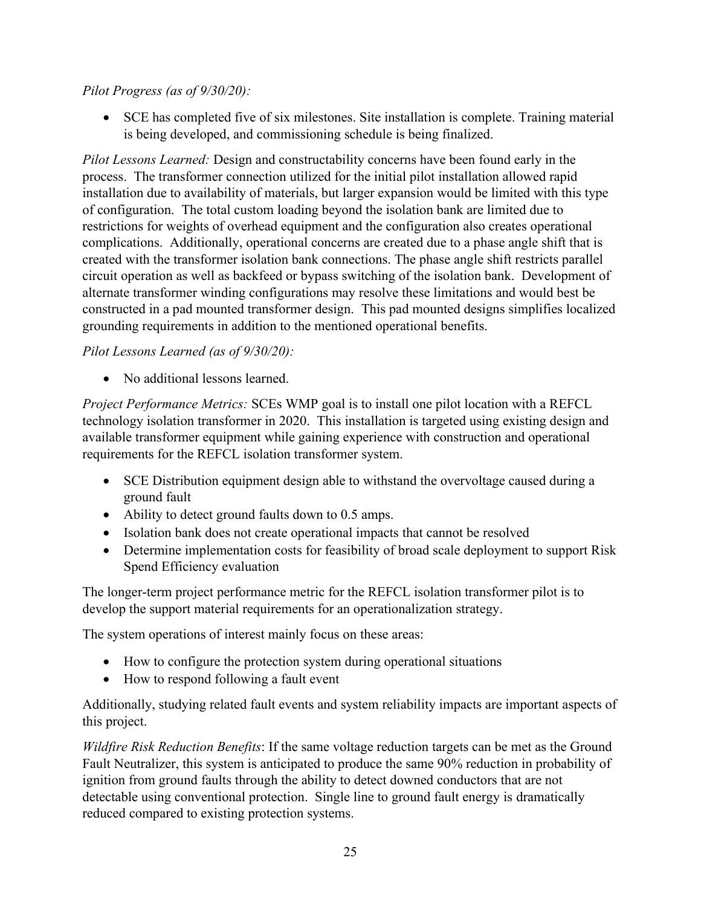# *Pilot Progress (as of 9/30/20):*

• SCE has completed five of six milestones. Site installation is complete. Training material is being developed, and commissioning schedule is being finalized.

*Pilot Lessons Learned:* Design and constructability concerns have been found early in the process. The transformer connection utilized for the initial pilot installation allowed rapid installation due to availability of materials, but larger expansion would be limited with this type of configuration. The total custom loading beyond the isolation bank are limited due to restrictions for weights of overhead equipment and the configuration also creates operational complications. Additionally, operational concerns are created due to a phase angle shift that is created with the transformer isolation bank connections. The phase angle shift restricts parallel circuit operation as well as backfeed or bypass switching of the isolation bank. Development of alternate transformer winding configurations may resolve these limitations and would best be constructed in a pad mounted transformer design. This pad mounted designs simplifies localized grounding requirements in addition to the mentioned operational benefits.

#### *Pilot Lessons Learned (as of 9/30/20):*

• No additional lessons learned.

*Project Performance Metrics:* SCEs WMP goal is to install one pilot location with a REFCL technology isolation transformer in 2020. This installation is targeted using existing design and available transformer equipment while gaining experience with construction and operational requirements for the REFCL isolation transformer system.

- SCE Distribution equipment design able to withstand the overvoltage caused during a ground fault
- Ability to detect ground faults down to 0.5 amps.
- Isolation bank does not create operational impacts that cannot be resolved
- Determine implementation costs for feasibility of broad scale deployment to support Risk Spend Efficiency evaluation

The longer-term project performance metric for the REFCL isolation transformer pilot is to develop the support material requirements for an operationalization strategy.

The system operations of interest mainly focus on these areas:

- How to configure the protection system during operational situations
- How to respond following a fault event

Additionally, studying related fault events and system reliability impacts are important aspects of this project.

*Wildfire Risk Reduction Benefits*: If the same voltage reduction targets can be met as the Ground Fault Neutralizer, this system is anticipated to produce the same 90% reduction in probability of ignition from ground faults through the ability to detect downed conductors that are not detectable using conventional protection. Single line to ground fault energy is dramatically reduced compared to existing protection systems.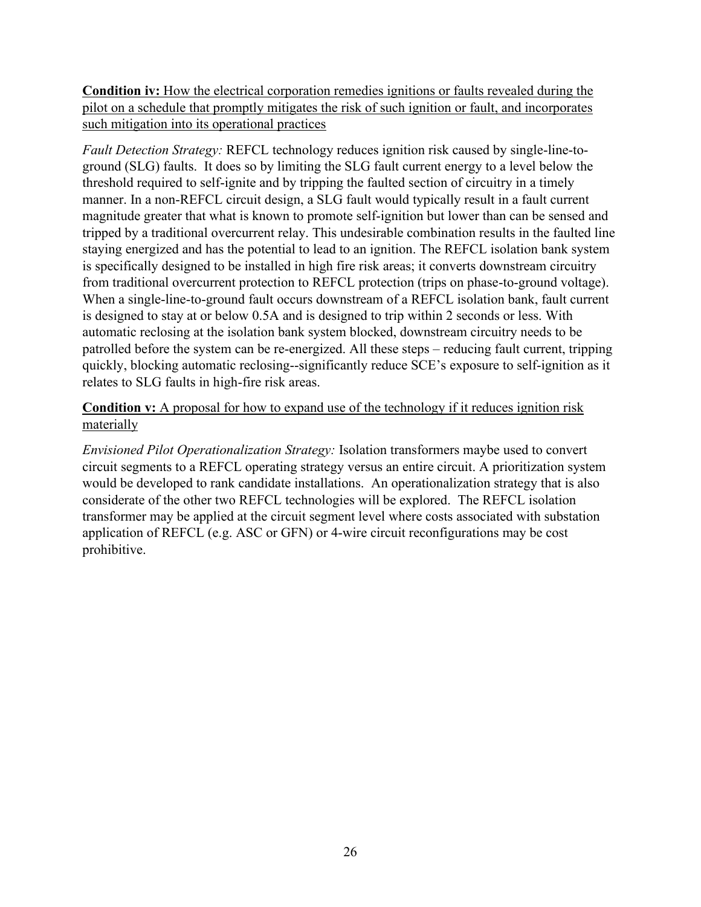**Condition iv:** How the electrical corporation remedies ignitions or faults revealed during the pilot on a schedule that promptly mitigates the risk of such ignition or fault, and incorporates such mitigation into its operational practices

*Fault Detection Strategy:* REFCL technology reduces ignition risk caused by single-line-toground (SLG) faults. It does so by limiting the SLG fault current energy to a level below the threshold required to self-ignite and by tripping the faulted section of circuitry in a timely manner. In a non-REFCL circuit design, a SLG fault would typically result in a fault current magnitude greater that what is known to promote self-ignition but lower than can be sensed and tripped by a traditional overcurrent relay. This undesirable combination results in the faulted line staying energized and has the potential to lead to an ignition. The REFCL isolation bank system is specifically designed to be installed in high fire risk areas; it converts downstream circuitry from traditional overcurrent protection to REFCL protection (trips on phase-to-ground voltage). When a single-line-to-ground fault occurs downstream of a REFCL isolation bank, fault current is designed to stay at or below 0.5A and is designed to trip within 2 seconds or less. With automatic reclosing at the isolation bank system blocked, downstream circuitry needs to be patrolled before the system can be re-energized. All these steps – reducing fault current, tripping quickly, blocking automatic reclosing--significantly reduce SCE's exposure to self-ignition as it relates to SLG faults in high-fire risk areas.

#### **Condition v:** A proposal for how to expand use of the technology if it reduces ignition risk materially

*Envisioned Pilot Operationalization Strategy:* Isolation transformers maybe used to convert circuit segments to a REFCL operating strategy versus an entire circuit. A prioritization system would be developed to rank candidate installations. An operationalization strategy that is also considerate of the other two REFCL technologies will be explored. The REFCL isolation transformer may be applied at the circuit segment level where costs associated with substation application of REFCL (e.g. ASC or GFN) or 4-wire circuit reconfigurations may be cost prohibitive.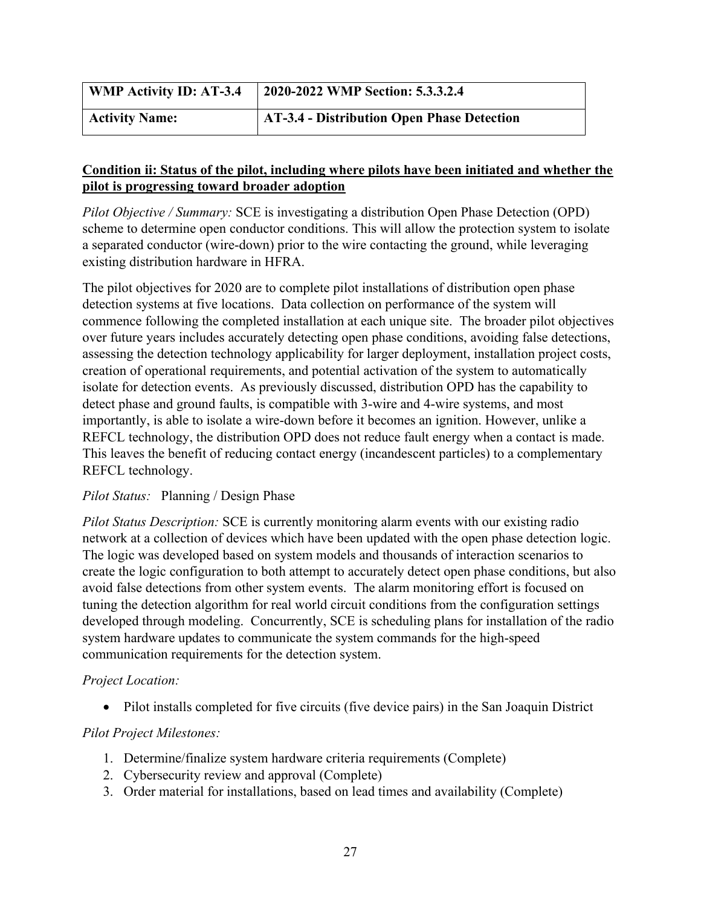| <b>WMP Activity ID: AT-3.4</b> | 2020-2022 WMP Section: 5.3.3.2.4           |
|--------------------------------|--------------------------------------------|
| <b>Activity Name:</b>          | AT-3.4 - Distribution Open Phase Detection |

*Pilot Objective / Summary:* SCE is investigating a distribution Open Phase Detection (OPD) scheme to determine open conductor conditions. This will allow the protection system to isolate a separated conductor (wire-down) prior to the wire contacting the ground, while leveraging existing distribution hardware in HFRA.

The pilot objectives for 2020 are to complete pilot installations of distribution open phase detection systems at five locations. Data collection on performance of the system will commence following the completed installation at each unique site. The broader pilot objectives over future years includes accurately detecting open phase conditions, avoiding false detections, assessing the detection technology applicability for larger deployment, installation project costs, creation of operational requirements, and potential activation of the system to automatically isolate for detection events. As previously discussed, distribution OPD has the capability to detect phase and ground faults, is compatible with 3-wire and 4-wire systems, and most importantly, is able to isolate a wire-down before it becomes an ignition. However, unlike a REFCL technology, the distribution OPD does not reduce fault energy when a contact is made. This leaves the benefit of reducing contact energy (incandescent particles) to a complementary REFCL technology.

#### *Pilot Status:* Planning / Design Phase

*Pilot Status Description:* SCE is currently monitoring alarm events with our existing radio network at a collection of devices which have been updated with the open phase detection logic. The logic was developed based on system models and thousands of interaction scenarios to create the logic configuration to both attempt to accurately detect open phase conditions, but also avoid false detections from other system events. The alarm monitoring effort is focused on tuning the detection algorithm for real world circuit conditions from the configuration settings developed through modeling. Concurrently, SCE is scheduling plans for installation of the radio system hardware updates to communicate the system commands for the high-speed communication requirements for the detection system.

#### *Project Location:*

• Pilot installs completed for five circuits (five device pairs) in the San Joaquin District

#### *Pilot Project Milestones:*

- 1. Determine/finalize system hardware criteria requirements (Complete)
- 2. Cybersecurity review and approval (Complete)
- 3. Order material for installations, based on lead times and availability (Complete)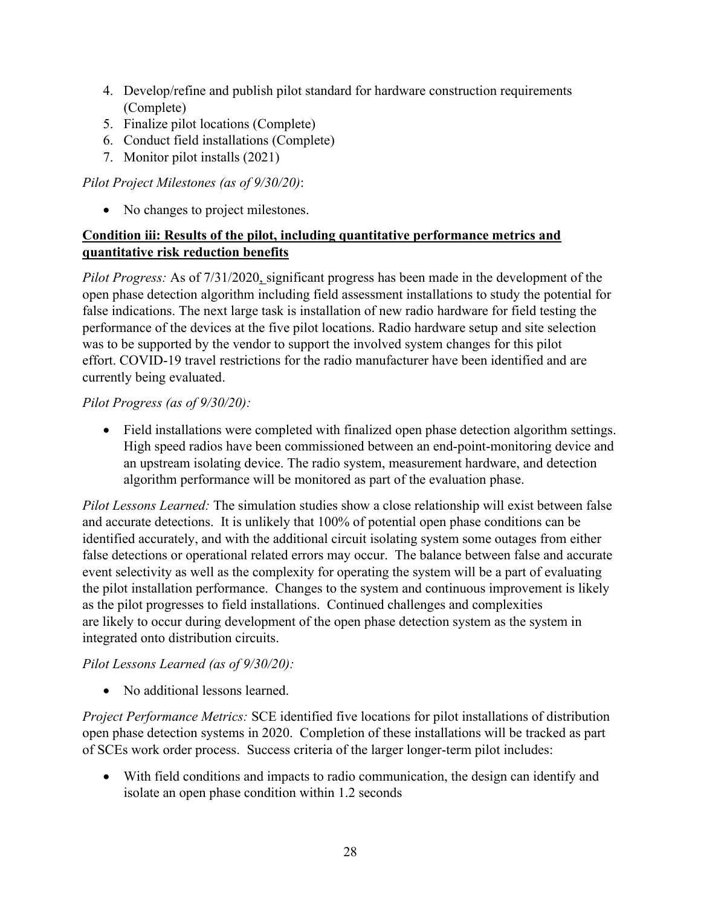- 4. Develop/refine and publish pilot standard for hardware construction requirements (Complete)
- 5. Finalize pilot locations (Complete)
- 6. Conduct field installations (Complete)
- 7. Monitor pilot installs (2021)

# *Pilot Project Milestones (as of 9/30/20)*:

• No changes to project milestones.

# **Condition iii: Results of the pilot, including quantitative performance metrics and quantitative risk reduction benefits**

*Pilot Progress:* As of 7/31/2020, significant progress has been made in the development of the open phase detection algorithm including field assessment installations to study the potential for false indications. The next large task is installation of new radio hardware for field testing the performance of the devices at the five pilot locations. Radio hardware setup and site selection was to be supported by the vendor to support the involved system changes for this pilot effort. COVID-19 travel restrictions for the radio manufacturer have been identified and are currently being evaluated.

# *Pilot Progress (as of 9/30/20):*

• Field installations were completed with finalized open phase detection algorithm settings. High speed radios have been commissioned between an end-point-monitoring device and an upstream isolating device. The radio system, measurement hardware, and detection algorithm performance will be monitored as part of the evaluation phase.

*Pilot Lessons Learned:* The simulation studies show a close relationship will exist between false and accurate detections. It is unlikely that 100% of potential open phase conditions can be identified accurately, and with the additional circuit isolating system some outages from either false detections or operational related errors may occur. The balance between false and accurate event selectivity as well as the complexity for operating the system will be a part of evaluating the pilot installation performance. Changes to the system and continuous improvement is likely as the pilot progresses to field installations. Continued challenges and complexities are likely to occur during development of the open phase detection system as the system in integrated onto distribution circuits.

# *Pilot Lessons Learned (as of 9/30/20):*

• No additional lessons learned.

*Project Performance Metrics:* SCE identified five locations for pilot installations of distribution open phase detection systems in 2020. Completion of these installations will be tracked as part of SCEs work order process. Success criteria of the larger longer-term pilot includes:

• With field conditions and impacts to radio communication, the design can identify and isolate an open phase condition within 1.2 seconds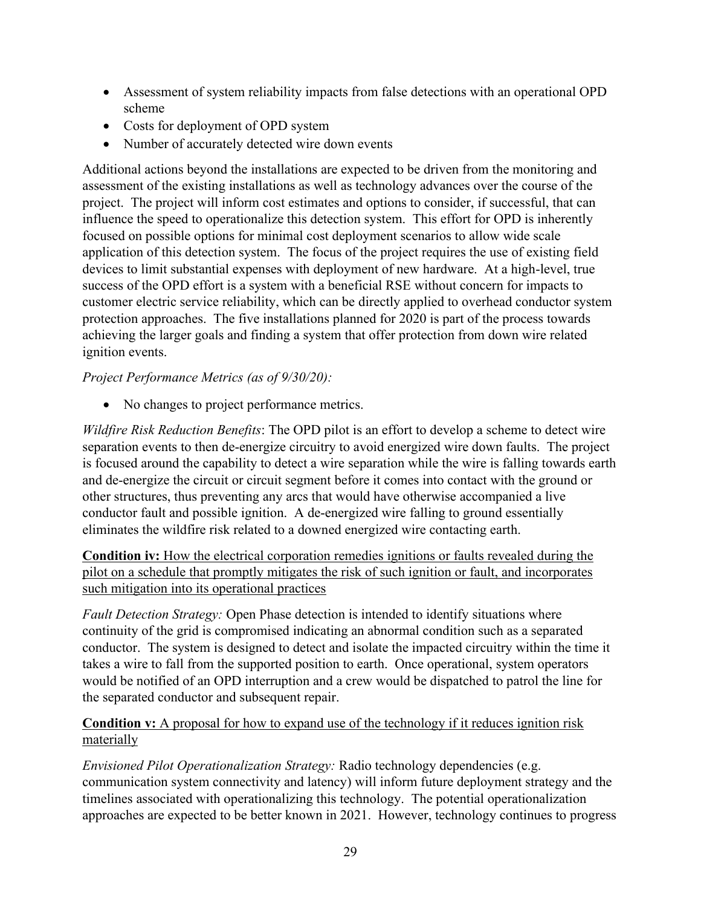- Assessment of system reliability impacts from false detections with an operational OPD scheme
- Costs for deployment of OPD system
- Number of accurately detected wire down events

Additional actions beyond the installations are expected to be driven from the monitoring and assessment of the existing installations as well as technology advances over the course of the project. The project will inform cost estimates and options to consider, if successful, that can influence the speed to operationalize this detection system. This effort for OPD is inherently focused on possible options for minimal cost deployment scenarios to allow wide scale application of this detection system. The focus of the project requires the use of existing field devices to limit substantial expenses with deployment of new hardware. At a high-level, true success of the OPD effort is a system with a beneficial RSE without concern for impacts to customer electric service reliability, which can be directly applied to overhead conductor system protection approaches. The five installations planned for 2020 is part of the process towards achieving the larger goals and finding a system that offer protection from down wire related ignition events.

#### *Project Performance Metrics (as of 9/30/20):*

• No changes to project performance metrics.

*Wildfire Risk Reduction Benefits*: The OPD pilot is an effort to develop a scheme to detect wire separation events to then de-energize circuitry to avoid energized wire down faults. The project is focused around the capability to detect a wire separation while the wire is falling towards earth and de-energize the circuit or circuit segment before it comes into contact with the ground or other structures, thus preventing any arcs that would have otherwise accompanied a live conductor fault and possible ignition. A de-energized wire falling to ground essentially eliminates the wildfire risk related to a downed energized wire contacting earth.

**Condition iv:** How the electrical corporation remedies ignitions or faults revealed during the pilot on a schedule that promptly mitigates the risk of such ignition or fault, and incorporates such mitigation into its operational practices

*Fault Detection Strategy:* Open Phase detection is intended to identify situations where continuity of the grid is compromised indicating an abnormal condition such as a separated conductor. The system is designed to detect and isolate the impacted circuitry within the time it takes a wire to fall from the supported position to earth. Once operational, system operators would be notified of an OPD interruption and a crew would be dispatched to patrol the line for the separated conductor and subsequent repair.

#### **Condition v:** A proposal for how to expand use of the technology if it reduces ignition risk materially

*Envisioned Pilot Operationalization Strategy:* Radio technology dependencies (e.g. communication system connectivity and latency) will inform future deployment strategy and the timelines associated with operationalizing this technology. The potential operationalization approaches are expected to be better known in 2021. However, technology continues to progress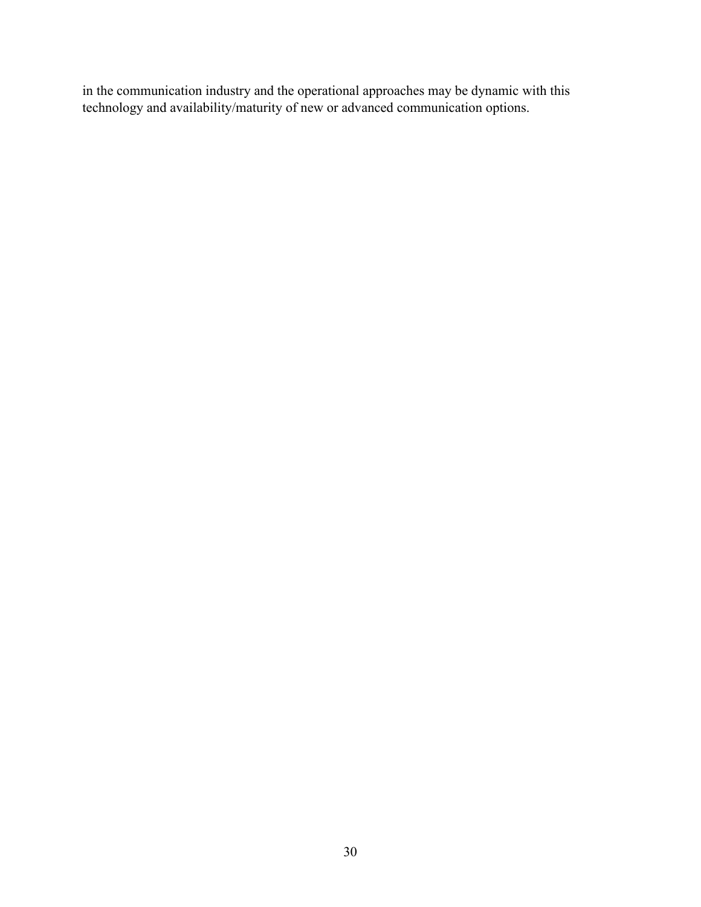in the communication industry and the operational approaches may be dynamic with this technology and availability/maturity of new or advanced communication options.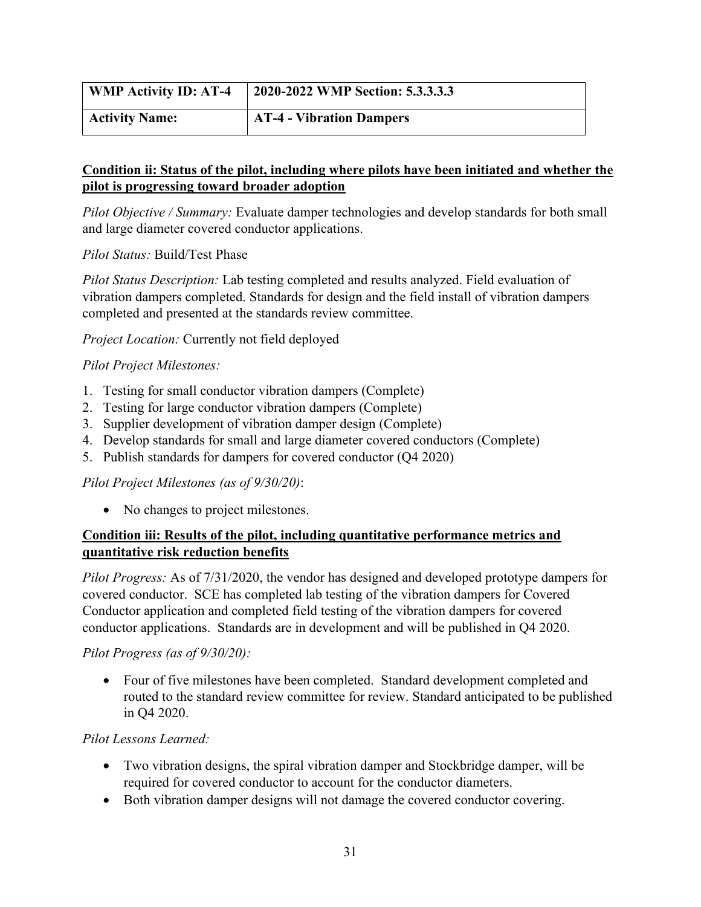| <b>WMP Activity ID: AT-4</b> | 2020-2022 WMP Section: 5.3.3.3.3 |
|------------------------------|----------------------------------|
| <b>Activity Name:</b>        | <b>AT-4 - Vibration Dampers</b>  |

*Pilot Objective / Summary:* Evaluate damper technologies and develop standards for both small and large diameter covered conductor applications.

*Pilot Status:* Build/Test Phase

*Pilot Status Description:* Lab testing completed and results analyzed. Field evaluation of vibration dampers completed. Standards for design and the field install of vibration dampers completed and presented at the standards review committee.

#### *Project Location:* Currently not field deployed

#### *Pilot Project Milestones:*

- 1. Testing for small conductor vibration dampers (Complete)
- 2. Testing for large conductor vibration dampers (Complete)
- 3. Supplier development of vibration damper design (Complete)
- 4. Develop standards for small and large diameter covered conductors (Complete)
- 5. Publish standards for dampers for covered conductor (Q4 2020)

#### *Pilot Project Milestones (as of 9/30/20)*:

• No changes to project milestones.

#### **Condition iii: Results of the pilot, including quantitative performance metrics and quantitative risk reduction benefits**

*Pilot Progress:* As of 7/31/2020, the vendor has designed and developed prototype dampers for covered conductor. SCE has completed lab testing of the vibration dampers for Covered Conductor application and completed field testing of the vibration dampers for covered conductor applications. Standards are in development and will be published in Q4 2020.

#### *Pilot Progress (as of 9/30/20):*

• Four of five milestones have been completed. Standard development completed and routed to the standard review committee for review. Standard anticipated to be published in Q4 2020.

# *Pilot Lessons Learned:*

- Two vibration designs, the spiral vibration damper and Stockbridge damper, will be required for covered conductor to account for the conductor diameters.
- Both vibration damper designs will not damage the covered conductor covering.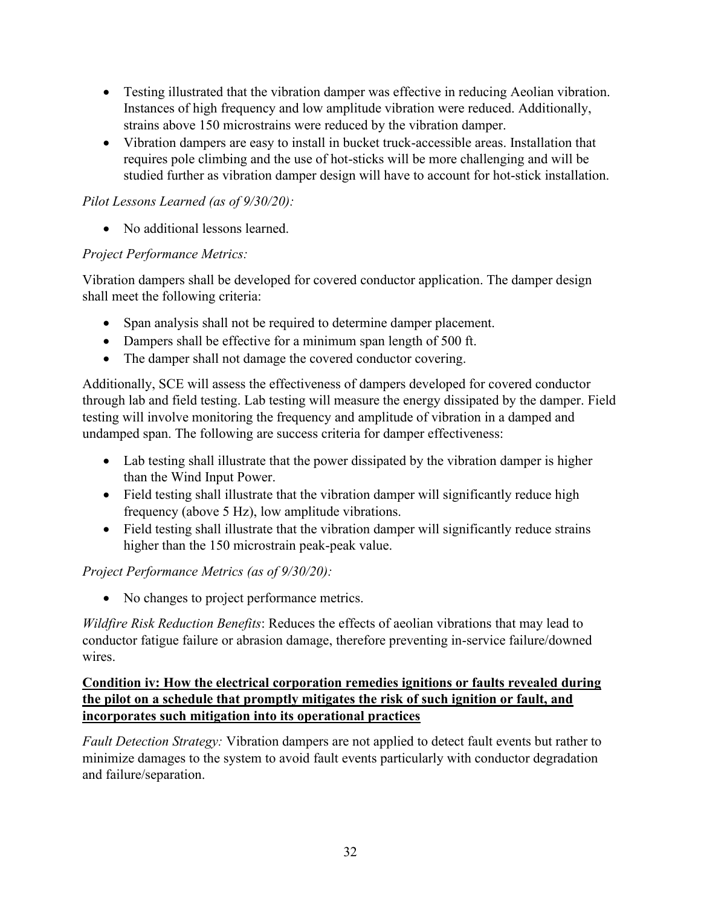- Testing illustrated that the vibration damper was effective in reducing Aeolian vibration. Instances of high frequency and low amplitude vibration were reduced. Additionally, strains above 150 microstrains were reduced by the vibration damper.
- Vibration dampers are easy to install in bucket truck-accessible areas. Installation that requires pole climbing and the use of hot-sticks will be more challenging and will be studied further as vibration damper design will have to account for hot-stick installation.

# *Pilot Lessons Learned (as of 9/30/20):*

• No additional lessons learned.

# *Project Performance Metrics:*

Vibration dampers shall be developed for covered conductor application. The damper design shall meet the following criteria:

- Span analysis shall not be required to determine damper placement.
- Dampers shall be effective for a minimum span length of 500 ft.
- The damper shall not damage the covered conductor covering.

Additionally, SCE will assess the effectiveness of dampers developed for covered conductor through lab and field testing. Lab testing will measure the energy dissipated by the damper. Field testing will involve monitoring the frequency and amplitude of vibration in a damped and undamped span. The following are success criteria for damper effectiveness:

- Lab testing shall illustrate that the power dissipated by the vibration damper is higher than the Wind Input Power.
- Field testing shall illustrate that the vibration damper will significantly reduce high frequency (above 5 Hz), low amplitude vibrations.
- Field testing shall illustrate that the vibration damper will significantly reduce strains higher than the 150 microstrain peak-peak value.

*Project Performance Metrics (as of 9/30/20):*

• No changes to project performance metrics.

*Wildfire Risk Reduction Benefits*: Reduces the effects of aeolian vibrations that may lead to conductor fatigue failure or abrasion damage, therefore preventing in-service failure/downed wires.

# **Condition iv: How the electrical corporation remedies ignitions or faults revealed during the pilot on a schedule that promptly mitigates the risk of such ignition or fault, and incorporates such mitigation into its operational practices**

*Fault Detection Strategy:* Vibration dampers are not applied to detect fault events but rather to minimize damages to the system to avoid fault events particularly with conductor degradation and failure/separation.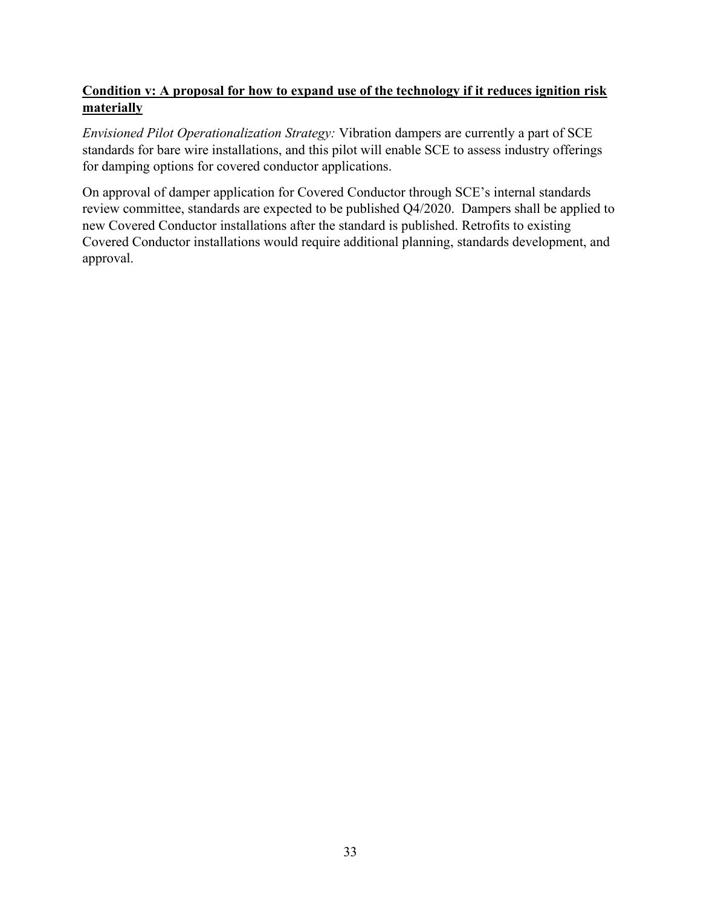# **Condition v: A proposal for how to expand use of the technology if it reduces ignition risk materially**

*Envisioned Pilot Operationalization Strategy:* Vibration dampers are currently a part of SCE standards for bare wire installations, and this pilot will enable SCE to assess industry offerings for damping options for covered conductor applications.

On approval of damper application for Covered Conductor through SCE's internal standards review committee, standards are expected to be published Q4/2020. Dampers shall be applied to new Covered Conductor installations after the standard is published. Retrofits to existing Covered Conductor installations would require additional planning, standards development, and approval.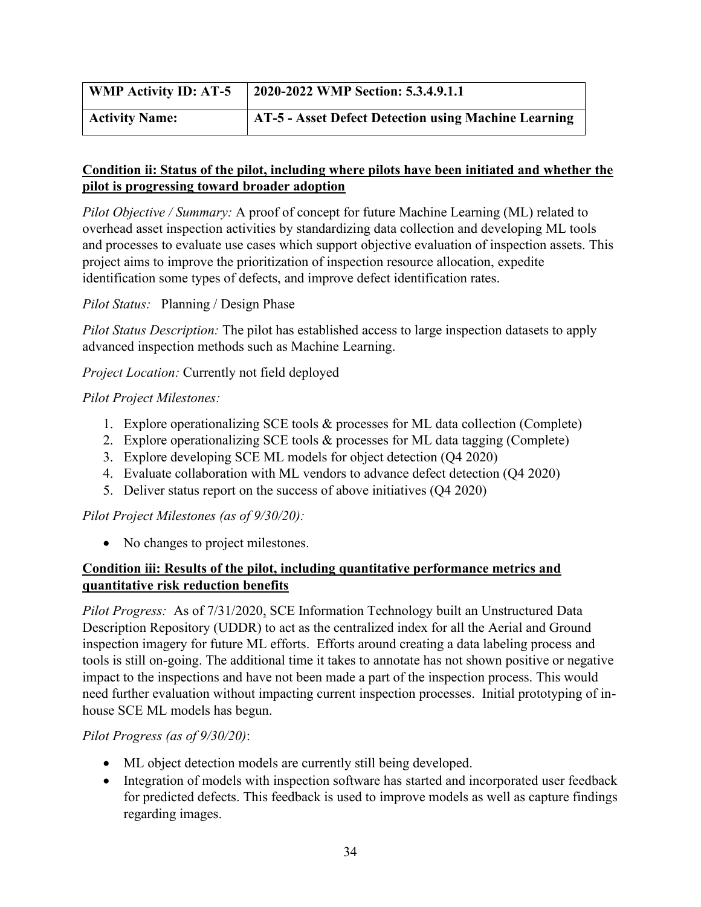| <b>WMP Activity ID: AT-5</b> | 2020-2022 WMP Section: 5.3.4.9.1.1                   |
|------------------------------|------------------------------------------------------|
| <b>Activity Name:</b>        | AT-5 - Asset Defect Detection using Machine Learning |

# **Condition ii: Status of the pilot, including where pilots have been initiated and whether the pilot is progressing toward broader adoption**

*Pilot Objective / Summary:* A proof of concept for future Machine Learning (ML) related to overhead asset inspection activities by standardizing data collection and developing ML tools and processes to evaluate use cases which support objective evaluation of inspection assets. This project aims to improve the prioritization of inspection resource allocation, expedite identification some types of defects, and improve defect identification rates.

# *Pilot Status:* Planning / Design Phase

*Pilot Status Description:* The pilot has established access to large inspection datasets to apply advanced inspection methods such as Machine Learning.

*Project Location:* Currently not field deployed

# *Pilot Project Milestones:*

- 1. Explore operationalizing SCE tools & processes for ML data collection (Complete)
- 2. Explore operationalizing SCE tools & processes for ML data tagging (Complete)
- 3. Explore developing SCE ML models for object detection (Q4 2020)
- 4. Evaluate collaboration with ML vendors to advance defect detection (Q4 2020)
- 5. Deliver status report on the success of above initiatives (Q4 2020)

# *Pilot Project Milestones (as of 9/30/20):*

• No changes to project milestones.

# **Condition iii: Results of the pilot, including quantitative performance metrics and quantitative risk reduction benefits**

*Pilot Progress:* As of 7/31/2020, SCE Information Technology built an Unstructured Data Description Repository (UDDR) to act as the centralized index for all the Aerial and Ground inspection imagery for future ML efforts. Efforts around creating a data labeling process and tools is still on-going. The additional time it takes to annotate has not shown positive or negative impact to the inspections and have not been made a part of the inspection process. This would need further evaluation without impacting current inspection processes. Initial prototyping of inhouse SCE ML models has begun.

# *Pilot Progress (as of 9/30/20)*:

- ML object detection models are currently still being developed.
- Integration of models with inspection software has started and incorporated user feedback for predicted defects. This feedback is used to improve models as well as capture findings regarding images.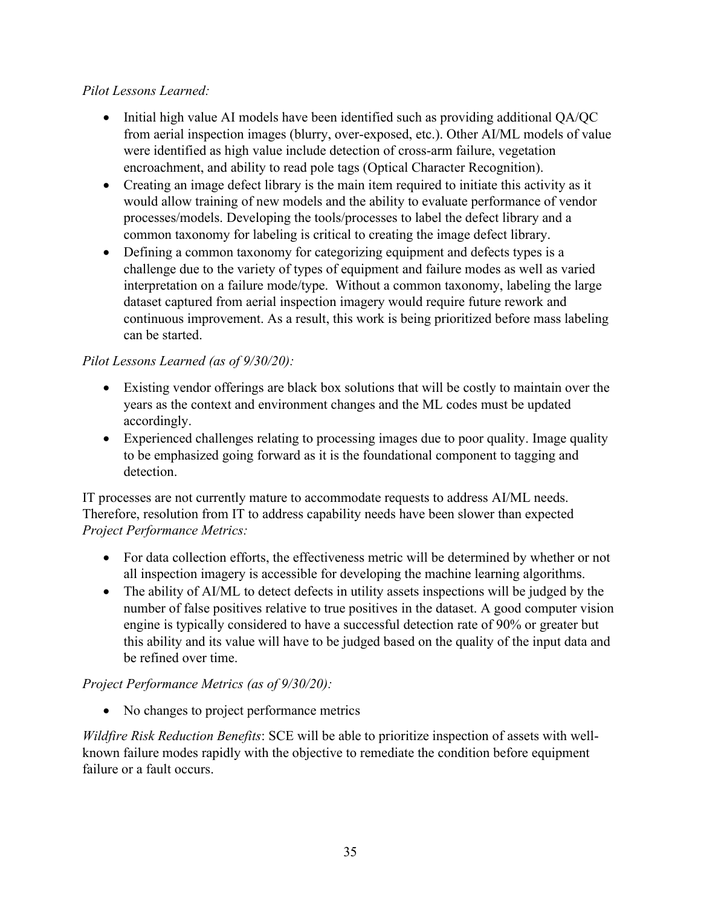# *Pilot Lessons Learned:*

- Initial high value AI models have been identified such as providing additional QA/QC from aerial inspection images (blurry, over-exposed, etc.). Other AI/ML models of value were identified as high value include detection of cross-arm failure, vegetation encroachment, and ability to read pole tags (Optical Character Recognition).
- Creating an image defect library is the main item required to initiate this activity as it would allow training of new models and the ability to evaluate performance of vendor processes/models. Developing the tools/processes to label the defect library and a common taxonomy for labeling is critical to creating the image defect library.
- Defining a common taxonomy for categorizing equipment and defects types is a challenge due to the variety of types of equipment and failure modes as well as varied interpretation on a failure mode/type. Without a common taxonomy, labeling the large dataset captured from aerial inspection imagery would require future rework and continuous improvement. As a result, this work is being prioritized before mass labeling can be started.

# *Pilot Lessons Learned (as of 9/30/20):*

- Existing vendor offerings are black box solutions that will be costly to maintain over the years as the context and environment changes and the ML codes must be updated accordingly.
- Experienced challenges relating to processing images due to poor quality. Image quality to be emphasized going forward as it is the foundational component to tagging and detection.

IT processes are not currently mature to accommodate requests to address AI/ML needs. Therefore, resolution from IT to address capability needs have been slower than expected *Project Performance Metrics:*

- For data collection efforts, the effectiveness metric will be determined by whether or not all inspection imagery is accessible for developing the machine learning algorithms.
- The ability of AI/ML to detect defects in utility assets inspections will be judged by the number of false positives relative to true positives in the dataset. A good computer vision engine is typically considered to have a successful detection rate of 90% or greater but this ability and its value will have to be judged based on the quality of the input data and be refined over time.

# *Project Performance Metrics (as of 9/30/20):*

• No changes to project performance metrics

*Wildfire Risk Reduction Benefits*: SCE will be able to prioritize inspection of assets with wellknown failure modes rapidly with the objective to remediate the condition before equipment failure or a fault occurs.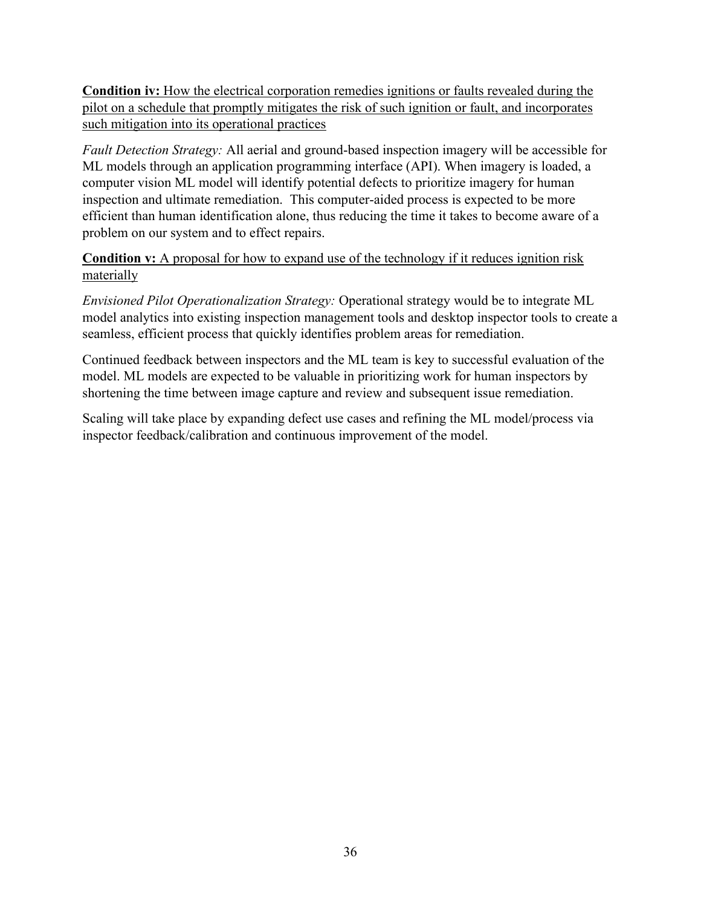**Condition iv:** How the electrical corporation remedies ignitions or faults revealed during the pilot on a schedule that promptly mitigates the risk of such ignition or fault, and incorporates such mitigation into its operational practices

*Fault Detection Strategy:* All aerial and ground-based inspection imagery will be accessible for ML models through an application programming interface (API). When imagery is loaded, a computer vision ML model will identify potential defects to prioritize imagery for human inspection and ultimate remediation. This computer-aided process is expected to be more efficient than human identification alone, thus reducing the time it takes to become aware of a problem on our system and to effect repairs.

# **Condition v:** A proposal for how to expand use of the technology if it reduces ignition risk materially

*Envisioned Pilot Operationalization Strategy:* Operational strategy would be to integrate ML model analytics into existing inspection management tools and desktop inspector tools to create a seamless, efficient process that quickly identifies problem areas for remediation.

Continued feedback between inspectors and the ML team is key to successful evaluation of the model. ML models are expected to be valuable in prioritizing work for human inspectors by shortening the time between image capture and review and subsequent issue remediation.

Scaling will take place by expanding defect use cases and refining the ML model/process via inspector feedback/calibration and continuous improvement of the model.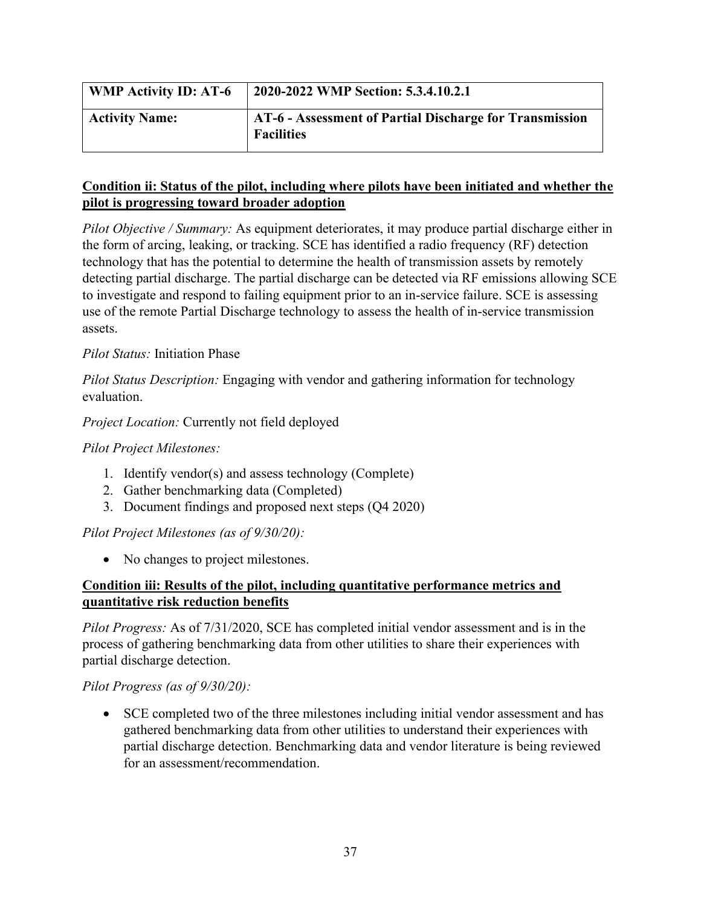| <b>WMP Activity ID: AT-6</b> | 2020-2022 WMP Section: 5.3.4.10.2.1                                          |
|------------------------------|------------------------------------------------------------------------------|
| <b>Activity Name:</b>        | AT-6 - Assessment of Partial Discharge for Transmission<br><b>Facilities</b> |

# **Condition ii: Status of the pilot, including where pilots have been initiated and whether the pilot is progressing toward broader adoption**

*Pilot Objective / Summary:* As equipment deteriorates, it may produce partial discharge either in the form of arcing, leaking, or tracking. SCE has identified a radio frequency (RF) detection technology that has the potential to determine the health of transmission assets by remotely detecting partial discharge. The partial discharge can be detected via RF emissions allowing SCE to investigate and respond to failing equipment prior to an in-service failure. SCE is assessing use of the remote Partial Discharge technology to assess the health of in-service transmission assets.

# *Pilot Status:* Initiation Phase

*Pilot Status Description:* Engaging with vendor and gathering information for technology evaluation.

*Project Location:* Currently not field deployed

#### *Pilot Project Milestones:*

- 1. Identify vendor(s) and assess technology (Complete)
- 2. Gather benchmarking data (Completed)
- 3. Document findings and proposed next steps (Q4 2020)

*Pilot Project Milestones (as of 9/30/20):*

• No changes to project milestones.

# **Condition iii: Results of the pilot, including quantitative performance metrics and quantitative risk reduction benefits**

*Pilot Progress:* As of 7/31/2020, SCE has completed initial vendor assessment and is in the process of gathering benchmarking data from other utilities to share their experiences with partial discharge detection.

# *Pilot Progress (as of 9/30/20):*

• SCE completed two of the three milestones including initial vendor assessment and has gathered benchmarking data from other utilities to understand their experiences with partial discharge detection. Benchmarking data and vendor literature is being reviewed for an assessment/recommendation.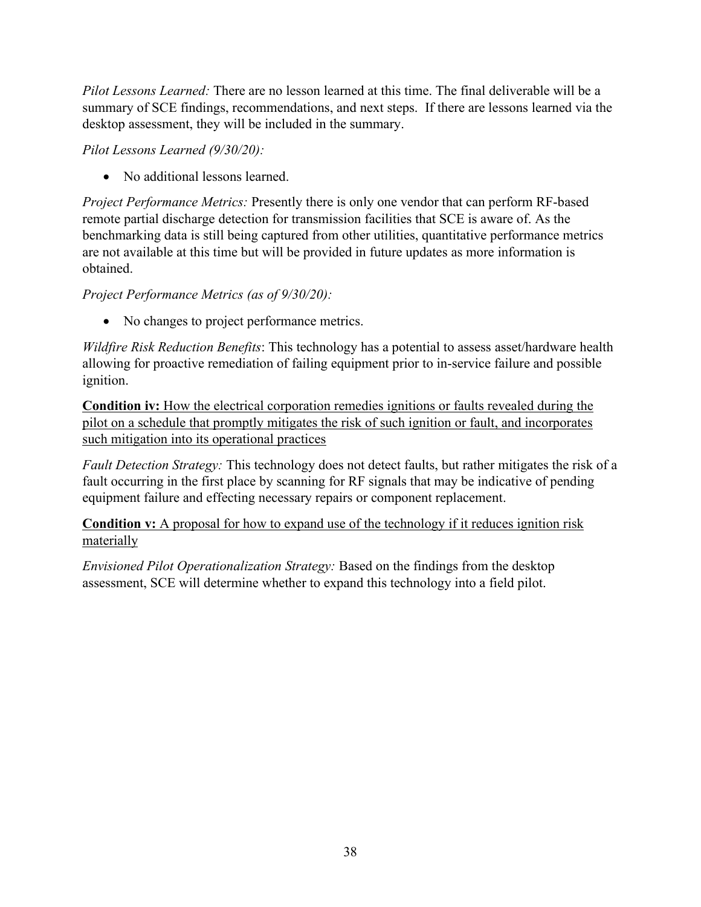*Pilot Lessons Learned:* There are no lesson learned at this time. The final deliverable will be a summary of SCE findings, recommendations, and next steps. If there are lessons learned via the desktop assessment, they will be included in the summary.

*Pilot Lessons Learned (9/30/20):*

• No additional lessons learned.

*Project Performance Metrics:* Presently there is only one vendor that can perform RF-based remote partial discharge detection for transmission facilities that SCE is aware of. As the benchmarking data is still being captured from other utilities, quantitative performance metrics are not available at this time but will be provided in future updates as more information is obtained.

# *Project Performance Metrics (as of 9/30/20):*

• No changes to project performance metrics.

*Wildfire Risk Reduction Benefits*: This technology has a potential to assess asset/hardware health allowing for proactive remediation of failing equipment prior to in-service failure and possible ignition.

**Condition iv:** How the electrical corporation remedies ignitions or faults revealed during the pilot on a schedule that promptly mitigates the risk of such ignition or fault, and incorporates such mitigation into its operational practices

*Fault Detection Strategy:* This technology does not detect faults, but rather mitigates the risk of a fault occurring in the first place by scanning for RF signals that may be indicative of pending equipment failure and effecting necessary repairs or component replacement.

**Condition v:** A proposal for how to expand use of the technology if it reduces ignition risk materially

*Envisioned Pilot Operationalization Strategy:* Based on the findings from the desktop assessment, SCE will determine whether to expand this technology into a field pilot.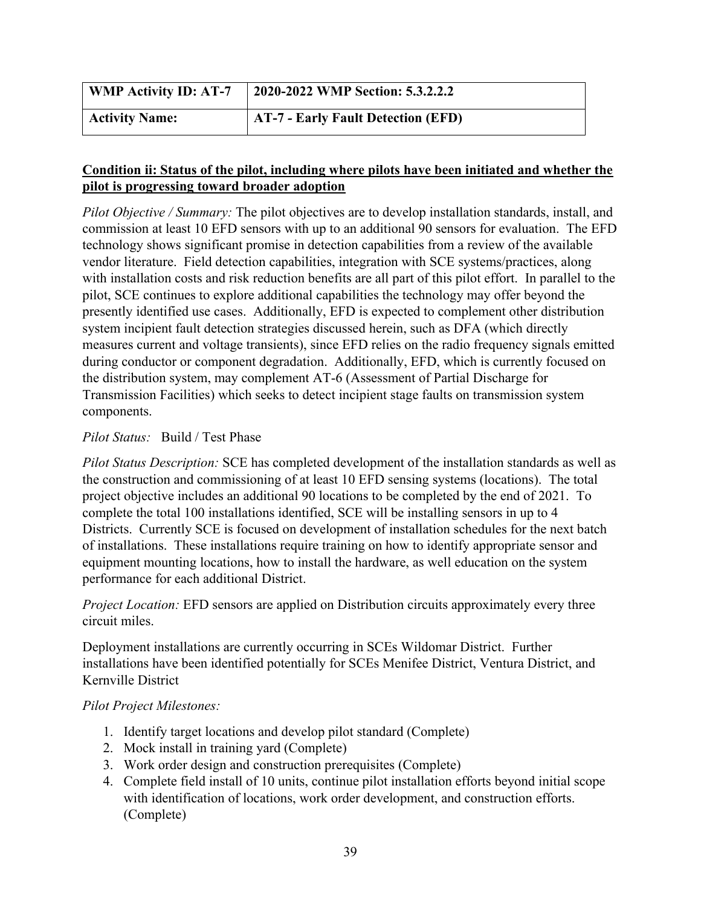| <b>WMP Activity ID: AT-7</b> | 2020-2022 WMP Section: 5.3.2.2.2          |
|------------------------------|-------------------------------------------|
| <b>Activity Name:</b>        | <b>AT-7 - Early Fault Detection (EFD)</b> |

# **Condition ii: Status of the pilot, including where pilots have been initiated and whether the pilot is progressing toward broader adoption**

*Pilot Objective / Summary:* The pilot objectives are to develop installation standards, install, and commission at least 10 EFD sensors with up to an additional 90 sensors for evaluation. The EFD technology shows significant promise in detection capabilities from a review of the available vendor literature. Field detection capabilities, integration with SCE systems/practices, along with installation costs and risk reduction benefits are all part of this pilot effort. In parallel to the pilot, SCE continues to explore additional capabilities the technology may offer beyond the presently identified use cases. Additionally, EFD is expected to complement other distribution system incipient fault detection strategies discussed herein, such as DFA (which directly measures current and voltage transients), since EFD relies on the radio frequency signals emitted during conductor or component degradation. Additionally, EFD, which is currently focused on the distribution system, may complement AT-6 (Assessment of Partial Discharge for Transmission Facilities) which seeks to detect incipient stage faults on transmission system components.

# *Pilot Status:* Build / Test Phase

*Pilot Status Description:* SCE has completed development of the installation standards as well as the construction and commissioning of at least 10 EFD sensing systems (locations). The total project objective includes an additional 90 locations to be completed by the end of 2021. To complete the total 100 installations identified, SCE will be installing sensors in up to 4 Districts. Currently SCE is focused on development of installation schedules for the next batch of installations. These installations require training on how to identify appropriate sensor and equipment mounting locations, how to install the hardware, as well education on the system performance for each additional District.

# *Project Location:* EFD sensors are applied on Distribution circuits approximately every three circuit miles.

Deployment installations are currently occurring in SCEs Wildomar District. Further installations have been identified potentially for SCEs Menifee District, Ventura District, and Kernville District

# *Pilot Project Milestones:*

- 1. Identify target locations and develop pilot standard (Complete)
- 2. Mock install in training yard (Complete)
- 3. Work order design and construction prerequisites (Complete)
- 4. Complete field install of 10 units, continue pilot installation efforts beyond initial scope with identification of locations, work order development, and construction efforts. (Complete)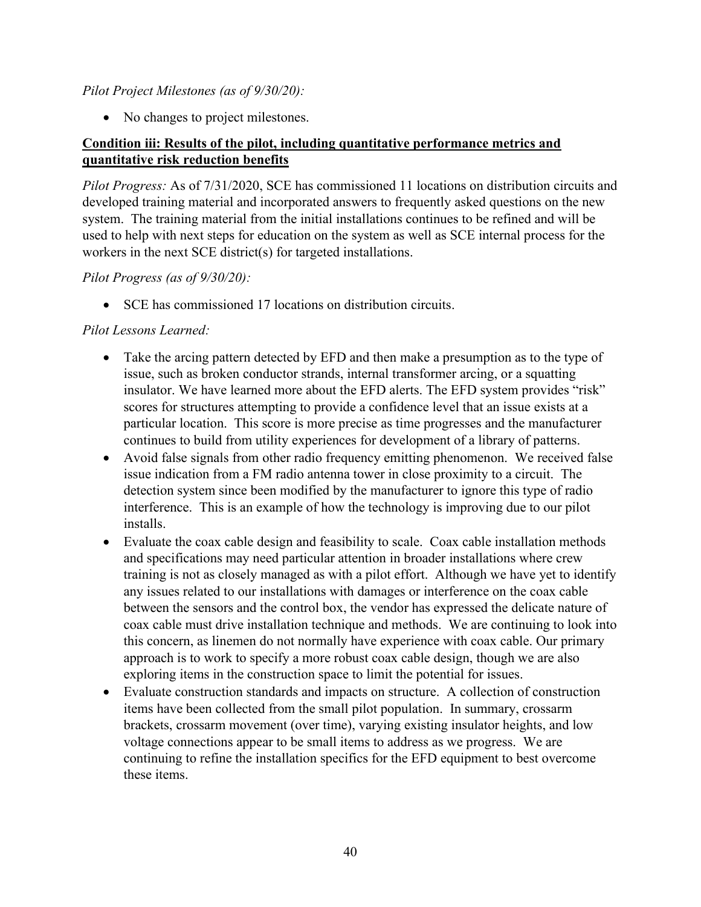#### *Pilot Project Milestones (as of 9/30/20):*

• No changes to project milestones.

# **Condition iii: Results of the pilot, including quantitative performance metrics and quantitative risk reduction benefits**

*Pilot Progress:* As of 7/31/2020, SCE has commissioned 11 locations on distribution circuits and developed training material and incorporated answers to frequently asked questions on the new system. The training material from the initial installations continues to be refined and will be used to help with next steps for education on the system as well as SCE internal process for the workers in the next SCE district(s) for targeted installations.

#### *Pilot Progress (as of 9/30/20):*

• SCE has commissioned 17 locations on distribution circuits.

#### *Pilot Lessons Learned:*

- Take the arcing pattern detected by EFD and then make a presumption as to the type of issue, such as broken conductor strands, internal transformer arcing, or a squatting insulator. We have learned more about the EFD alerts. The EFD system provides "risk" scores for structures attempting to provide a confidence level that an issue exists at a particular location. This score is more precise as time progresses and the manufacturer continues to build from utility experiences for development of a library of patterns.
- Avoid false signals from other radio frequency emitting phenomenon. We received false issue indication from a FM radio antenna tower in close proximity to a circuit. The detection system since been modified by the manufacturer to ignore this type of radio interference. This is an example of how the technology is improving due to our pilot installs.
- Evaluate the coax cable design and feasibility to scale. Coax cable installation methods and specifications may need particular attention in broader installations where crew training is not as closely managed as with a pilot effort. Although we have yet to identify any issues related to our installations with damages or interference on the coax cable between the sensors and the control box, the vendor has expressed the delicate nature of coax cable must drive installation technique and methods. We are continuing to look into this concern, as linemen do not normally have experience with coax cable. Our primary approach is to work to specify a more robust coax cable design, though we are also exploring items in the construction space to limit the potential for issues.
- Evaluate construction standards and impacts on structure. A collection of construction items have been collected from the small pilot population. In summary, crossarm brackets, crossarm movement (over time), varying existing insulator heights, and low voltage connections appear to be small items to address as we progress. We are continuing to refine the installation specifics for the EFD equipment to best overcome these items.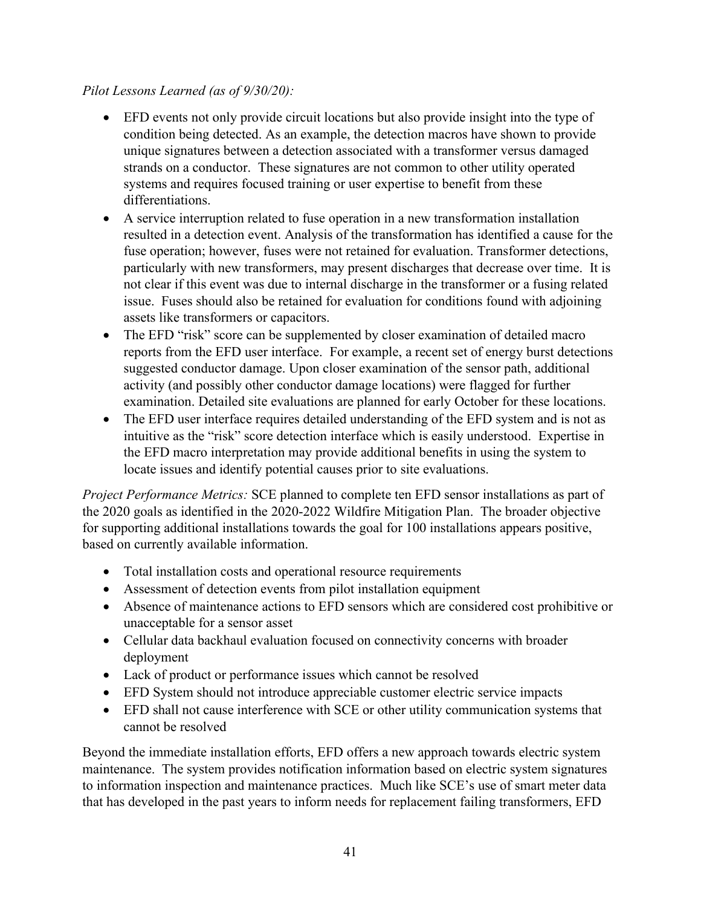# *Pilot Lessons Learned (as of 9/30/20):*

- EFD events not only provide circuit locations but also provide insight into the type of condition being detected. As an example, the detection macros have shown to provide unique signatures between a detection associated with a transformer versus damaged strands on a conductor. These signatures are not common to other utility operated systems and requires focused training or user expertise to benefit from these differentiations.
- A service interruption related to fuse operation in a new transformation installation resulted in a detection event. Analysis of the transformation has identified a cause for the fuse operation; however, fuses were not retained for evaluation. Transformer detections, particularly with new transformers, may present discharges that decrease over time. It is not clear if this event was due to internal discharge in the transformer or a fusing related issue. Fuses should also be retained for evaluation for conditions found with adjoining assets like transformers or capacitors.
- The EFD "risk" score can be supplemented by closer examination of detailed macro reports from the EFD user interface. For example, a recent set of energy burst detections suggested conductor damage. Upon closer examination of the sensor path, additional activity (and possibly other conductor damage locations) were flagged for further examination. Detailed site evaluations are planned for early October for these locations.
- The EFD user interface requires detailed understanding of the EFD system and is not as intuitive as the "risk" score detection interface which is easily understood. Expertise in the EFD macro interpretation may provide additional benefits in using the system to locate issues and identify potential causes prior to site evaluations.

*Project Performance Metrics:* SCE planned to complete ten EFD sensor installations as part of the 2020 goals as identified in the 2020-2022 Wildfire Mitigation Plan. The broader objective for supporting additional installations towards the goal for 100 installations appears positive, based on currently available information.

- Total installation costs and operational resource requirements
- Assessment of detection events from pilot installation equipment
- Absence of maintenance actions to EFD sensors which are considered cost prohibitive or unacceptable for a sensor asset
- Cellular data backhaul evaluation focused on connectivity concerns with broader deployment
- Lack of product or performance issues which cannot be resolved
- EFD System should not introduce appreciable customer electric service impacts
- EFD shall not cause interference with SCE or other utility communication systems that cannot be resolved

Beyond the immediate installation efforts, EFD offers a new approach towards electric system maintenance. The system provides notification information based on electric system signatures to information inspection and maintenance practices. Much like SCE's use of smart meter data that has developed in the past years to inform needs for replacement failing transformers, EFD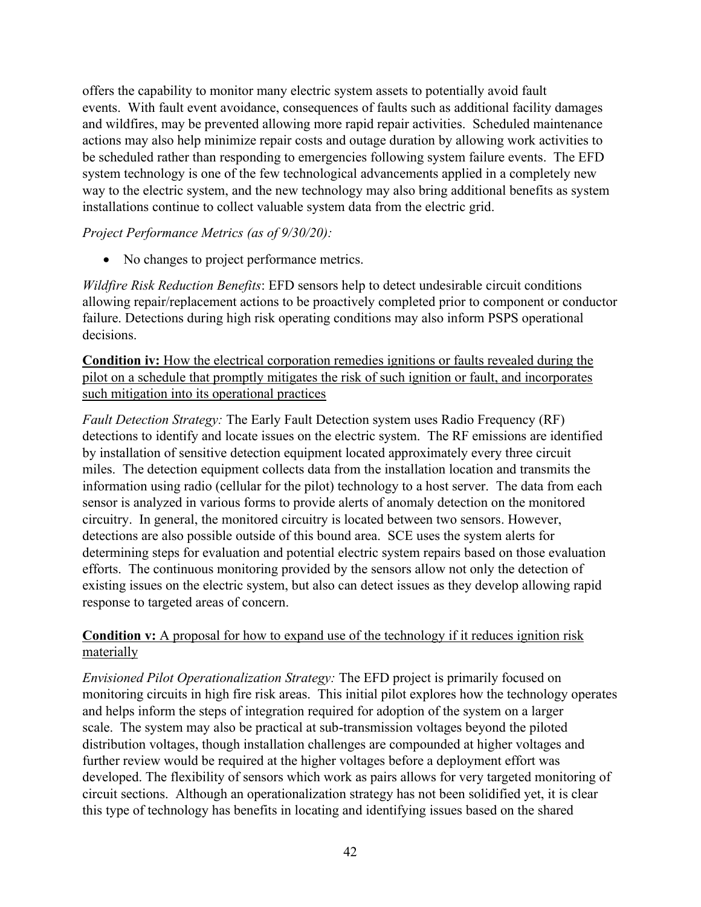offers the capability to monitor many electric system assets to potentially avoid fault events. With fault event avoidance, consequences of faults such as additional facility damages and wildfires, may be prevented allowing more rapid repair activities. Scheduled maintenance actions may also help minimize repair costs and outage duration by allowing work activities to be scheduled rather than responding to emergencies following system failure events. The EFD system technology is one of the few technological advancements applied in a completely new way to the electric system, and the new technology may also bring additional benefits as system installations continue to collect valuable system data from the electric grid.

#### *Project Performance Metrics (as of 9/30/20):*

• No changes to project performance metrics.

*Wildfire Risk Reduction Benefits*: EFD sensors help to detect undesirable circuit conditions allowing repair/replacement actions to be proactively completed prior to component or conductor failure. Detections during high risk operating conditions may also inform PSPS operational decisions.

**Condition iv:** How the electrical corporation remedies ignitions or faults revealed during the pilot on a schedule that promptly mitigates the risk of such ignition or fault, and incorporates such mitigation into its operational practices

*Fault Detection Strategy:* The Early Fault Detection system uses Radio Frequency (RF) detections to identify and locate issues on the electric system. The RF emissions are identified by installation of sensitive detection equipment located approximately every three circuit miles. The detection equipment collects data from the installation location and transmits the information using radio (cellular for the pilot) technology to a host server. The data from each sensor is analyzed in various forms to provide alerts of anomaly detection on the monitored circuitry. In general, the monitored circuitry is located between two sensors. However, detections are also possible outside of this bound area. SCE uses the system alerts for determining steps for evaluation and potential electric system repairs based on those evaluation efforts. The continuous monitoring provided by the sensors allow not only the detection of existing issues on the electric system, but also can detect issues as they develop allowing rapid response to targeted areas of concern.

# **Condition v:** A proposal for how to expand use of the technology if it reduces ignition risk materially

*Envisioned Pilot Operationalization Strategy:* The EFD project is primarily focused on monitoring circuits in high fire risk areas. This initial pilot explores how the technology operates and helps inform the steps of integration required for adoption of the system on a larger scale. The system may also be practical at sub-transmission voltages beyond the piloted distribution voltages, though installation challenges are compounded at higher voltages and further review would be required at the higher voltages before a deployment effort was developed. The flexibility of sensors which work as pairs allows for very targeted monitoring of circuit sections. Although an operationalization strategy has not been solidified yet, it is clear this type of technology has benefits in locating and identifying issues based on the shared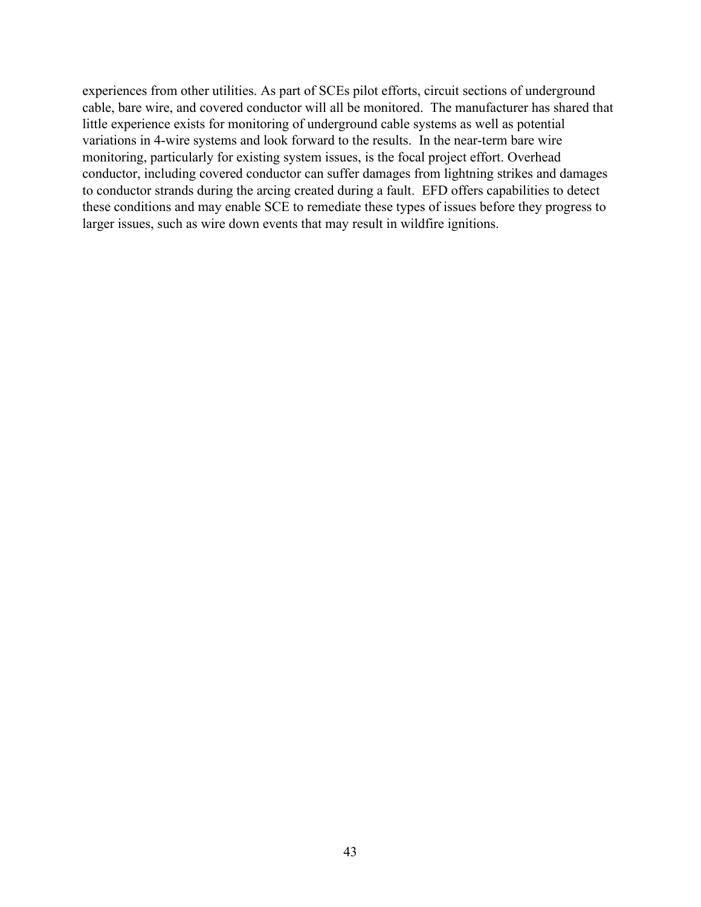experiences from other utilities. As part of SCEs pilot efforts, circuit sections of underground cable, bare wire, and covered conductor will all be monitored. The manufacturer has shared that little experience exists for monitoring of underground cable systems as well as potential variations in 4-wire systems and look forward to the results. In the near-term bare wire monitoring, particularly for existing system issues, is the focal project effort. Overhead conductor, including covered conductor can suffer damages from lightning strikes and damages to conductor strands during the arcing created during a fault. EFD offers capabilities to detect these conditions and may enable SCE to remediate these types of issues before they progress to larger issues, such as wire down events that may result in wildfire ignitions.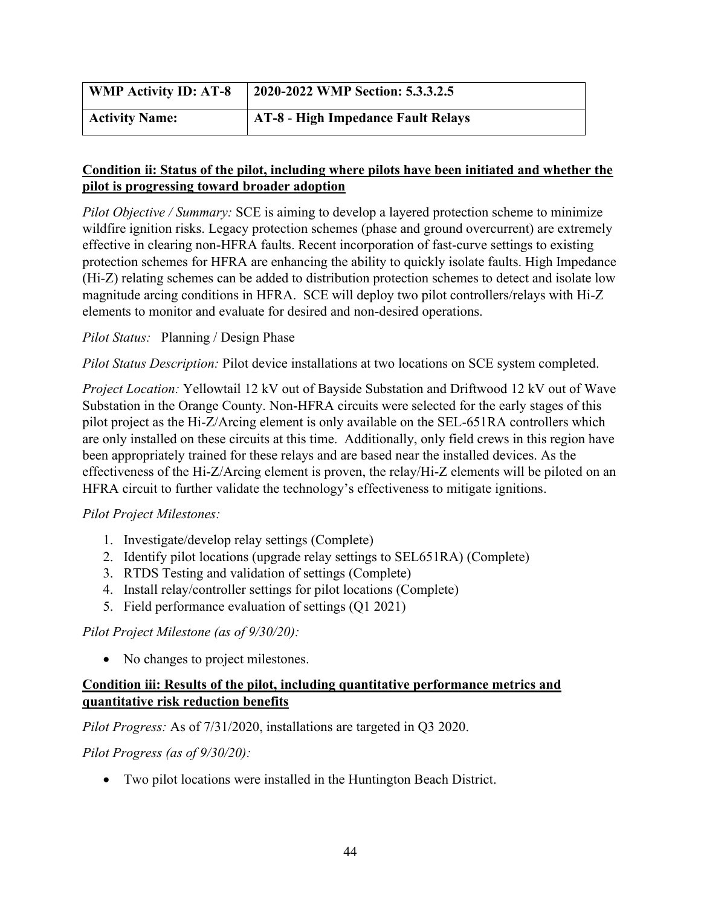| <b>WMP Activity ID: AT-8</b> | 2020-2022 WMP Section: 5.3.3.2.5          |
|------------------------------|-------------------------------------------|
| <b>Activity Name:</b>        | <b>AT-8 - High Impedance Fault Relays</b> |

# **Condition ii: Status of the pilot, including where pilots have been initiated and whether the pilot is progressing toward broader adoption**

*Pilot Objective / Summary:* SCE is aiming to develop a layered protection scheme to minimize wildfire ignition risks. Legacy protection schemes (phase and ground overcurrent) are extremely effective in clearing non-HFRA faults. Recent incorporation of fast-curve settings to existing protection schemes for HFRA are enhancing the ability to quickly isolate faults. High Impedance (Hi-Z) relating schemes can be added to distribution protection schemes to detect and isolate low magnitude arcing conditions in HFRA. SCE will deploy two pilot controllers/relays with Hi-Z elements to monitor and evaluate for desired and non-desired operations.

# *Pilot Status:* Planning / Design Phase

*Pilot Status Description:* Pilot device installations at two locations on SCE system completed.

*Project Location:* Yellowtail 12 kV out of Bayside Substation and Driftwood 12 kV out of Wave Substation in the Orange County. Non-HFRA circuits were selected for the early stages of this pilot project as the Hi-Z/Arcing element is only available on the SEL-651RA controllers which are only installed on these circuits at this time. Additionally, only field crews in this region have been appropriately trained for these relays and are based near the installed devices. As the effectiveness of the Hi-Z/Arcing element is proven, the relay/Hi-Z elements will be piloted on an HFRA circuit to further validate the technology's effectiveness to mitigate ignitions.

# *Pilot Project Milestones:*

- 1. Investigate/develop relay settings (Complete)
- 2. Identify pilot locations (upgrade relay settings to SEL651RA) (Complete)
- 3. RTDS Testing and validation of settings (Complete)
- 4. Install relay/controller settings for pilot locations (Complete)
- 5. Field performance evaluation of settings (Q1 2021)

# *Pilot Project Milestone (as of 9/30/20):*

• No changes to project milestones.

# **Condition iii: Results of the pilot, including quantitative performance metrics and quantitative risk reduction benefits**

*Pilot Progress:* As of 7/31/2020, installations are targeted in Q3 2020.

# *Pilot Progress (as of 9/30/20):*

• Two pilot locations were installed in the Huntington Beach District.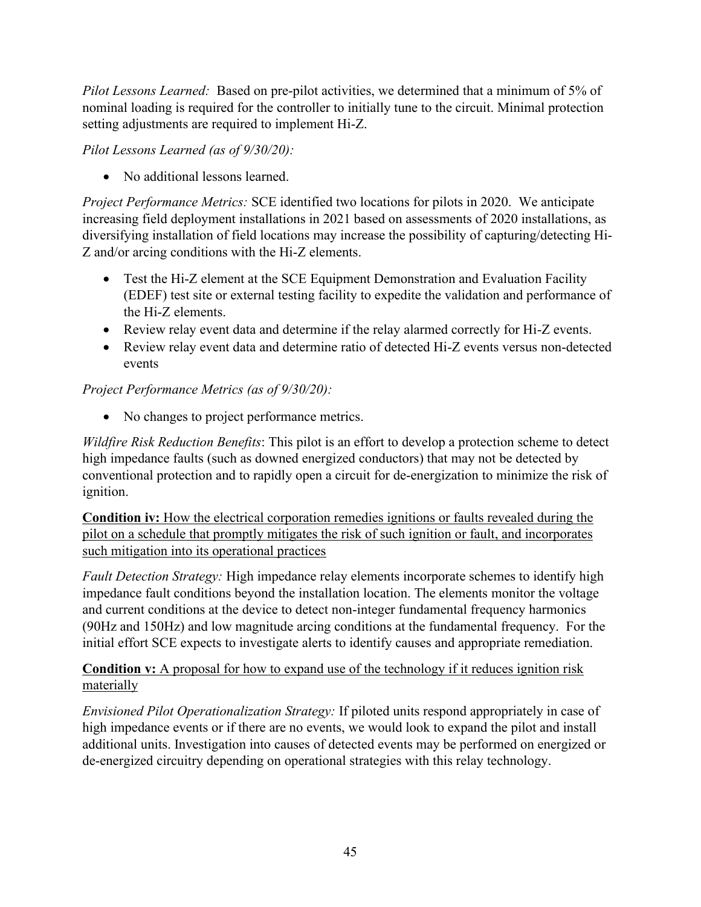*Pilot Lessons Learned:* Based on pre-pilot activities, we determined that a minimum of 5% of nominal loading is required for the controller to initially tune to the circuit. Minimal protection setting adjustments are required to implement Hi-Z.

*Pilot Lessons Learned (as of 9/30/20):*

• No additional lessons learned.

*Project Performance Metrics:* SCE identified two locations for pilots in 2020. We anticipate increasing field deployment installations in 2021 based on assessments of 2020 installations, as diversifying installation of field locations may increase the possibility of capturing/detecting Hi-Z and/or arcing conditions with the Hi-Z elements.

- Test the Hi-Z element at the SCE Equipment Demonstration and Evaluation Facility (EDEF) test site or external testing facility to expedite the validation and performance of the Hi-Z elements.
- Review relay event data and determine if the relay alarmed correctly for Hi-Z events.
- Review relay event data and determine ratio of detected Hi-Z events versus non-detected events

*Project Performance Metrics (as of 9/30/20):*

• No changes to project performance metrics.

*Wildfire Risk Reduction Benefits*: This pilot is an effort to develop a protection scheme to detect high impedance faults (such as downed energized conductors) that may not be detected by conventional protection and to rapidly open a circuit for de-energization to minimize the risk of ignition.

**Condition iv:** How the electrical corporation remedies ignitions or faults revealed during the pilot on a schedule that promptly mitigates the risk of such ignition or fault, and incorporates such mitigation into its operational practices

*Fault Detection Strategy:* High impedance relay elements incorporate schemes to identify high impedance fault conditions beyond the installation location. The elements monitor the voltage and current conditions at the device to detect non-integer fundamental frequency harmonics (90Hz and 150Hz) and low magnitude arcing conditions at the fundamental frequency. For the initial effort SCE expects to investigate alerts to identify causes and appropriate remediation.

# **Condition v:** A proposal for how to expand use of the technology if it reduces ignition risk materially

*Envisioned Pilot Operationalization Strategy:* If piloted units respond appropriately in case of high impedance events or if there are no events, we would look to expand the pilot and install additional units. Investigation into causes of detected events may be performed on energized or de-energized circuitry depending on operational strategies with this relay technology.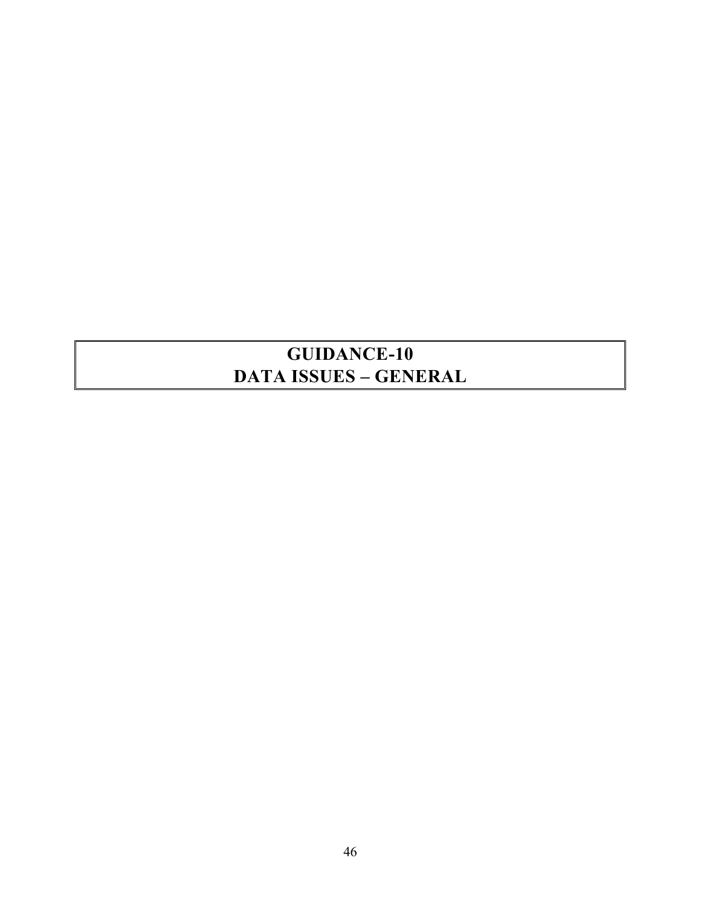# **GUIDANCE-10 DATA ISSUES – GENERAL**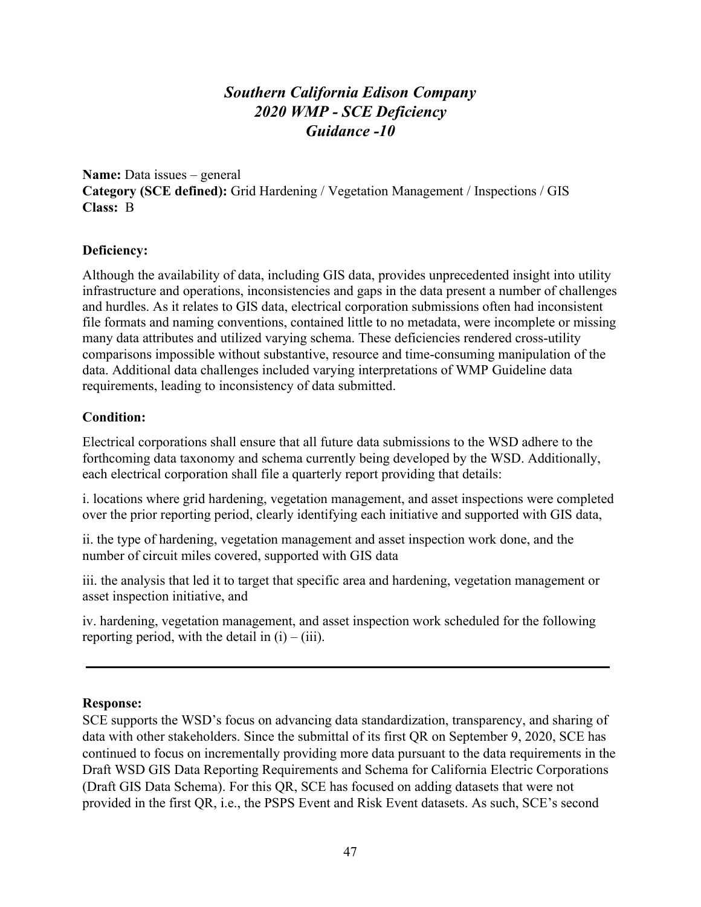# *Southern California Edison Company 2020 WMP - SCE Deficiency Guidance -10*

**Name:** Data issues – general **Category (SCE defined):** Grid Hardening / Vegetation Management / Inspections / GIS **Class:** B

#### **Deficiency:**

Although the availability of data, including GIS data, provides unprecedented insight into utility infrastructure and operations, inconsistencies and gaps in the data present a number of challenges and hurdles. As it relates to GIS data, electrical corporation submissions often had inconsistent file formats and naming conventions, contained little to no metadata, were incomplete or missing many data attributes and utilized varying schema. These deficiencies rendered cross-utility comparisons impossible without substantive, resource and time-consuming manipulation of the data. Additional data challenges included varying interpretations of WMP Guideline data requirements, leading to inconsistency of data submitted.

#### **Condition:**

Electrical corporations shall ensure that all future data submissions to the WSD adhere to the forthcoming data taxonomy and schema currently being developed by the WSD. Additionally, each electrical corporation shall file a quarterly report providing that details:

i. locations where grid hardening, vegetation management, and asset inspections were completed over the prior reporting period, clearly identifying each initiative and supported with GIS data,

ii. the type of hardening, vegetation management and asset inspection work done, and the number of circuit miles covered, supported with GIS data

iii. the analysis that led it to target that specific area and hardening, vegetation management or asset inspection initiative, and

iv. hardening, vegetation management, and asset inspection work scheduled for the following reporting period, with the detail in  $(i) - (iii)$ .

#### **Response:**

SCE supports the WSD's focus on advancing data standardization, transparency, and sharing of data with other stakeholders. Since the submittal of its first QR on September 9, 2020, SCE has continued to focus on incrementally providing more data pursuant to the data requirements in the Draft WSD GIS Data Reporting Requirements and Schema for California Electric Corporations (Draft GIS Data Schema). For this QR, SCE has focused on adding datasets that were not provided in the first QR, i.e., the PSPS Event and Risk Event datasets. As such, SCE's second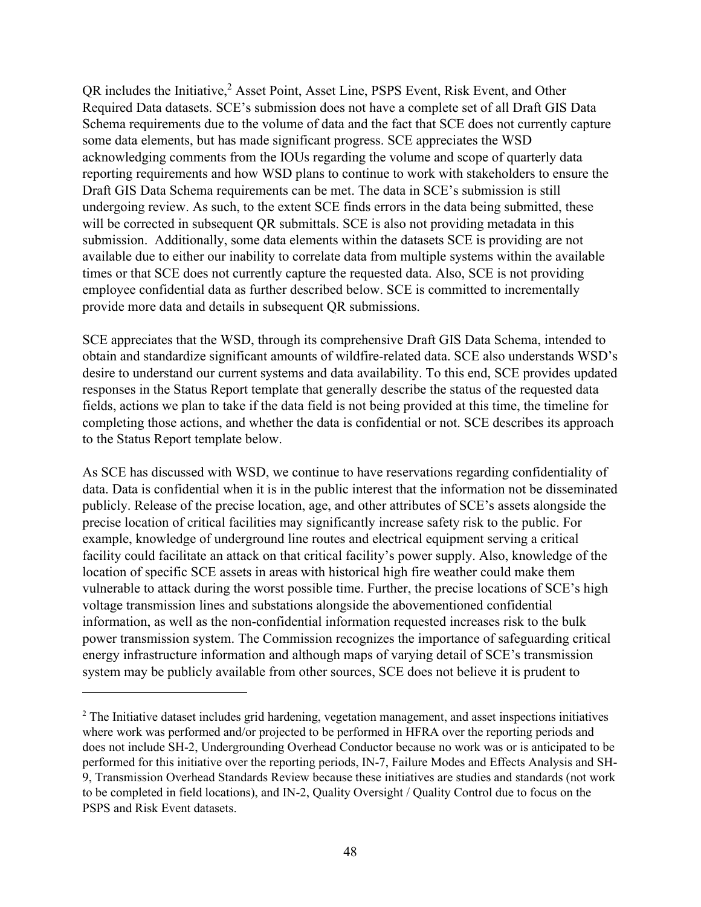QR includes the Initiative,<sup>2</sup> Asset Point, Asset Line, PSPS Event, Risk Event, and Other Required Data datasets. SCE's submission does not have a complete set of all Draft GIS Data Schema requirements due to the volume of data and the fact that SCE does not currently capture some data elements, but has made significant progress. SCE appreciates the WSD acknowledging comments from the IOUs regarding the volume and scope of quarterly data reporting requirements and how WSD plans to continue to work with stakeholders to ensure the Draft GIS Data Schema requirements can be met. The data in SCE's submission is still undergoing review. As such, to the extent SCE finds errors in the data being submitted, these will be corrected in subsequent QR submittals. SCE is also not providing metadata in this submission. Additionally, some data elements within the datasets SCE is providing are not available due to either our inability to correlate data from multiple systems within the available times or that SCE does not currently capture the requested data. Also, SCE is not providing employee confidential data as further described below. SCE is committed to incrementally provide more data and details in subsequent QR submissions.

SCE appreciates that the WSD, through its comprehensive Draft GIS Data Schema, intended to obtain and standardize significant amounts of wildfire-related data. SCE also understands WSD's desire to understand our current systems and data availability. To this end, SCE provides updated responses in the Status Report template that generally describe the status of the requested data fields, actions we plan to take if the data field is not being provided at this time, the timeline for completing those actions, and whether the data is confidential or not. SCE describes its approach to the Status Report template below.

As SCE has discussed with WSD, we continue to have reservations regarding confidentiality of data. Data is confidential when it is in the public interest that the information not be disseminated publicly. Release of the precise location, age, and other attributes of SCE's assets alongside the precise location of critical facilities may significantly increase safety risk to the public. For example, knowledge of underground line routes and electrical equipment serving a critical facility could facilitate an attack on that critical facility's power supply. Also, knowledge of the location of specific SCE assets in areas with historical high fire weather could make them vulnerable to attack during the worst possible time. Further, the precise locations of SCE's high voltage transmission lines and substations alongside the abovementioned confidential information, as well as the non-confidential information requested increases risk to the bulk power transmission system. The Commission recognizes the importance of safeguarding critical energy infrastructure information and although maps of varying detail of SCE's transmission system may be publicly available from other sources, SCE does not believe it is prudent to

<sup>&</sup>lt;sup>2</sup> The Initiative dataset includes grid hardening, vegetation management, and asset inspections initiatives where work was performed and/or projected to be performed in HFRA over the reporting periods and does not include SH-2, Undergrounding Overhead Conductor because no work was or is anticipated to be performed for this initiative over the reporting periods, IN-7, Failure Modes and Effects Analysis and SH-9, Transmission Overhead Standards Review because these initiatives are studies and standards (not work to be completed in field locations), and IN-2, Quality Oversight / Quality Control due to focus on the PSPS and Risk Event datasets.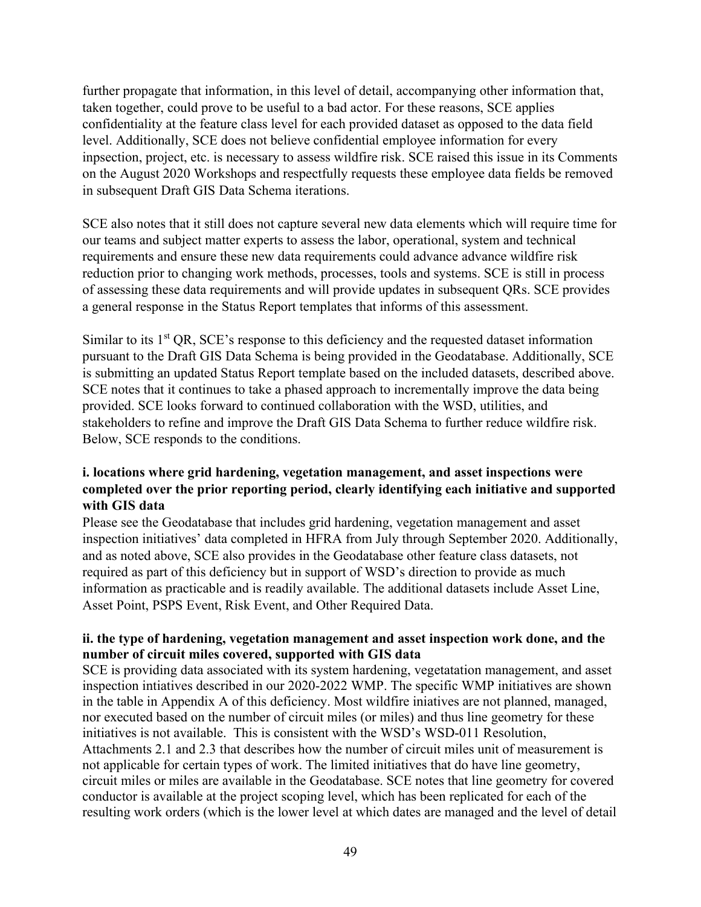further propagate that information, in this level of detail, accompanying other information that, taken together, could prove to be useful to a bad actor. For these reasons, SCE applies confidentiality at the feature class level for each provided dataset as opposed to the data field level. Additionally, SCE does not believe confidential employee information for every inpsection, project, etc. is necessary to assess wildfire risk. SCE raised this issue in its Comments on the August 2020 Workshops and respectfully requests these employee data fields be removed in subsequent Draft GIS Data Schema iterations.

SCE also notes that it still does not capture several new data elements which will require time for our teams and subject matter experts to assess the labor, operational, system and technical requirements and ensure these new data requirements could advance advance wildfire risk reduction prior to changing work methods, processes, tools and systems. SCE is still in process of assessing these data requirements and will provide updates in subsequent QRs. SCE provides a general response in the Status Report templates that informs of this assessment.

Similar to its  $1<sup>st</sup> QR$ , SCE's response to this deficiency and the requested dataset information pursuant to the Draft GIS Data Schema is being provided in the Geodatabase. Additionally, SCE is submitting an updated Status Report template based on the included datasets, described above. SCE notes that it continues to take a phased approach to incrementally improve the data being provided. SCE looks forward to continued collaboration with the WSD, utilities, and stakeholders to refine and improve the Draft GIS Data Schema to further reduce wildfire risk. Below, SCE responds to the conditions.

# **i. locations where grid hardening, vegetation management, and asset inspections were completed over the prior reporting period, clearly identifying each initiative and supported with GIS data**

Please see the Geodatabase that includes grid hardening, vegetation management and asset inspection initiatives' data completed in HFRA from July through September 2020. Additionally, and as noted above, SCE also provides in the Geodatabase other feature class datasets, not required as part of this deficiency but in support of WSD's direction to provide as much information as practicable and is readily available. The additional datasets include Asset Line, Asset Point, PSPS Event, Risk Event, and Other Required Data.

# **ii. the type of hardening, vegetation management and asset inspection work done, and the number of circuit miles covered, supported with GIS data**

SCE is providing data associated with its system hardening, vegetatation management, and asset inspection intiatives described in our 2020-2022 WMP. The specific WMP initiatives are shown in the table in Appendix A of this deficiency. Most wildfire iniatives are not planned, managed, nor executed based on the number of circuit miles (or miles) and thus line geometry for these initiatives is not available. This is consistent with the WSD's WSD-011 Resolution, Attachments 2.1 and 2.3 that describes how the number of circuit miles unit of measurement is not applicable for certain types of work. The limited initiatives that do have line geometry, circuit miles or miles are available in the Geodatabase. SCE notes that line geometry for covered conductor is available at the project scoping level, which has been replicated for each of the resulting work orders (which is the lower level at which dates are managed and the level of detail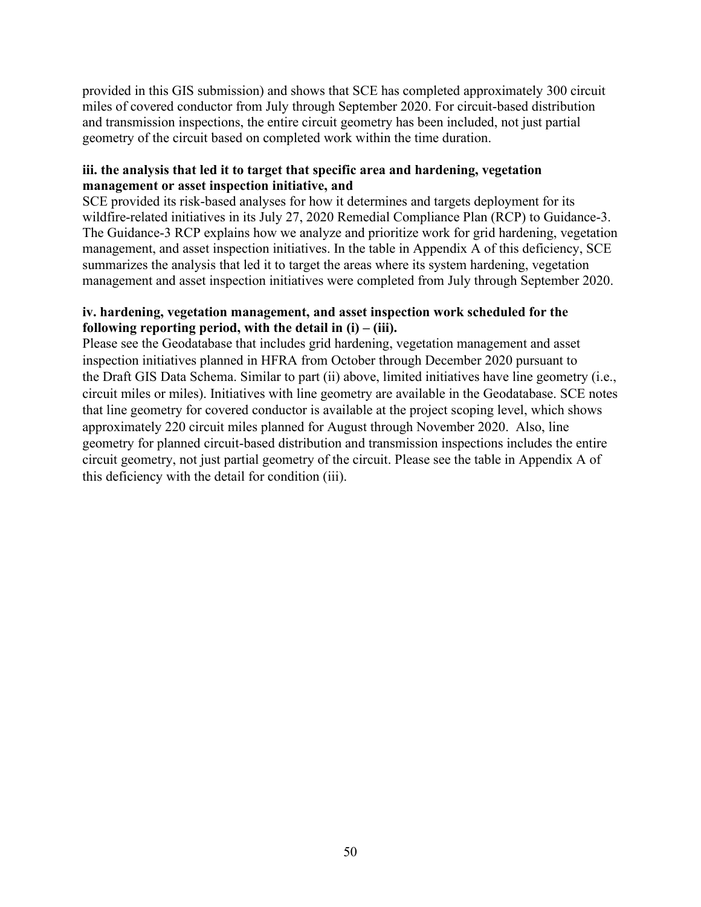provided in this GIS submission) and shows that SCE has completed approximately 300 circuit miles of covered conductor from July through September 2020. For circuit-based distribution and transmission inspections, the entire circuit geometry has been included, not just partial geometry of the circuit based on completed work within the time duration.

#### **iii. the analysis that led it to target that specific area and hardening, vegetation management or asset inspection initiative, and**

SCE provided its risk-based analyses for how it determines and targets deployment for its wildfire-related initiatives in its July 27, 2020 Remedial Compliance Plan (RCP) to Guidance-3. The Guidance-3 RCP explains how we analyze and prioritize work for grid hardening, vegetation management, and asset inspection initiatives. In the table in Appendix A of this deficiency, SCE summarizes the analysis that led it to target the areas where its system hardening, vegetation management and asset inspection initiatives were completed from July through September 2020.

#### **iv. hardening, vegetation management, and asset inspection work scheduled for the following reporting period, with the detail in**  $(i) - (iii)$ **.**

Please see the Geodatabase that includes grid hardening, vegetation management and asset inspection initiatives planned in HFRA from October through December 2020 pursuant to the Draft GIS Data Schema. Similar to part (ii) above, limited initiatives have line geometry (i.e., circuit miles or miles). Initiatives with line geometry are available in the Geodatabase. SCE notes that line geometry for covered conductor is available at the project scoping level, which shows approximately 220 circuit miles planned for August through November 2020. Also, line geometry for planned circuit-based distribution and transmission inspections includes the entire circuit geometry, not just partial geometry of the circuit. Please see the table in Appendix A of this deficiency with the detail for condition (iii).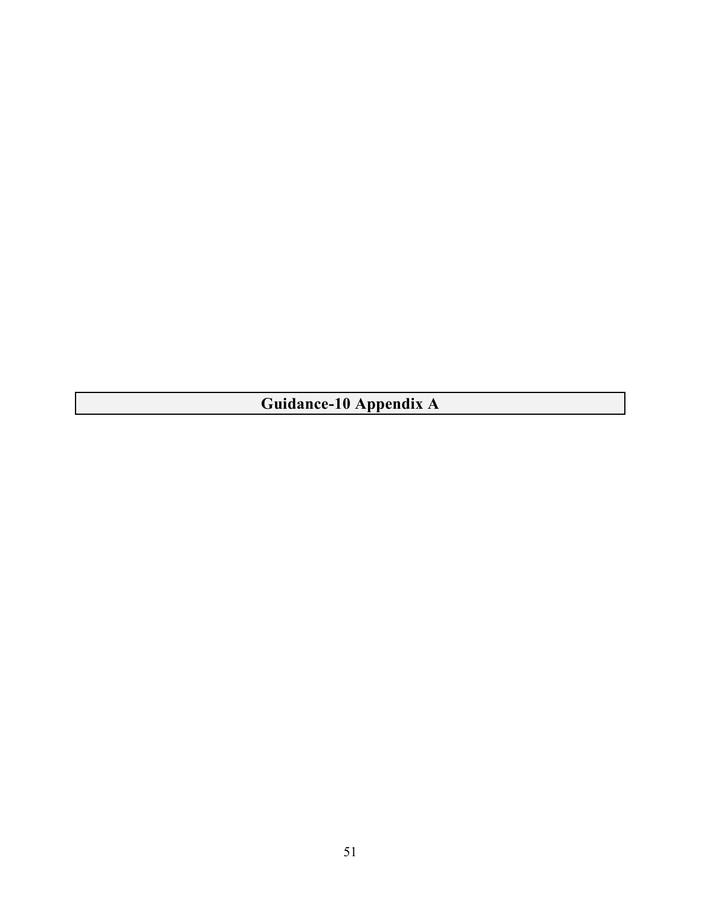**Guidance-10 Appendix A**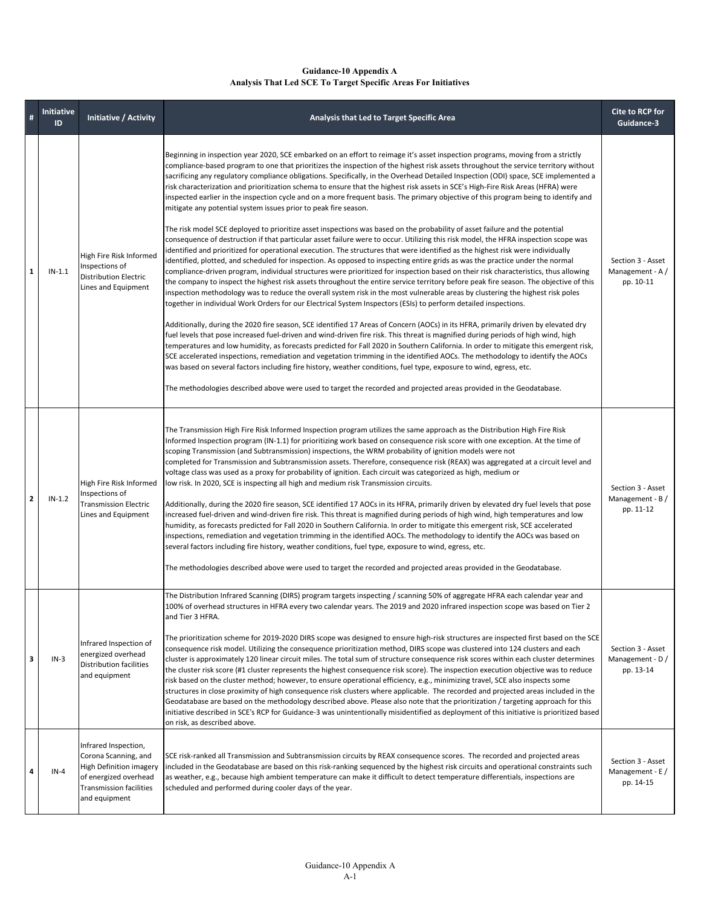#### **Guidance-10 Appendix A Analysis That Led SCE To Target Specific Areas For Initiatives**

| #                                                  | <b>Initiative</b><br>ID                                                                                                                                                                                                                                                                                                                                                                                                                                                                                                                                                                                                              | <b>Initiative / Activity</b>                                                                                                                                                                                                                                                                                                                                                                                                                                                                                                                                                                                                                                                                                                                                                                                                                                                                                                                                                                                                                                                                                                                                                                                                                                                                                                                                                                                                                                                                                                                                                                         | Analysis that Led to Target Specific Area                                                                                                                                                                                                                                                                                                                                                                                                                                                                                                                                                                                                                                                                                                                                                                                                                                                                                                                                                                                                                                                                                                                                                                                                                                                                                                                                                                                                                                                                                                                                                                                                                                                                                                                                                                                                                                                                                                                                                                                                                                                                                                                                                                                                                                                                                                                                                                                                                                                                                                                                                                                                  |                                                     |
|----------------------------------------------------|--------------------------------------------------------------------------------------------------------------------------------------------------------------------------------------------------------------------------------------------------------------------------------------------------------------------------------------------------------------------------------------------------------------------------------------------------------------------------------------------------------------------------------------------------------------------------------------------------------------------------------------|------------------------------------------------------------------------------------------------------------------------------------------------------------------------------------------------------------------------------------------------------------------------------------------------------------------------------------------------------------------------------------------------------------------------------------------------------------------------------------------------------------------------------------------------------------------------------------------------------------------------------------------------------------------------------------------------------------------------------------------------------------------------------------------------------------------------------------------------------------------------------------------------------------------------------------------------------------------------------------------------------------------------------------------------------------------------------------------------------------------------------------------------------------------------------------------------------------------------------------------------------------------------------------------------------------------------------------------------------------------------------------------------------------------------------------------------------------------------------------------------------------------------------------------------------------------------------------------------------|--------------------------------------------------------------------------------------------------------------------------------------------------------------------------------------------------------------------------------------------------------------------------------------------------------------------------------------------------------------------------------------------------------------------------------------------------------------------------------------------------------------------------------------------------------------------------------------------------------------------------------------------------------------------------------------------------------------------------------------------------------------------------------------------------------------------------------------------------------------------------------------------------------------------------------------------------------------------------------------------------------------------------------------------------------------------------------------------------------------------------------------------------------------------------------------------------------------------------------------------------------------------------------------------------------------------------------------------------------------------------------------------------------------------------------------------------------------------------------------------------------------------------------------------------------------------------------------------------------------------------------------------------------------------------------------------------------------------------------------------------------------------------------------------------------------------------------------------------------------------------------------------------------------------------------------------------------------------------------------------------------------------------------------------------------------------------------------------------------------------------------------------------------------------------------------------------------------------------------------------------------------------------------------------------------------------------------------------------------------------------------------------------------------------------------------------------------------------------------------------------------------------------------------------------------------------------------------------------------------------------------------------|-----------------------------------------------------|
| 1                                                  | $IN-1.1$                                                                                                                                                                                                                                                                                                                                                                                                                                                                                                                                                                                                                             | High Fire Risk Informed<br>Inspections of<br><b>Distribution Electric</b><br>Lines and Equipment                                                                                                                                                                                                                                                                                                                                                                                                                                                                                                                                                                                                                                                                                                                                                                                                                                                                                                                                                                                                                                                                                                                                                                                                                                                                                                                                                                                                                                                                                                     | Beginning in inspection year 2020, SCE embarked on an effort to reimage it's asset inspection programs, moving from a strictly<br>compliance-based program to one that prioritizes the inspection of the highest risk assets throughout the service territory without<br>sacrificing any regulatory compliance obligations. Specifically, in the Overhead Detailed Inspection (ODI) space, SCE implemented a<br>risk characterization and prioritization schema to ensure that the highest risk assets in SCE's High-Fire Risk Areas (HFRA) were<br>inspected earlier in the inspection cycle and on a more frequent basis. The primary objective of this program being to identify and<br>mitigate any potential system issues prior to peak fire season.<br>The risk model SCE deployed to prioritize asset inspections was based on the probability of asset failure and the potential<br>consequence of destruction if that particular asset failure were to occur. Utilizing this risk model, the HFRA inspection scope was<br>identified and prioritized for operational execution. The structures that were identified as the highest risk were individually<br>identified, plotted, and scheduled for inspection. As opposed to inspecting entire grids as was the practice under the normal<br>compliance-driven program, individual structures were prioritized for inspection based on their risk characteristics, thus allowing<br>the company to inspect the highest risk assets throughout the entire service territory before peak fire season. The objective of this<br>inspection methodology was to reduce the overall system risk in the most vulnerable areas by clustering the highest risk poles<br>together in individual Work Orders for our Electrical System Inspectors (ESIs) to perform detailed inspections.<br>Additionally, during the 2020 fire season, SCE identified 17 Areas of Concern (AOCs) in its HFRA, primarily driven by elevated dry<br>fuel levels that pose increased fuel-driven and wind-driven fire risk. This threat is magnified during periods of high wind, high<br>temperatures and low humidity, as forecasts predicted for Fall 2020 in Southern California. In order to mitigate this emergent risk,<br>SCE accelerated inspections, remediation and vegetation trimming in the identified AOCs. The methodology to identify the AOCs<br>was based on several factors including fire history, weather conditions, fuel type, exposure to wind, egress, etc.<br>The methodologies described above were used to target the recorded and projected areas provided in the Geodatabase. |                                                     |
| $\mathbf{z}$                                       | $IN-1.2$                                                                                                                                                                                                                                                                                                                                                                                                                                                                                                                                                                                                                             | The Transmission High Fire Risk Informed Inspection program utilizes the same approach as the Distribution High Fire Risk<br>Informed Inspection program (IN-1.1) for prioritizing work based on consequence risk score with one exception. At the time of<br>scoping Transmission (and Subtransmission) inspections, the WRM probability of ignition models were not<br>completed for Transmission and Subtransmission assets. Therefore, consequence risk (REAX) was aggregated at a circuit level and<br>voltage class was used as a proxy for probability of ignition. Each circuit was categorized as high, medium or<br>High Fire Risk Informed<br>low risk. In 2020, SCE is inspecting all high and medium risk Transmission circuits.<br>Inspections of<br><b>Transmission Electric</b><br>Additionally, during the 2020 fire season, SCE identified 17 AOCs in its HFRA, primarily driven by elevated dry fuel levels that pose<br>Lines and Equipment<br>increased fuel-driven and wind-driven fire risk. This threat is magnified during periods of high wind, high temperatures and low<br>humidity, as forecasts predicted for Fall 2020 in Southern California. In order to mitigate this emergent risk, SCE accelerated<br>inspections, remediation and vegetation trimming in the identified AOCs. The methodology to identify the AOCs was based on<br>several factors including fire history, weather conditions, fuel type, exposure to wind, egress, etc.<br>The methodologies described above were used to target the recorded and projected areas provided in the Geodatabase. |                                                                                                                                                                                                                                                                                                                                                                                                                                                                                                                                                                                                                                                                                                                                                                                                                                                                                                                                                                                                                                                                                                                                                                                                                                                                                                                                                                                                                                                                                                                                                                                                                                                                                                                                                                                                                                                                                                                                                                                                                                                                                                                                                                                                                                                                                                                                                                                                                                                                                                                                                                                                                                            | Section 3 - Asset<br>Management - $B/$<br>pp. 11-12 |
| energized overhead<br>$IN-3$<br>3<br>and equipment |                                                                                                                                                                                                                                                                                                                                                                                                                                                                                                                                                                                                                                      | Infrared Inspection of<br>Distribution facilities                                                                                                                                                                                                                                                                                                                                                                                                                                                                                                                                                                                                                                                                                                                                                                                                                                                                                                                                                                                                                                                                                                                                                                                                                                                                                                                                                                                                                                                                                                                                                    | The Distribution Infrared Scanning (DIRS) program targets inspecting / scanning 50% of aggregate HFRA each calendar year and<br>100% of overhead structures in HFRA every two calendar years. The 2019 and 2020 infrared inspection scope was based on Tier 2<br>and Tier 3 HFRA.<br>The prioritization scheme for 2019-2020 DIRS scope was designed to ensure high-risk structures are inspected first based on the SCE<br>consequence risk model. Utilizing the consequence prioritization method, DIRS scope was clustered into 124 clusters and each<br>cluster is approximately 120 linear circuit miles. The total sum of structure consequence risk scores within each cluster determines<br>the cluster risk score (#1 cluster represents the highest consequence risk score). The inspection execution objective was to reduce<br>risk based on the cluster method; however, to ensure operational efficiency, e.g., minimizing travel, SCE also inspects some<br>structures in close proximity of high consequence risk clusters where applicable. The recorded and projected areas included in the<br>Geodatabase are based on the methodology described above. Please also note that the prioritization / targeting approach for this<br>initiative described in SCE's RCP for Guidance-3 was unintentionally misidentified as deployment of this initiative is prioritized based<br>on risk, as described above.                                                                                                                                                                                                                                                                                                                                                                                                                                                                                                                                                                                                                                                                                                                                                                                                                                                                                                                                                                                                                                                                                                                                                                                                              | Section 3 - Asset<br>Management - D /<br>pp. 13-14  |
| 4                                                  | Infrared Inspection,<br>Corona Scanning, and<br>SCE risk-ranked all Transmission and Subtransmission circuits by REAX consequence scores. The recorded and projected areas<br><b>High Definition imagery</b><br>included in the Geodatabase are based on this risk-ranking sequenced by the highest risk circuits and operational constraints such<br>$IN-4$<br>of energized overhead<br>as weather, e.g., because high ambient temperature can make it difficult to detect temperature differentials, inspections are<br><b>Transmission facilities</b><br>scheduled and performed during cooler days of the year.<br>and equipment |                                                                                                                                                                                                                                                                                                                                                                                                                                                                                                                                                                                                                                                                                                                                                                                                                                                                                                                                                                                                                                                                                                                                                                                                                                                                                                                                                                                                                                                                                                                                                                                                      | Section 3 - Asset<br>Management - E /<br>pp. 14-15                                                                                                                                                                                                                                                                                                                                                                                                                                                                                                                                                                                                                                                                                                                                                                                                                                                                                                                                                                                                                                                                                                                                                                                                                                                                                                                                                                                                                                                                                                                                                                                                                                                                                                                                                                                                                                                                                                                                                                                                                                                                                                                                                                                                                                                                                                                                                                                                                                                                                                                                                                                         |                                                     |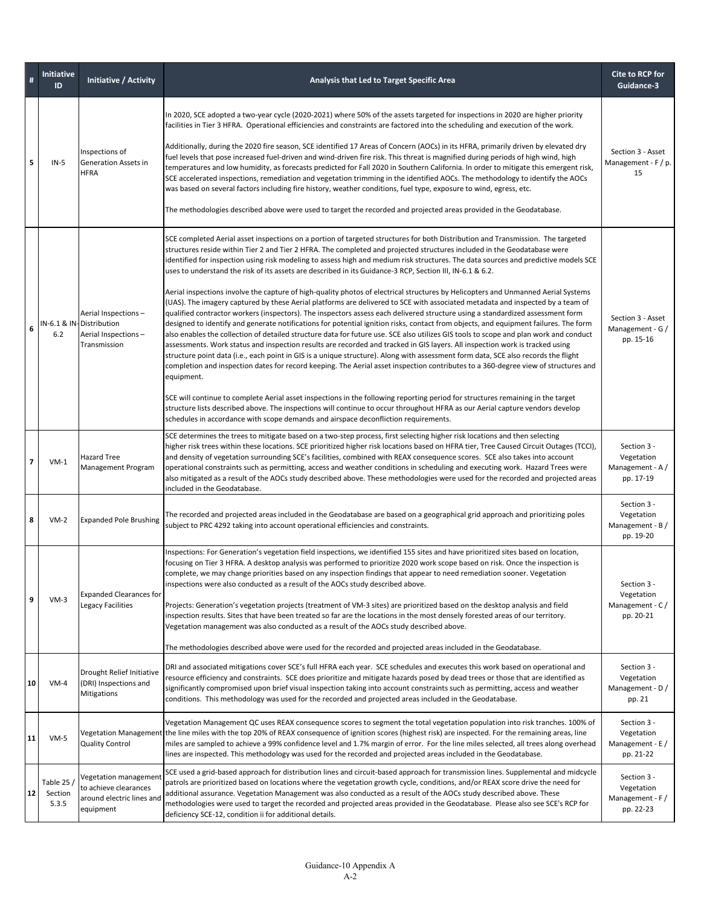| #                | <b>Initiative</b><br>ID                                                                                                                                                                                                                                                                                                                                                                                                                                                                                                                                                                                                                                                                                                                                                                                                                                                                                                                                                                                                                                                                                                                                                                                                                                                                                                                                                                                                                                                                                                                                                                                                                                                                                                                                                                                                                                                                                                                                                                                                                                                                         | Initiative / Activity<br>Analysis that Led to Target Specific Area                                                                                                                                                                                                                                                                                                                                                                                                                                                                                                                  |                                                                                                                                                                                                                                                                                                                                                                                                                                                                                                                                                                                                                                                                                                                                                                                                                                                                                                                                                                                                                                                                                           | Cite to RCP for<br>Guidance-3                              |  |  |
|------------------|-------------------------------------------------------------------------------------------------------------------------------------------------------------------------------------------------------------------------------------------------------------------------------------------------------------------------------------------------------------------------------------------------------------------------------------------------------------------------------------------------------------------------------------------------------------------------------------------------------------------------------------------------------------------------------------------------------------------------------------------------------------------------------------------------------------------------------------------------------------------------------------------------------------------------------------------------------------------------------------------------------------------------------------------------------------------------------------------------------------------------------------------------------------------------------------------------------------------------------------------------------------------------------------------------------------------------------------------------------------------------------------------------------------------------------------------------------------------------------------------------------------------------------------------------------------------------------------------------------------------------------------------------------------------------------------------------------------------------------------------------------------------------------------------------------------------------------------------------------------------------------------------------------------------------------------------------------------------------------------------------------------------------------------------------------------------------------------------------|-------------------------------------------------------------------------------------------------------------------------------------------------------------------------------------------------------------------------------------------------------------------------------------------------------------------------------------------------------------------------------------------------------------------------------------------------------------------------------------------------------------------------------------------------------------------------------------|-------------------------------------------------------------------------------------------------------------------------------------------------------------------------------------------------------------------------------------------------------------------------------------------------------------------------------------------------------------------------------------------------------------------------------------------------------------------------------------------------------------------------------------------------------------------------------------------------------------------------------------------------------------------------------------------------------------------------------------------------------------------------------------------------------------------------------------------------------------------------------------------------------------------------------------------------------------------------------------------------------------------------------------------------------------------------------------------|------------------------------------------------------------|--|--|
| 5                | $IN-5$                                                                                                                                                                                                                                                                                                                                                                                                                                                                                                                                                                                                                                                                                                                                                                                                                                                                                                                                                                                                                                                                                                                                                                                                                                                                                                                                                                                                                                                                                                                                                                                                                                                                                                                                                                                                                                                                                                                                                                                                                                                                                          | Inspections of<br>Generation Assets in<br><b>HFRA</b>                                                                                                                                                                                                                                                                                                                                                                                                                                                                                                                               | In 2020, SCE adopted a two-year cycle (2020-2021) where 50% of the assets targeted for inspections in 2020 are higher priority<br>facilities in Tier 3 HFRA. Operational efficiencies and constraints are factored into the scheduling and execution of the work.<br>Additionally, during the 2020 fire season, SCE identified 17 Areas of Concern (AOCs) in its HFRA, primarily driven by elevated dry<br>fuel levels that pose increased fuel-driven and wind-driven fire risk. This threat is magnified during periods of high wind, high<br>Management - F / p.<br>temperatures and low humidity, as forecasts predicted for Fall 2020 in Southern California. In order to mitigate this emergent risk,<br>SCE accelerated inspections, remediation and vegetation trimming in the identified AOCs. The methodology to identify the AOCs<br>was based on several factors including fire history, weather conditions, fuel type, exposure to wind, egress, etc.<br>The methodologies described above were used to target the recorded and projected areas provided in the Geodatabase. |                                                            |  |  |
| 6                | SCE completed Aerial asset inspections on a portion of targeted structures for both Distribution and Transmission. The targeted<br>structures reside within Tier 2 and Tier 2 HFRA. The completed and projected structures included in the Geodatabase were<br>identified for inspection using risk modeling to assess high and medium risk structures. The data sources and predictive models SCE<br>uses to understand the risk of its assets are described in its Guidance-3 RCP, Section III, IN-6.1 & 6.2.<br>Aerial inspections involve the capture of high-quality photos of electrical structures by Helicopters and Unmanned Aerial Systems<br>(UAS). The imagery captured by these Aerial platforms are delivered to SCE with associated metadata and inspected by a team of<br>Aerial Inspections-<br>qualified contractor workers (inspectors). The inspectors assess each delivered structure using a standardized assessment form<br>IN-6.1 & IN-Distribution<br>designed to identify and generate notifications for potential ignition risks, contact from objects, and equipment failures. The form<br>6.2<br>Aerial Inspections-<br>also enables the collection of detailed structure data for future use. SCE also utilizes GIS tools to scope and plan work and conduct<br>Transmission<br>assessments. Work status and inspection results are recorded and tracked in GIS layers. All inspection work is tracked using<br>structure point data (i.e., each point in GIS is a unique structure). Along with assessment form data, SCE also records the flight<br>completion and inspection dates for record keeping. The Aerial asset inspection contributes to a 360-degree view of structures and<br>equipment.<br>SCE will continue to complete Aerial asset inspections in the following reporting period for structures remaining in the target<br>structure lists described above. The inspections will continue to occur throughout HFRA as our Aerial capture vendors develop<br>schedules in accordance with scope demands and airspace deconfliction requirements. |                                                                                                                                                                                                                                                                                                                                                                                                                                                                                                                                                                                     | Section 3 - Asset<br>Management - G /<br>pp. 15-16                                                                                                                                                                                                                                                                                                                                                                                                                                                                                                                                                                                                                                                                                                                                                                                                                                                                                                                                                                                                                                        |                                                            |  |  |
| 7                | SCE determines the trees to mitigate based on a two-step process, first selecting higher risk locations and then selecting<br>higher risk trees within these locations. SCE prioritized higher risk locations based on HFRA tier, Tree Caused Circuit Outages (TCCI),<br>and density of vegetation surrounding SCE's facilities, combined with REAX consequence scores. SCE also takes into account<br><b>Hazard Tree</b><br>$VM-1$<br>Management Program<br>operational constraints such as permitting, access and weather conditions in scheduling and executing work. Hazard Trees were<br>also mitigated as a result of the AOCs study described above. These methodologies were used for the recorded and projected areas<br>included in the Geodatabase.                                                                                                                                                                                                                                                                                                                                                                                                                                                                                                                                                                                                                                                                                                                                                                                                                                                                                                                                                                                                                                                                                                                                                                                                                                                                                                                                  |                                                                                                                                                                                                                                                                                                                                                                                                                                                                                                                                                                                     | Section 3 -<br>Vegetation<br>Management - A /<br>pp. 17-19                                                                                                                                                                                                                                                                                                                                                                                                                                                                                                                                                                                                                                                                                                                                                                                                                                                                                                                                                                                                                                |                                                            |  |  |
| 8                | $VM-2$                                                                                                                                                                                                                                                                                                                                                                                                                                                                                                                                                                                                                                                                                                                                                                                                                                                                                                                                                                                                                                                                                                                                                                                                                                                                                                                                                                                                                                                                                                                                                                                                                                                                                                                                                                                                                                                                                                                                                                                                                                                                                          | <b>Expanded Pole Brushing</b>                                                                                                                                                                                                                                                                                                                                                                                                                                                                                                                                                       | The recorded and projected areas included in the Geodatabase are based on a geographical grid approach and prioritizing poles<br>subject to PRC 4292 taking into account operational efficiencies and constraints.                                                                                                                                                                                                                                                                                                                                                                                                                                                                                                                                                                                                                                                                                                                                                                                                                                                                        | Section 3 -<br>Vegetation<br>Management - B /<br>pp. 19-20 |  |  |
| $\boldsymbol{9}$ | $VM-3$                                                                                                                                                                                                                                                                                                                                                                                                                                                                                                                                                                                                                                                                                                                                                                                                                                                                                                                                                                                                                                                                                                                                                                                                                                                                                                                                                                                                                                                                                                                                                                                                                                                                                                                                                                                                                                                                                                                                                                                                                                                                                          | <b>Expanded Clearances for</b><br>Legacy Facilities                                                                                                                                                                                                                                                                                                                                                                                                                                                                                                                                 | Inspections: For Generation's vegetation field inspections, we identified 155 sites and have prioritized sites based on location,<br>focusing on Tier 3 HFRA. A desktop analysis was performed to prioritize 2020 work scope based on risk. Once the inspection is<br>complete, we may change priorities based on any inspection findings that appear to need remediation sooner. Vegetation<br>inspections were also conducted as a result of the AOCs study described above.<br>Projects: Generation's vegetation projects (treatment of VM-3 sites) are prioritized based on the desktop analysis and field<br>inspection results. Sites that have been treated so far are the locations in the most densely forested areas of our territory.<br>Vegetation management was also conducted as a result of the AOCs study described above.<br>The methodologies described above were used for the recorded and projected areas included in the Geodatabase.                                                                                                                              | Section 3 -<br>Vegetation<br>Management - C/<br>pp. 20-21  |  |  |
| 10               | $VM-4$                                                                                                                                                                                                                                                                                                                                                                                                                                                                                                                                                                                                                                                                                                                                                                                                                                                                                                                                                                                                                                                                                                                                                                                                                                                                                                                                                                                                                                                                                                                                                                                                                                                                                                                                                                                                                                                                                                                                                                                                                                                                                          | DRI and associated mitigations cover SCE's full HFRA each year. SCE schedules and executes this work based on operational and<br>Drought Relief Initiative<br>resource efficiency and constraints. SCE does prioritize and mitigate hazards posed by dead trees or those that are identified as<br>(DRI) Inspections and<br>significantly compromised upon brief visual inspection taking into account constraints such as permitting, access and weather<br>Mitigations<br>conditions. This methodology was used for the recorded and projected areas included in the Geodatabase. |                                                                                                                                                                                                                                                                                                                                                                                                                                                                                                                                                                                                                                                                                                                                                                                                                                                                                                                                                                                                                                                                                           | Section 3 -<br>Vegetation<br>Management - D /<br>pp. 21    |  |  |
| 11               | $VM-5$                                                                                                                                                                                                                                                                                                                                                                                                                                                                                                                                                                                                                                                                                                                                                                                                                                                                                                                                                                                                                                                                                                                                                                                                                                                                                                                                                                                                                                                                                                                                                                                                                                                                                                                                                                                                                                                                                                                                                                                                                                                                                          | <b>Quality Control</b>                                                                                                                                                                                                                                                                                                                                                                                                                                                                                                                                                              | Vegetation Management QC uses REAX consequence scores to segment the total vegetation population into risk tranches. 100% of<br>Vegetation Management the line miles with the top 20% of REAX consequence of ignition scores (highest risk) are inspected. For the remaining areas, line<br>miles are sampled to achieve a 99% confidence level and 1.7% margin of error. For the line miles selected, all trees along overhead<br>lines are inspected. This methodology was used for the recorded and projected areas included in the Geodatabase.                                                                                                                                                                                                                                                                                                                                                                                                                                                                                                                                       | Section 3 -<br>Vegetation<br>Management - E /<br>pp. 21-22 |  |  |
|                  | SCE used a grid-based approach for distribution lines and circuit-based approach for transmission lines. Supplemental and midcycle<br>Vegetation management<br>Table 25 $/$<br>patrols are prioritized based on locations where the vegetation growth cycle, conditions, and/or REAX score drive the need for<br>to achieve clearances<br>12<br>Section<br>additional assurance. Vegetation Management was also conducted as a result of the AOCs study described above. These<br>around electric lines and<br>5.3.5<br>methodologies were used to target the recorded and projected areas provided in the Geodatabase. Please also see SCE's RCP for<br>equipment<br>deficiency SCE-12, condition ii for additional details.                                                                                                                                                                                                                                                                                                                                                                                                                                                                                                                                                                                                                                                                                                                                                                                                                                                                                                                                                                                                                                                                                                                                                                                                                                                                                                                                                                   |                                                                                                                                                                                                                                                                                                                                                                                                                                                                                                                                                                                     | Section 3 -<br>Vegetation<br>Management - F /<br>pp. 22-23                                                                                                                                                                                                                                                                                                                                                                                                                                                                                                                                                                                                                                                                                                                                                                                                                                                                                                                                                                                                                                |                                                            |  |  |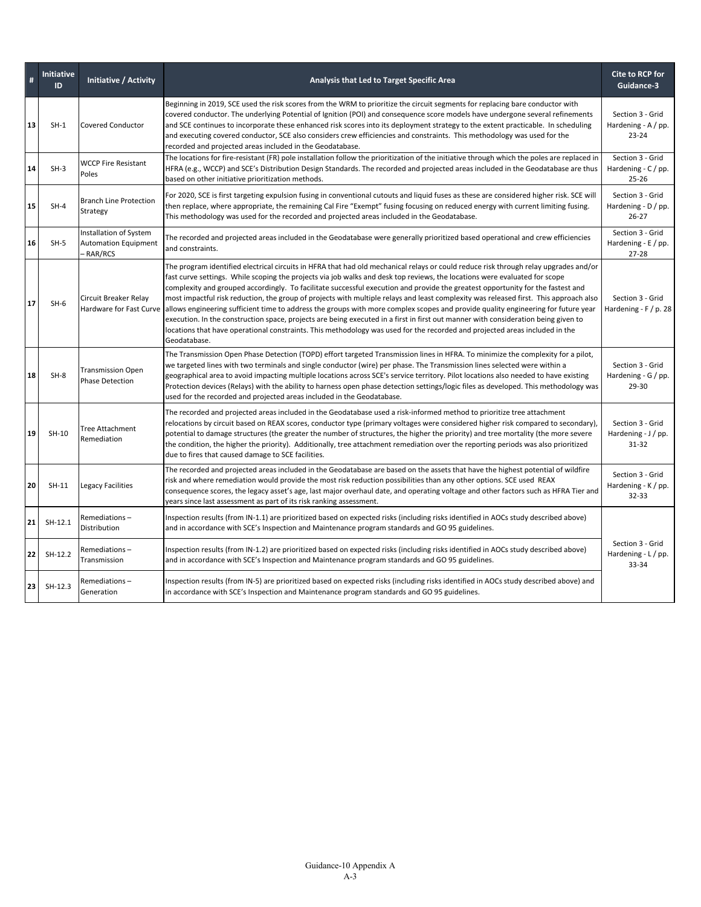|    | <b>Initiative</b><br>ID | <b>Initiative / Activity</b>                                                                                                                                                                                                                                                                                                                                                                                                                                                                                                                                                                                                                                                  | Analysis that Led to Target Specific Area                                                                                                                                                                                                                                                                                                                                                                                                                                                                                                                                                                                                                                                                                                                                                                                                                                                                                                                                                        |                                                         |  |
|----|-------------------------|-------------------------------------------------------------------------------------------------------------------------------------------------------------------------------------------------------------------------------------------------------------------------------------------------------------------------------------------------------------------------------------------------------------------------------------------------------------------------------------------------------------------------------------------------------------------------------------------------------------------------------------------------------------------------------|--------------------------------------------------------------------------------------------------------------------------------------------------------------------------------------------------------------------------------------------------------------------------------------------------------------------------------------------------------------------------------------------------------------------------------------------------------------------------------------------------------------------------------------------------------------------------------------------------------------------------------------------------------------------------------------------------------------------------------------------------------------------------------------------------------------------------------------------------------------------------------------------------------------------------------------------------------------------------------------------------|---------------------------------------------------------|--|
| 13 | $SH-1$                  | <b>Covered Conductor</b>                                                                                                                                                                                                                                                                                                                                                                                                                                                                                                                                                                                                                                                      | Beginning in 2019, SCE used the risk scores from the WRM to prioritize the circuit segments for replacing bare conductor with<br>covered conductor. The underlying Potential of Ignition (POI) and consequence score models have undergone several refinements<br>and SCE continues to incorporate these enhanced risk scores into its deployment strategy to the extent practicable. In scheduling<br>and executing covered conductor, SCE also considers crew efficiencies and constraints. This methodology was used for the<br>recorded and projected areas included in the Geodatabase.                                                                                                                                                                                                                                                                                                                                                                                                     |                                                         |  |
| 14 | $SH-3$                  | <b>WCCP Fire Resistant</b><br>Poles                                                                                                                                                                                                                                                                                                                                                                                                                                                                                                                                                                                                                                           | The locations for fire-resistant (FR) pole installation follow the prioritization of the initiative through which the poles are replaced in<br>HFRA (e.g., WCCP) and SCE's Distribution Design Standards. The recorded and projected areas included in the Geodatabase are thus<br>based on other initiative prioritization methods.                                                                                                                                                                                                                                                                                                                                                                                                                                                                                                                                                                                                                                                             | Section 3 - Grid<br>Hardening - C / pp.<br>25-26        |  |
| 15 | $SH-4$                  | <b>Branch Line Protection</b><br>Strategy                                                                                                                                                                                                                                                                                                                                                                                                                                                                                                                                                                                                                                     | For 2020, SCE is first targeting expulsion fusing in conventional cutouts and liquid fuses as these are considered higher risk. SCE will<br>then replace, where appropriate, the remaining Cal Fire "Exempt" fusing focusing on reduced energy with current limiting fusing.<br>This methodology was used for the recorded and projected areas included in the Geodatabase.                                                                                                                                                                                                                                                                                                                                                                                                                                                                                                                                                                                                                      | Section 3 - Grid<br>Hardening - D / pp.<br>$26 - 27$    |  |
| 16 | $SH-5$                  | Installation of System<br>The recorded and projected areas included in the Geodatabase were generally prioritized based operational and crew efficiencies<br><b>Automation Equipment</b><br>and constraints.<br>RAR/RCS                                                                                                                                                                                                                                                                                                                                                                                                                                                       |                                                                                                                                                                                                                                                                                                                                                                                                                                                                                                                                                                                                                                                                                                                                                                                                                                                                                                                                                                                                  | Section 3 - Grid<br>Hardening - $E / pp$ .<br>$27 - 28$ |  |
| 17 | $SH-6$                  | Circuit Breaker Relay                                                                                                                                                                                                                                                                                                                                                                                                                                                                                                                                                                                                                                                         | The program identified electrical circuits in HFRA that had old mechanical relays or could reduce risk through relay upgrades and/or<br>fast curve settings. While scoping the projects via job walks and desk top reviews, the locations were evaluated for scope<br>complexity and grouped accordingly. To facilitate successful execution and provide the greatest opportunity for the fastest and<br>most impactful risk reduction, the group of projects with multiple relays and least complexity was released first. This approach also<br>Hardware for Fast Curve allows engineering sufficient time to address the groups with more complex scopes and provide quality engineering for future year<br>execution. In the construction space, projects are being executed in a first in first out manner with consideration being given to<br>locations that have operational constraints. This methodology was used for the recorded and projected areas included in the<br>Geodatabase. |                                                         |  |
| 18 | $SH-8$                  | The Transmission Open Phase Detection (TOPD) effort targeted Transmission lines in HFRA. To minimize the complexity for a pilot,<br>we targeted lines with two terminals and single conductor (wire) per phase. The Transmission lines selected were within a<br><b>Transmission Open</b><br>geographical area to avoid impacting multiple locations across SCE's service territory. Pilot locations also needed to have existing<br><b>Phase Detection</b><br>Protection devices (Relays) with the ability to harness open phase detection settings/logic files as developed. This methodology was<br>used for the recorded and projected areas included in the Geodatabase. |                                                                                                                                                                                                                                                                                                                                                                                                                                                                                                                                                                                                                                                                                                                                                                                                                                                                                                                                                                                                  | Section 3 - Grid<br>Hardening - $G / pp$ .<br>29-30     |  |
| 19 | SH-10                   | Tree Attachment<br>Remediation                                                                                                                                                                                                                                                                                                                                                                                                                                                                                                                                                                                                                                                | The recorded and projected areas included in the Geodatabase used a risk-informed method to prioritize tree attachment<br>relocations by circuit based on REAX scores, conductor type (primary voltages were considered higher risk compared to secondary),<br>potential to damage structures (the greater the number of structures, the higher the priority) and tree mortality (the more severe<br>the condition, the higher the priority). Additionally, tree attachment remediation over the reporting periods was also prioritized<br>due to fires that caused damage to SCE facilities.                                                                                                                                                                                                                                                                                                                                                                                                    | Section 3 - Grid<br>Hardening - J / pp.<br>$31 - 32$    |  |
| 20 | SH-11                   | <b>Legacy Facilities</b>                                                                                                                                                                                                                                                                                                                                                                                                                                                                                                                                                                                                                                                      | The recorded and projected areas included in the Geodatabase are based on the assets that have the highest potential of wildfire<br>risk and where remediation would provide the most risk reduction possibilities than any other options. SCE used REAX<br>consequence scores, the legacy asset's age, last major overhaul date, and operating voltage and other factors such as HFRA Tier and<br>years since last assessment as part of its risk ranking assessment.                                                                                                                                                                                                                                                                                                                                                                                                                                                                                                                           | Section 3 - Grid<br>Hardening - K / pp.<br>32-33        |  |
| 21 | $SH-12.1$               | Remediations-<br>Distribution                                                                                                                                                                                                                                                                                                                                                                                                                                                                                                                                                                                                                                                 | Inspection results (from IN-1.1) are prioritized based on expected risks (including risks identified in AOCs study described above)<br>and in accordance with SCE's Inspection and Maintenance program standards and GO 95 guidelines.                                                                                                                                                                                                                                                                                                                                                                                                                                                                                                                                                                                                                                                                                                                                                           |                                                         |  |
| 22 | SH-12.2                 | Remediations-<br>Transmission                                                                                                                                                                                                                                                                                                                                                                                                                                                                                                                                                                                                                                                 | Inspection results (from IN-1.2) are prioritized based on expected risks (including risks identified in AOCs study described above)<br>and in accordance with SCE's Inspection and Maintenance program standards and GO 95 guidelines.                                                                                                                                                                                                                                                                                                                                                                                                                                                                                                                                                                                                                                                                                                                                                           | Section 3 - Grid<br>Hardening - L / pp.<br>33-34        |  |
| 23 | $SH-12.3$               | Remediations-<br>Generation                                                                                                                                                                                                                                                                                                                                                                                                                                                                                                                                                                                                                                                   | Inspection results (from IN-5) are prioritized based on expected risks (including risks identified in AOCs study described above) and<br>in accordance with SCE's Inspection and Maintenance program standards and GO 95 guidelines.                                                                                                                                                                                                                                                                                                                                                                                                                                                                                                                                                                                                                                                                                                                                                             |                                                         |  |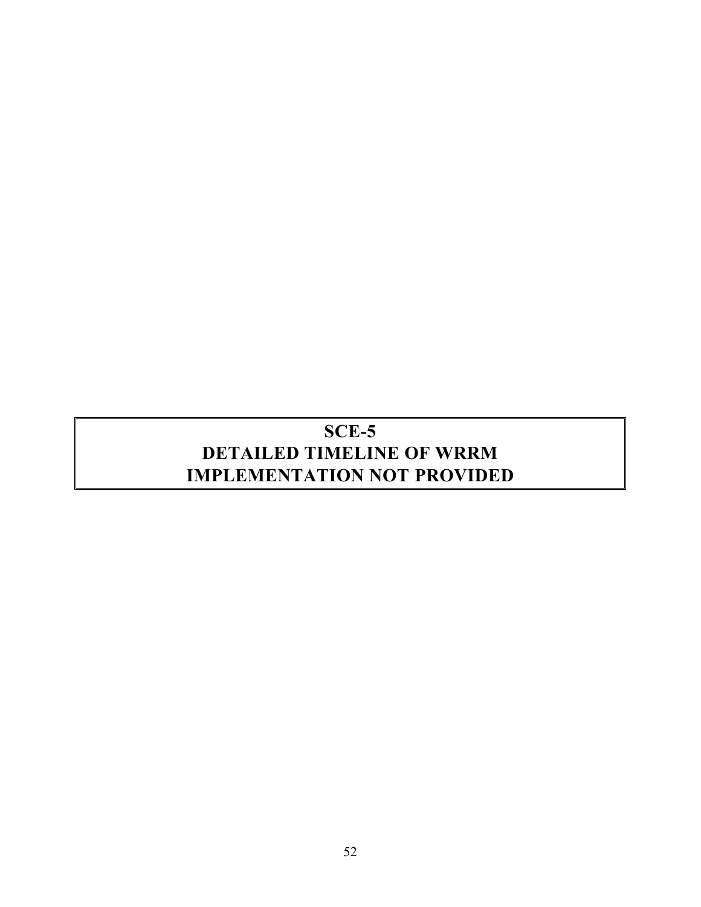# **SCE-5 DETAILED TIMELINE OF WRRM IMPLEMENTATION NOT PROVIDED**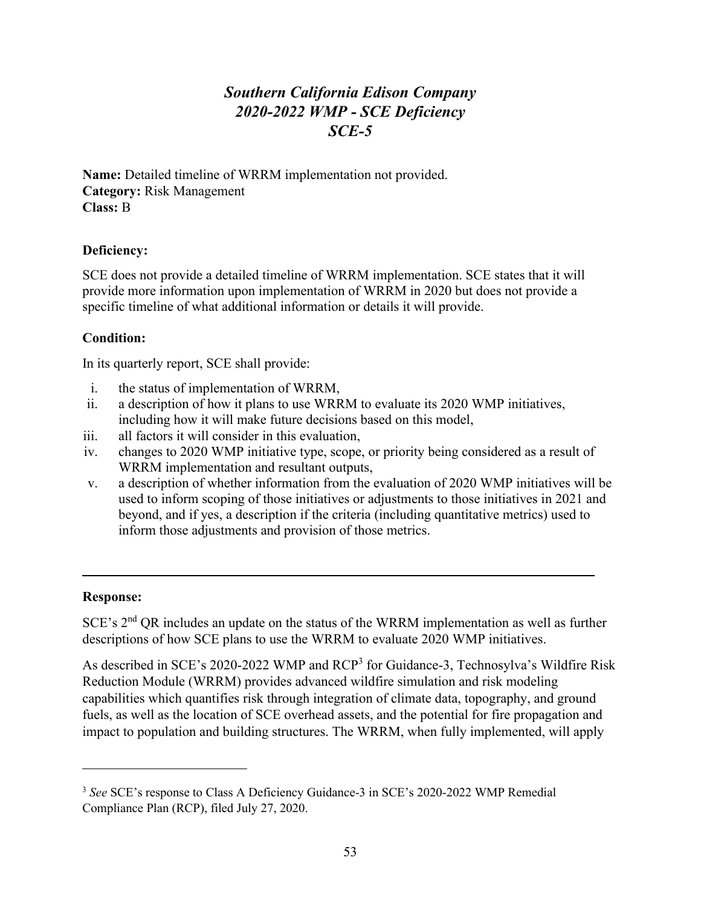# *Southern California Edison Company 2020-2022 WMP - SCE Deficiency SCE-5*

**Name:** Detailed timeline of WRRM implementation not provided. **Category:** Risk Management **Class:** B

# **Deficiency:**

SCE does not provide a detailed timeline of WRRM implementation. SCE states that it will provide more information upon implementation of WRRM in 2020 but does not provide a specific timeline of what additional information or details it will provide.

# **Condition:**

In its quarterly report, SCE shall provide:

- i. the status of implementation of WRRM,
- ii. a description of how it plans to use WRRM to evaluate its 2020 WMP initiatives, including how it will make future decisions based on this model,
- iii. all factors it will consider in this evaluation,
- iv. changes to 2020 WMP initiative type, scope, or priority being considered as a result of WRRM implementation and resultant outputs,
- v. a description of whether information from the evaluation of 2020 WMP initiatives will be used to inform scoping of those initiatives or adjustments to those initiatives in 2021 and beyond, and if yes, a description if the criteria (including quantitative metrics) used to inform those adjustments and provision of those metrics.

# **Response:**

SCE's 2<sup>nd</sup> QR includes an update on the status of the WRRM implementation as well as further descriptions of how SCE plans to use the WRRM to evaluate 2020 WMP initiatives.

As described in SCE's 2020-2022 WMP and RCP<sup>3</sup> for Guidance-3, Technosylva's Wildfire Risk Reduction Module (WRRM) provides advanced wildfire simulation and risk modeling capabilities which quantifies risk through integration of climate data, topography, and ground fuels, as well as the location of SCE overhead assets, and the potential for fire propagation and impact to population and building structures. The WRRM, when fully implemented, will apply

<sup>3</sup> *See* SCE's response to Class A Deficiency Guidance-3 in SCE's 2020-2022 WMP Remedial Compliance Plan (RCP), filed July 27, 2020.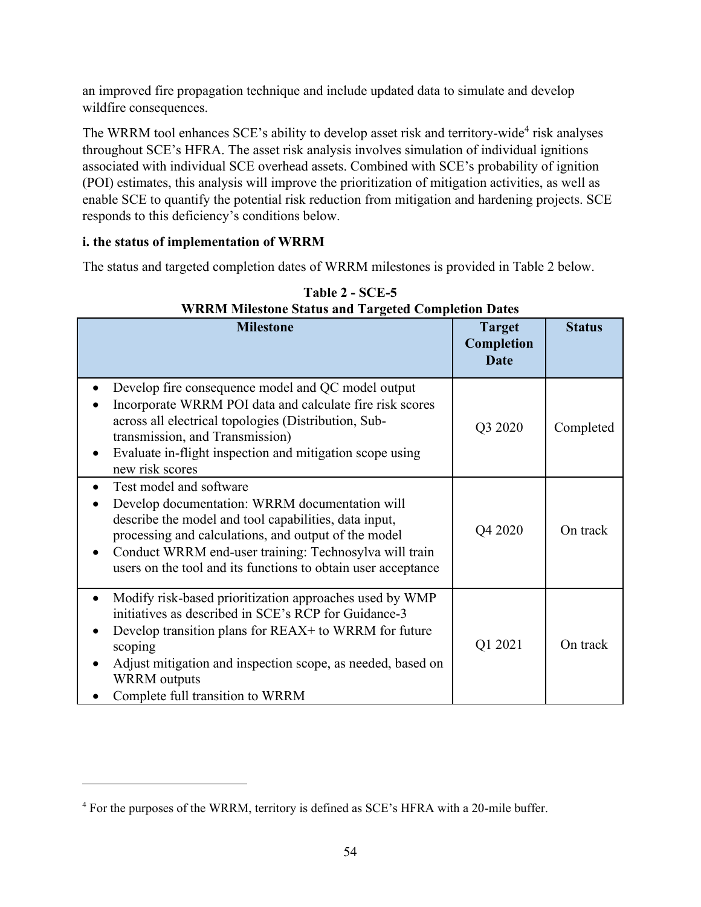an improved fire propagation technique and include updated data to simulate and develop wildfire consequences.

The WRRM tool enhances SCE's ability to develop asset risk and territory-wide<sup>4</sup> risk analyses throughout SCE's HFRA. The asset risk analysis involves simulation of individual ignitions associated with individual SCE overhead assets. Combined with SCE's probability of ignition (POI) estimates, this analysis will improve the prioritization of mitigation activities, as well as enable SCE to quantify the potential risk reduction from mitigation and hardening projects. SCE responds to this deficiency's conditions below.

# **i. the status of implementation of WRRM**

The status and targeted completion dates of WRRM milestones is provided in [Table 2](#page-59-0) below.

<span id="page-59-0"></span>

| WKKM Milestone Status and Targeted Completion Dates                                                                                                                                                                                                                                                                        |                                            |               |  |  |
|----------------------------------------------------------------------------------------------------------------------------------------------------------------------------------------------------------------------------------------------------------------------------------------------------------------------------|--------------------------------------------|---------------|--|--|
| <b>Milestone</b>                                                                                                                                                                                                                                                                                                           | <b>Target</b><br>Completion<br><b>Date</b> | <b>Status</b> |  |  |
| Develop fire consequence model and QC model output<br>Incorporate WRRM POI data and calculate fire risk scores<br>across all electrical topologies (Distribution, Sub-<br>transmission, and Transmission)<br>Evaluate in-flight inspection and mitigation scope using<br>new risk scores                                   | Q3 2020                                    | Completed     |  |  |
| Test model and software<br>Develop documentation: WRRM documentation will<br>describe the model and tool capabilities, data input,<br>processing and calculations, and output of the model<br>Conduct WRRM end-user training: Technosylva will train<br>users on the tool and its functions to obtain user acceptance      | Q4 2020                                    | On track      |  |  |
| Modify risk-based prioritization approaches used by WMP<br>$\bullet$<br>initiatives as described in SCE's RCP for Guidance-3<br>Develop transition plans for REAX+ to WRRM for future<br>scoping<br>Adjust mitigation and inspection scope, as needed, based on<br><b>WRRM</b> outputs<br>Complete full transition to WRRM | Q1 2021                                    | On track      |  |  |

**Table 2 - SCE-5 WRRM Milestone Status and Targeted Completion Dates**

<sup>4</sup> For the purposes of the WRRM, territory is defined as SCE's HFRA with a 20-mile buffer.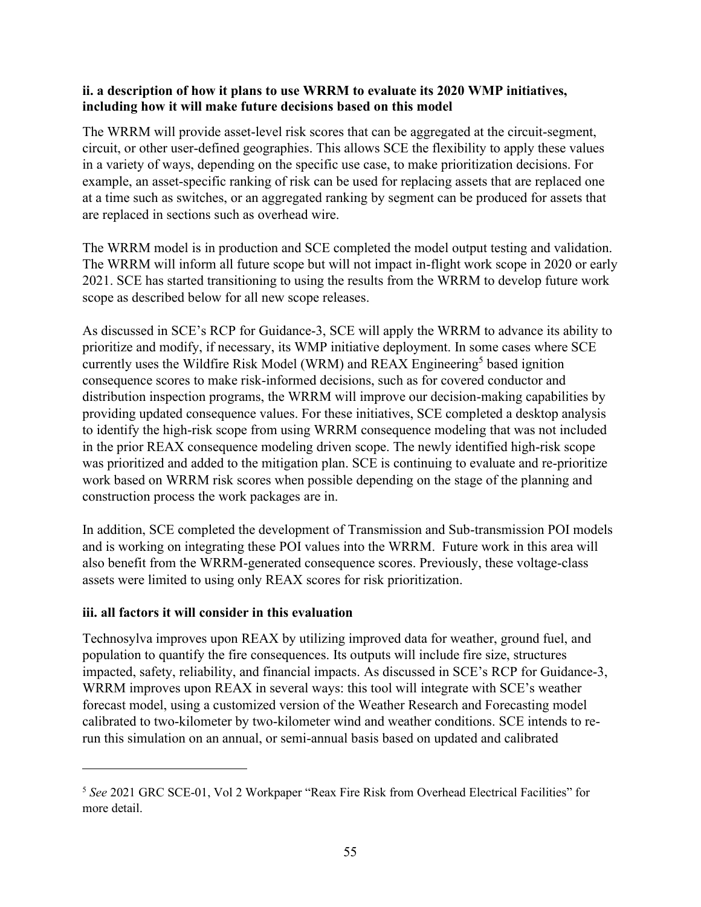#### **ii. a description of how it plans to use WRRM to evaluate its 2020 WMP initiatives, including how it will make future decisions based on this model**

The WRRM will provide asset-level risk scores that can be aggregated at the circuit-segment, circuit, or other user-defined geographies. This allows SCE the flexibility to apply these values in a variety of ways, depending on the specific use case, to make prioritization decisions. For example, an asset-specific ranking of risk can be used for replacing assets that are replaced one at a time such as switches, or an aggregated ranking by segment can be produced for assets that are replaced in sections such as overhead wire.

The WRRM model is in production and SCE completed the model output testing and validation. The WRRM will inform all future scope but will not impact in-flight work scope in 2020 or early 2021. SCE has started transitioning to using the results from the WRRM to develop future work scope as described below for all new scope releases.

As discussed in SCE's RCP for Guidance-3, SCE will apply the WRRM to advance its ability to prioritize and modify, if necessary, its WMP initiative deployment. In some cases where SCE currently uses the Wildfire Risk Model (WRM) and REAX Engineering<sup>5</sup> based ignition consequence scores to make risk-informed decisions, such as for covered conductor and distribution inspection programs, the WRRM will improve our decision-making capabilities by providing updated consequence values. For these initiatives, SCE completed a desktop analysis to identify the high-risk scope from using WRRM consequence modeling that was not included in the prior REAX consequence modeling driven scope. The newly identified high-risk scope was prioritized and added to the mitigation plan. SCE is continuing to evaluate and re-prioritize work based on WRRM risk scores when possible depending on the stage of the planning and construction process the work packages are in.

In addition, SCE completed the development of Transmission and Sub-transmission POI models and is working on integrating these POI values into the WRRM. Future work in this area will also benefit from the WRRM-generated consequence scores. Previously, these voltage-class assets were limited to using only REAX scores for risk prioritization.

# **iii. all factors it will consider in this evaluation**

Technosylva improves upon REAX by utilizing improved data for weather, ground fuel, and population to quantify the fire consequences. Its outputs will include fire size, structures impacted, safety, reliability, and financial impacts. As discussed in SCE's RCP for Guidance-3, WRRM improves upon REAX in several ways: this tool will integrate with SCE's weather forecast model, using a customized version of the Weather Research and Forecasting model calibrated to two-kilometer by two-kilometer wind and weather conditions. SCE intends to rerun this simulation on an annual, or semi-annual basis based on updated and calibrated

<sup>5</sup> *See* 2021 GRC SCE-01, Vol 2 Workpaper "Reax Fire Risk from Overhead Electrical Facilities" for more detail.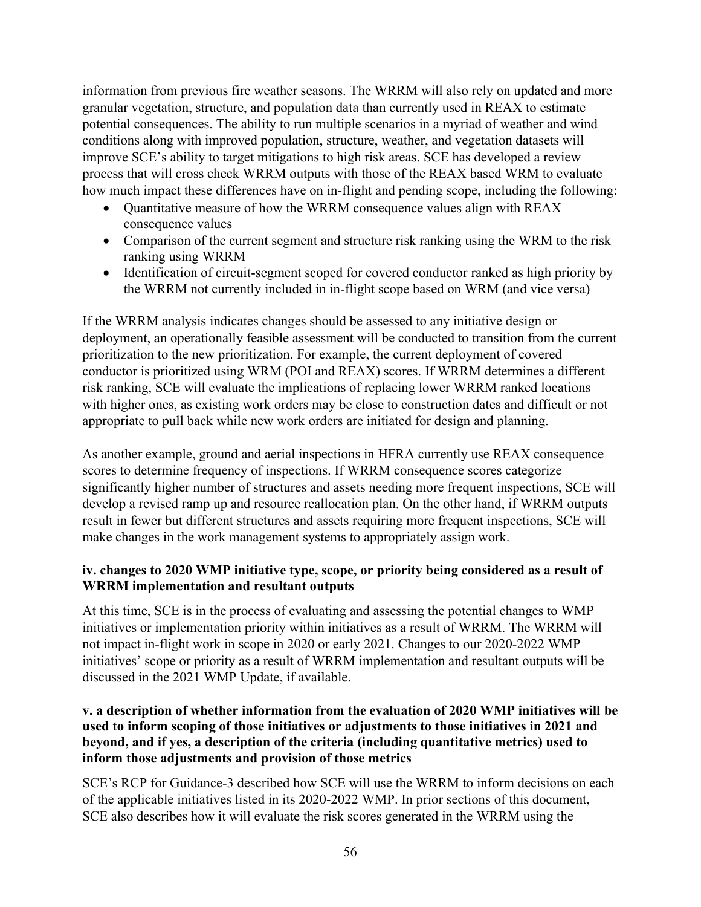information from previous fire weather seasons. The WRRM will also rely on updated and more granular vegetation, structure, and population data than currently used in REAX to estimate potential consequences. The ability to run multiple scenarios in a myriad of weather and wind conditions along with improved population, structure, weather, and vegetation datasets will improve SCE's ability to target mitigations to high risk areas. SCE has developed a review process that will cross check WRRM outputs with those of the REAX based WRM to evaluate how much impact these differences have on in-flight and pending scope, including the following:

- Quantitative measure of how the WRRM consequence values align with REAX consequence values
- Comparison of the current segment and structure risk ranking using the WRM to the risk ranking using WRRM
- Identification of circuit-segment scoped for covered conductor ranked as high priority by the WRRM not currently included in in-flight scope based on WRM (and vice versa)

If the WRRM analysis indicates changes should be assessed to any initiative design or deployment, an operationally feasible assessment will be conducted to transition from the current prioritization to the new prioritization. For example, the current deployment of covered conductor is prioritized using WRM (POI and REAX) scores. If WRRM determines a different risk ranking, SCE will evaluate the implications of replacing lower WRRM ranked locations with higher ones, as existing work orders may be close to construction dates and difficult or not appropriate to pull back while new work orders are initiated for design and planning.

As another example, ground and aerial inspections in HFRA currently use REAX consequence scores to determine frequency of inspections. If WRRM consequence scores categorize significantly higher number of structures and assets needing more frequent inspections, SCE will develop a revised ramp up and resource reallocation plan. On the other hand, if WRRM outputs result in fewer but different structures and assets requiring more frequent inspections, SCE will make changes in the work management systems to appropriately assign work.

# **iv. changes to 2020 WMP initiative type, scope, or priority being considered as a result of WRRM implementation and resultant outputs**

At this time, SCE is in the process of evaluating and assessing the potential changes to WMP initiatives or implementation priority within initiatives as a result of WRRM. The WRRM will not impact in-flight work in scope in 2020 or early 2021. Changes to our 2020-2022 WMP initiatives' scope or priority as a result of WRRM implementation and resultant outputs will be discussed in the 2021 WMP Update, if available.

# **v. a description of whether information from the evaluation of 2020 WMP initiatives will be used to inform scoping of those initiatives or adjustments to those initiatives in 2021 and beyond, and if yes, a description of the criteria (including quantitative metrics) used to inform those adjustments and provision of those metrics**

SCE's RCP for Guidance-3 described how SCE will use the WRRM to inform decisions on each of the applicable initiatives listed in its 2020-2022 WMP. In prior sections of this document, SCE also describes how it will evaluate the risk scores generated in the WRRM using the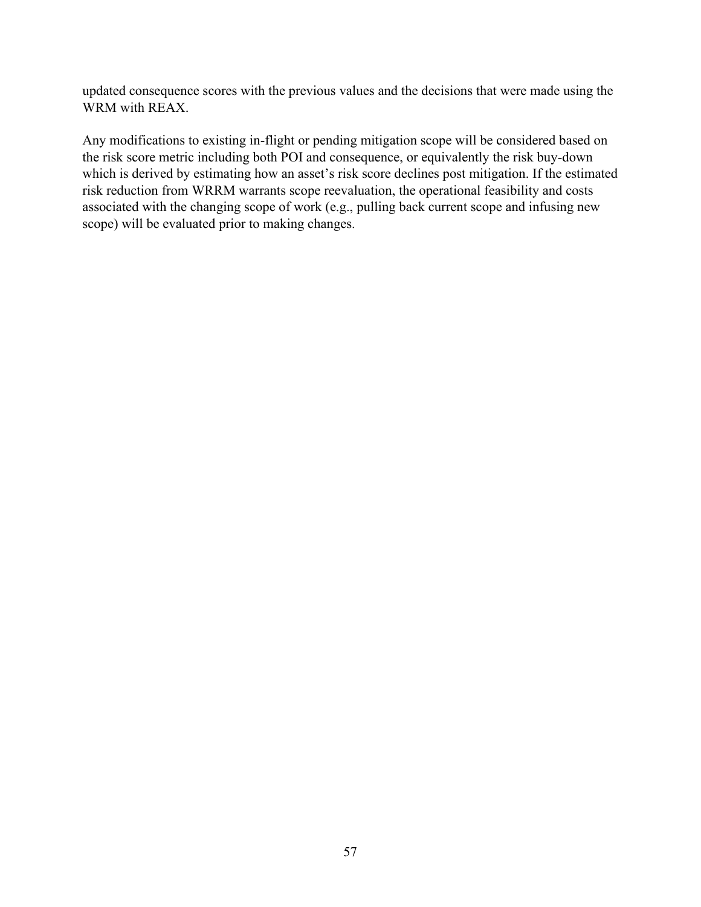updated consequence scores with the previous values and the decisions that were made using the WRM with REAX.

Any modifications to existing in-flight or pending mitigation scope will be considered based on the risk score metric including both POI and consequence, or equivalently the risk buy-down which is derived by estimating how an asset's risk score declines post mitigation. If the estimated risk reduction from WRRM warrants scope reevaluation, the operational feasibility and costs associated with the changing scope of work (e.g., pulling back current scope and infusing new scope) will be evaluated prior to making changes.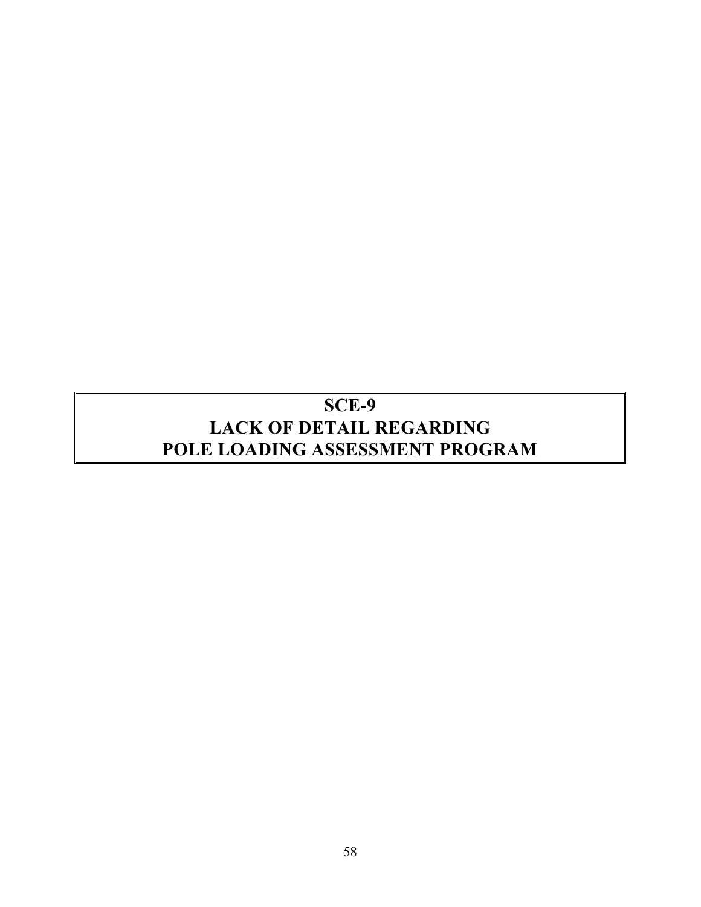# **SCE-9 LACK OF DETAIL REGARDING POLE LOADING ASSESSMENT PROGRAM**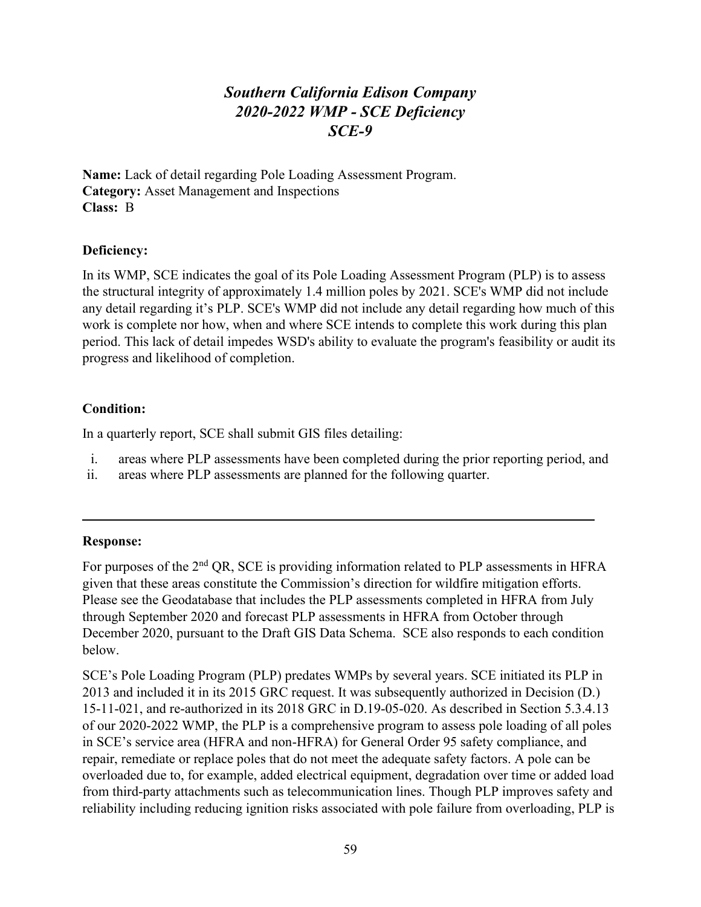# *Southern California Edison Company 2020-2022 WMP - SCE Deficiency SCE-9*

**Name:** Lack of detail regarding Pole Loading Assessment Program. **Category:** Asset Management and Inspections **Class:** B

#### **Deficiency:**

In its WMP, SCE indicates the goal of its Pole Loading Assessment Program (PLP) is to assess the structural integrity of approximately 1.4 million poles by 2021. SCE's WMP did not include any detail regarding it's PLP. SCE's WMP did not include any detail regarding how much of this work is complete nor how, when and where SCE intends to complete this work during this plan period. This lack of detail impedes WSD's ability to evaluate the program's feasibility or audit its progress and likelihood of completion.

# **Condition:**

In a quarterly report, SCE shall submit GIS files detailing:

- i. areas where PLP assessments have been completed during the prior reporting period, and
- ii. areas where PLP assessments are planned for the following quarter.

#### **Response:**

For purposes of the 2<sup>nd</sup> QR, SCE is providing information related to PLP assessments in HFRA given that these areas constitute the Commission's direction for wildfire mitigation efforts. Please see the Geodatabase that includes the PLP assessments completed in HFRA from July through September 2020 and forecast PLP assessments in HFRA from October through December 2020, pursuant to the Draft GIS Data Schema. SCE also responds to each condition below.

SCE's Pole Loading Program (PLP) predates WMPs by several years. SCE initiated its PLP in 2013 and included it in its 2015 GRC request. It was subsequently authorized in Decision (D.) 15-11-021, and re-authorized in its 2018 GRC in D.19-05-020. As described in Section 5.3.4.13 of our 2020-2022 WMP, the PLP is a comprehensive program to assess pole loading of all poles in SCE's service area (HFRA and non-HFRA) for General Order 95 safety compliance, and repair, remediate or replace poles that do not meet the adequate safety factors. A pole can be overloaded due to, for example, added electrical equipment, degradation over time or added load from third-party attachments such as telecommunication lines. Though PLP improves safety and reliability including reducing ignition risks associated with pole failure from overloading, PLP is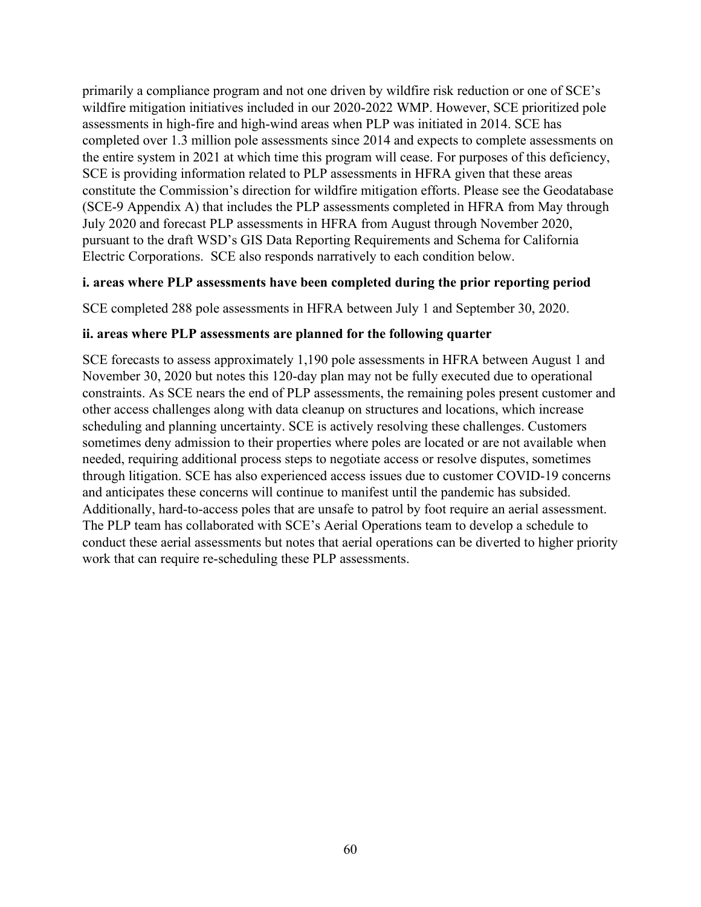primarily a compliance program and not one driven by wildfire risk reduction or one of SCE's wildfire mitigation initiatives included in our 2020-2022 WMP. However, SCE prioritized pole assessments in high-fire and high-wind areas when PLP was initiated in 2014. SCE has completed over 1.3 million pole assessments since 2014 and expects to complete assessments on the entire system in 2021 at which time this program will cease. For purposes of this deficiency, SCE is providing information related to PLP assessments in HFRA given that these areas constitute the Commission's direction for wildfire mitigation efforts. Please see the Geodatabase (SCE-9 Appendix A) that includes the PLP assessments completed in HFRA from May through July 2020 and forecast PLP assessments in HFRA from August through November 2020, pursuant to the draft WSD's GIS Data Reporting Requirements and Schema for California Electric Corporations. SCE also responds narratively to each condition below.

#### **i. areas where PLP assessments have been completed during the prior reporting period**

SCE completed 288 pole assessments in HFRA between July 1 and September 30, 2020.

#### **ii. areas where PLP assessments are planned for the following quarter**

SCE forecasts to assess approximately 1,190 pole assessments in HFRA between August 1 and November 30, 2020 but notes this 120-day plan may not be fully executed due to operational constraints. As SCE nears the end of PLP assessments, the remaining poles present customer and other access challenges along with data cleanup on structures and locations, which increase scheduling and planning uncertainty. SCE is actively resolving these challenges. Customers sometimes deny admission to their properties where poles are located or are not available when needed, requiring additional process steps to negotiate access or resolve disputes, sometimes through litigation. SCE has also experienced access issues due to customer COVID-19 concerns and anticipates these concerns will continue to manifest until the pandemic has subsided. Additionally, hard-to-access poles that are unsafe to patrol by foot require an aerial assessment. The PLP team has collaborated with SCE's Aerial Operations team to develop a schedule to conduct these aerial assessments but notes that aerial operations can be diverted to higher priority work that can require re-scheduling these PLP assessments.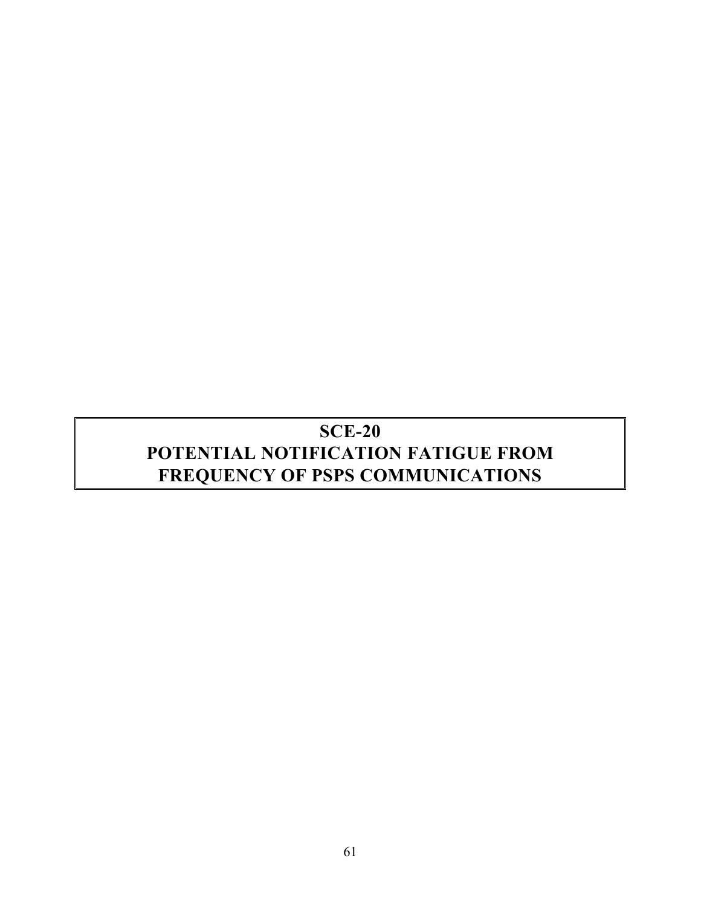# **SCE-20 POTENTIAL NOTIFICATION FATIGUE FROM FREQUENCY OF PSPS COMMUNICATIONS**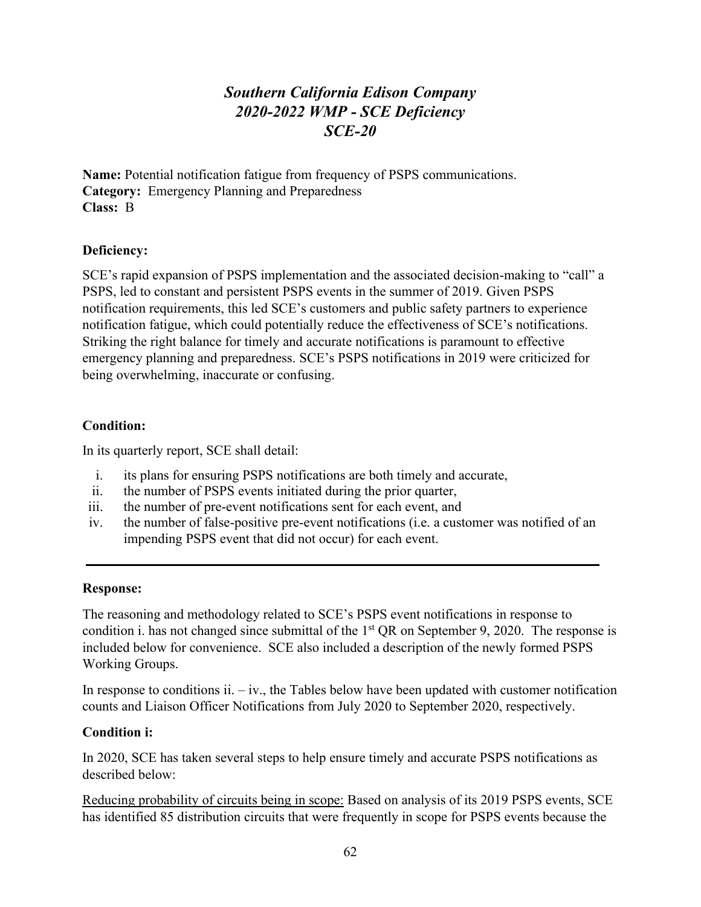# *Southern California Edison Company 2020-2022 WMP - SCE Deficiency SCE-20*

**Name:** Potential notification fatigue from frequency of PSPS communications. **Category:** Emergency Planning and Preparedness **Class:** B

# **Deficiency:**

SCE's rapid expansion of PSPS implementation and the associated decision-making to "call" a PSPS, led to constant and persistent PSPS events in the summer of 2019. Given PSPS notification requirements, this led SCE's customers and public safety partners to experience notification fatigue, which could potentially reduce the effectiveness of SCE's notifications. Striking the right balance for timely and accurate notifications is paramount to effective emergency planning and preparedness. SCE's PSPS notifications in 2019 were criticized for being overwhelming, inaccurate or confusing.

# **Condition:**

In its quarterly report, SCE shall detail:

- i. its plans for ensuring PSPS notifications are both timely and accurate,
- ii. the number of PSPS events initiated during the prior quarter,
- iii. the number of pre-event notifications sent for each event, and
- iv. the number of false-positive pre-event notifications (i.e. a customer was notified of an impending PSPS event that did not occur) for each event.

# **Response:**

The reasoning and methodology related to SCE's PSPS event notifications in response to condition i. has not changed since submittal of the  $1<sup>st</sup> QR$  on September 9, 2020. The response is included below for convenience. SCE also included a description of the newly formed PSPS Working Groups.

In response to conditions ii.  $-$  iv., the Tables below have been updated with customer notification counts and Liaison Officer Notifications from July 2020 to September 2020, respectively.

# **Condition i:**

In 2020, SCE has taken several steps to help ensure timely and accurate PSPS notifications as described below:

Reducing probability of circuits being in scope: Based on analysis of its 2019 PSPS events, SCE has identified 85 distribution circuits that were frequently in scope for PSPS events because the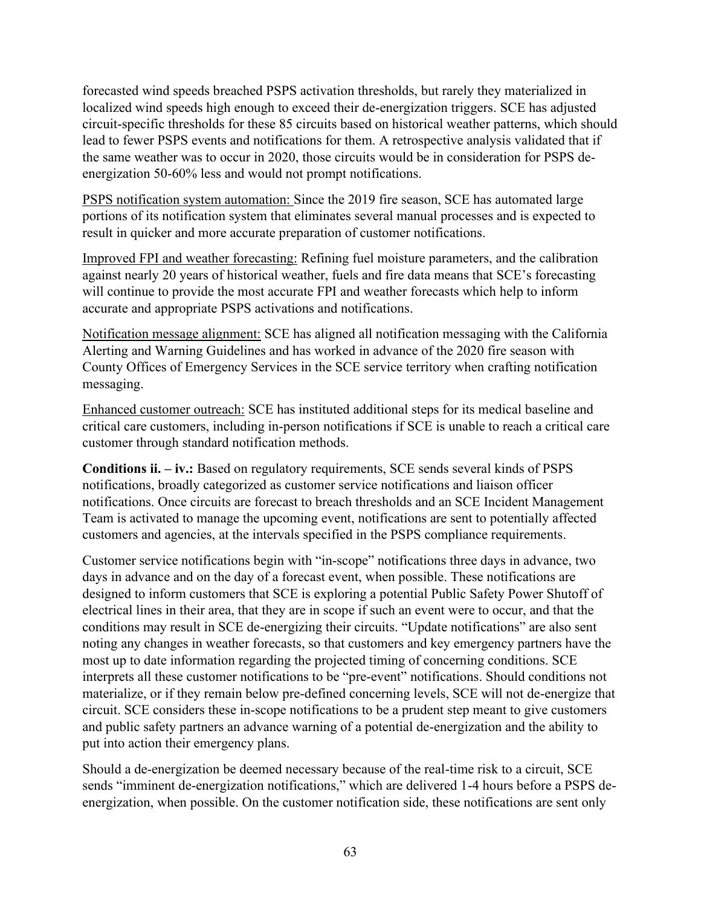forecasted wind speeds breached PSPS activation thresholds, but rarely they materialized in localized wind speeds high enough to exceed their de-energization triggers. SCE has adjusted circuit-specific thresholds for these 85 circuits based on historical weather patterns, which should lead to fewer PSPS events and notifications for them. A retrospective analysis validated that if the same weather was to occur in 2020, those circuits would be in consideration for PSPS deenergization 50-60% less and would not prompt notifications.

PSPS notification system automation: Since the 2019 fire season, SCE has automated large portions of its notification system that eliminates several manual processes and is expected to result in quicker and more accurate preparation of customer notifications.

Improved FPI and weather forecasting: Refining fuel moisture parameters, and the calibration against nearly 20 years of historical weather, fuels and fire data means that SCE's forecasting will continue to provide the most accurate FPI and weather forecasts which help to inform accurate and appropriate PSPS activations and notifications.

Notification message alignment: SCE has aligned all notification messaging with the California Alerting and Warning Guidelines and has worked in advance of the 2020 fire season with County Offices of Emergency Services in the SCE service territory when crafting notification messaging.

Enhanced customer outreach: SCE has instituted additional steps for its medical baseline and critical care customers, including in-person notifications if SCE is unable to reach a critical care customer through standard notification methods.

**Conditions ii. – iv.:** Based on regulatory requirements, SCE sends several kinds of PSPS notifications, broadly categorized as customer service notifications and liaison officer notifications. Once circuits are forecast to breach thresholds and an SCE Incident Management Team is activated to manage the upcoming event, notifications are sent to potentially affected customers and agencies, at the intervals specified in the PSPS compliance requirements.

Customer service notifications begin with "in-scope" notifications three days in advance, two days in advance and on the day of a forecast event, when possible. These notifications are designed to inform customers that SCE is exploring a potential Public Safety Power Shutoff of electrical lines in their area, that they are in scope if such an event were to occur, and that the conditions may result in SCE de-energizing their circuits. "Update notifications" are also sent noting any changes in weather forecasts, so that customers and key emergency partners have the most up to date information regarding the projected timing of concerning conditions. SCE interprets all these customer notifications to be "pre-event" notifications. Should conditions not materialize, or if they remain below pre-defined concerning levels, SCE will not de-energize that circuit. SCE considers these in-scope notifications to be a prudent step meant to give customers and public safety partners an advance warning of a potential de-energization and the ability to put into action their emergency plans.

Should a de-energization be deemed necessary because of the real-time risk to a circuit, SCE sends "imminent de-energization notifications," which are delivered 1-4 hours before a PSPS deenergization, when possible. On the customer notification side, these notifications are sent only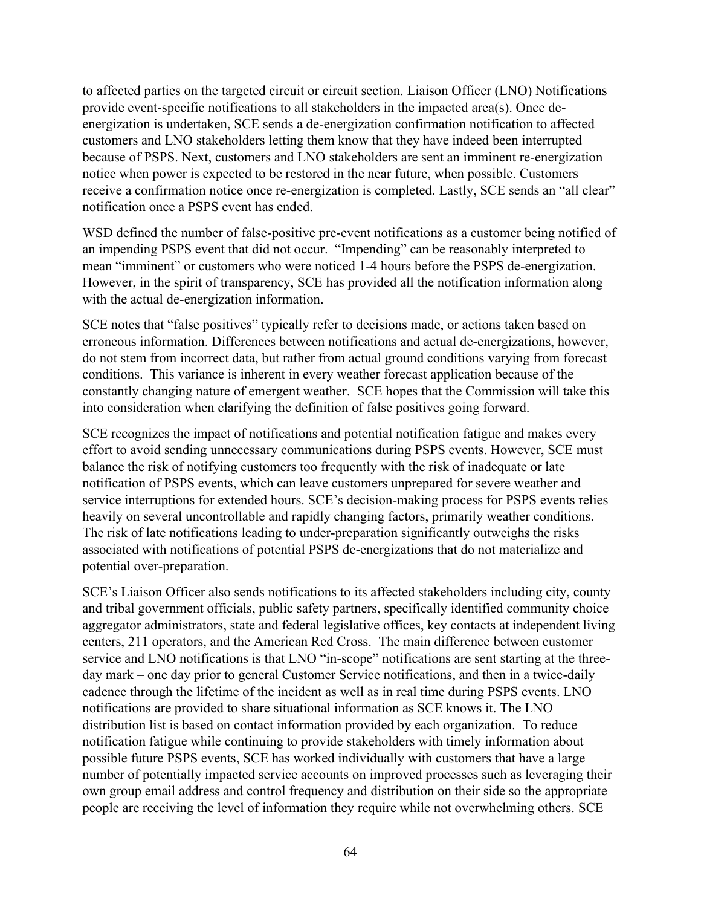to affected parties on the targeted circuit or circuit section. Liaison Officer (LNO) Notifications provide event-specific notifications to all stakeholders in the impacted area(s). Once deenergization is undertaken, SCE sends a de-energization confirmation notification to affected customers and LNO stakeholders letting them know that they have indeed been interrupted because of PSPS. Next, customers and LNO stakeholders are sent an imminent re-energization notice when power is expected to be restored in the near future, when possible. Customers receive a confirmation notice once re-energization is completed. Lastly, SCE sends an "all clear" notification once a PSPS event has ended.

WSD defined the number of false-positive pre-event notifications as a customer being notified of an impending PSPS event that did not occur. "Impending" can be reasonably interpreted to mean "imminent" or customers who were noticed 1-4 hours before the PSPS de-energization. However, in the spirit of transparency, SCE has provided all the notification information along with the actual de-energization information.

SCE notes that "false positives" typically refer to decisions made, or actions taken based on erroneous information. Differences between notifications and actual de-energizations, however, do not stem from incorrect data, but rather from actual ground conditions varying from forecast conditions. This variance is inherent in every weather forecast application because of the constantly changing nature of emergent weather. SCE hopes that the Commission will take this into consideration when clarifying the definition of false positives going forward.

SCE recognizes the impact of notifications and potential notification fatigue and makes every effort to avoid sending unnecessary communications during PSPS events. However, SCE must balance the risk of notifying customers too frequently with the risk of inadequate or late notification of PSPS events, which can leave customers unprepared for severe weather and service interruptions for extended hours. SCE's decision-making process for PSPS events relies heavily on several uncontrollable and rapidly changing factors, primarily weather conditions. The risk of late notifications leading to under-preparation significantly outweighs the risks associated with notifications of potential PSPS de-energizations that do not materialize and potential over-preparation.

SCE's Liaison Officer also sends notifications to its affected stakeholders including city, county and tribal government officials, public safety partners, specifically identified community choice aggregator administrators, state and federal legislative offices, key contacts at independent living centers, 211 operators, and the American Red Cross. The main difference between customer service and LNO notifications is that LNO "in-scope" notifications are sent starting at the threeday mark – one day prior to general Customer Service notifications, and then in a twice-daily cadence through the lifetime of the incident as well as in real time during PSPS events. LNO notifications are provided to share situational information as SCE knows it. The LNO distribution list is based on contact information provided by each organization. To reduce notification fatigue while continuing to provide stakeholders with timely information about possible future PSPS events, SCE has worked individually with customers that have a large number of potentially impacted service accounts on improved processes such as leveraging their own group email address and control frequency and distribution on their side so the appropriate people are receiving the level of information they require while not overwhelming others. SCE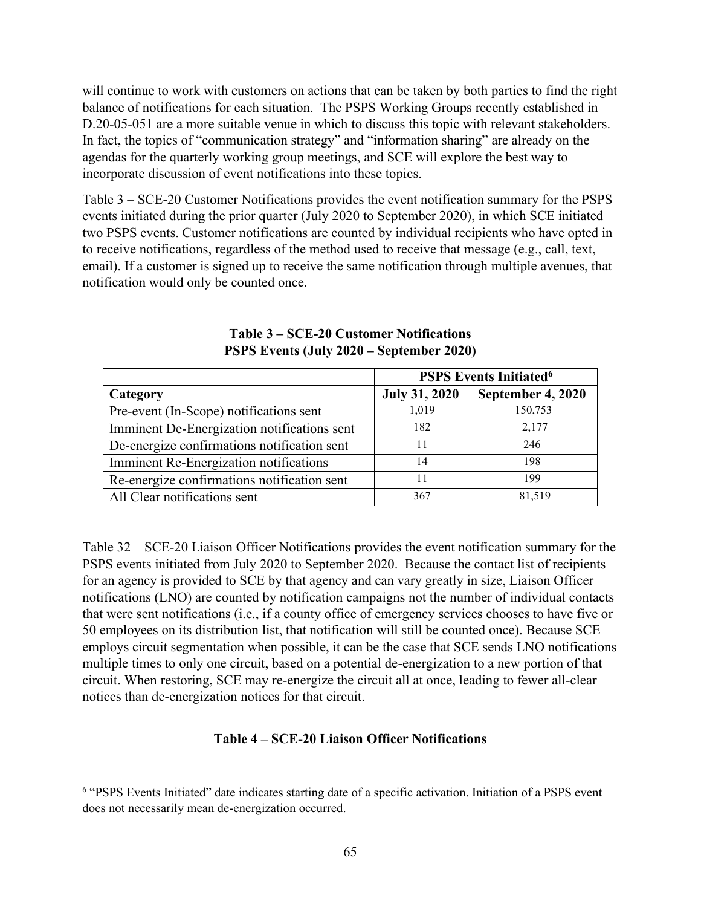will continue to work with customers on actions that can be taken by both parties to find the right balance of notifications for each situation. The PSPS Working Groups recently established in D.20-05-051 are a more suitable venue in which to discuss this topic with relevant stakeholders. In fact, the topics of "communication strategy" and "information sharing" are already on the agendas for the quarterly working group meetings, and SCE will explore the best way to incorporate discussion of event notifications into these topics.

Table 3 – [SCE-20 Customer Notifications](#page-70-0) provides the event notification summary for the PSPS events initiated during the prior quarter (July 2020 to September 2020), in which SCE initiated two PSPS events. Customer notifications are counted by individual recipients who have opted in to receive notifications, regardless of the method used to receive that message (e.g., call, text, email). If a customer is signed up to receive the same notification through multiple avenues, that notification would only be counted once.

<span id="page-70-0"></span>

|                                             | <b>PSPS Events Initiated<sup>6</sup></b> |                   |  |
|---------------------------------------------|------------------------------------------|-------------------|--|
| Category                                    | <b>July 31, 2020</b>                     | September 4, 2020 |  |
| Pre-event (In-Scope) notifications sent     | 1,019                                    | 150,753           |  |
| Imminent De-Energization notifications sent | 182                                      | 2,177             |  |
| De-energize confirmations notification sent | 11                                       | 246               |  |
| Imminent Re-Energization notifications      | 14                                       | 198               |  |
| Re-energize confirmations notification sent | 11                                       | 199               |  |
| All Clear notifications sent                | 367                                      | 81,519            |  |

# **Table 3 – SCE-20 Customer Notifications PSPS Events (July 2020 – September 2020)**

Table 32 – SCE-20 Liaison Officer Notifications provides the event notification summary for the PSPS events initiated from July 2020 to September 2020. Because the contact list of recipients for an agency is provided to SCE by that agency and can vary greatly in size, Liaison Officer notifications (LNO) are counted by notification campaigns not the number of individual contacts that were sent notifications (i.e., if a county office of emergency services chooses to have five or 50 employees on its distribution list, that notification will still be counted once). Because SCE employs circuit segmentation when possible, it can be the case that SCE sends LNO notifications multiple times to only one circuit, based on a potential de-energization to a new portion of that circuit. When restoring, SCE may re-energize the circuit all at once, leading to fewer all-clear notices than de-energization notices for that circuit.

# **Table 4 – SCE-20 Liaison Officer Notifications**

<sup>&</sup>lt;sup>6</sup> "PSPS Events Initiated" date indicates starting date of a specific activation. Initiation of a PSPS event does not necessarily mean de-energization occurred.